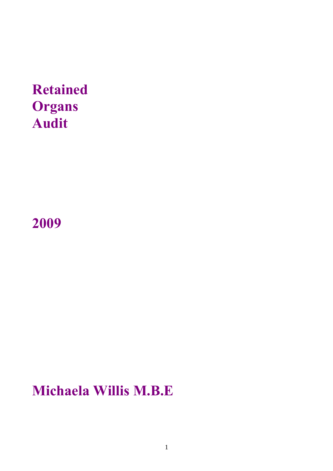# **Retained Organs Audit**

**2009** 

# **Michaela Willis M.B.E**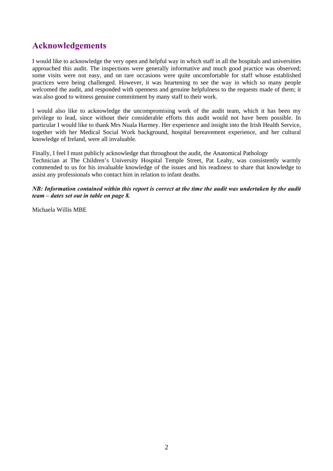### **Acknowledgements**

I would like to acknowledge the very open and helpful way in which staff in all the hospitals and universities approached this audit. The inspections were generally informative and much good practice was observed; some visits were not easy, and on rare occasions were quite uncomfortable for staff whose established practices were being challenged. However, it was heartening to see the way in which so many people welcomed the audit, and responded with openness and genuine helpfulness to the requests made of them; it was also good to witness genuine commitment by many staff to their work.

I would also like to acknowledge the uncompromising work of the audit team, which it has been my privilege to lead, since without their considerable efforts this audit would not have been possible. In particular I would like to thank Mrs Nuala Harmey. Her experience and insight into the Irish Health Service, together with her Medical Social Work background, hospital bereavement experience, and her cultural knowledge of Ireland, were all invaluable.

Finally, I feel I must publicly acknowledge that throughout the audit, the Anatomical Pathology Technician at The Children's University Hospital Temple Street, Pat Leahy, was consistently warmly commended to us for his invaluable knowledge of the issues and his readiness to share that knowledge to assist any professionals who contact him in relation to infant deaths.

### *NB: Information contained within this report is correct at the time the audit was undertaken by the audit team – dates set out in table on page 8.*

Michaela Willis MBE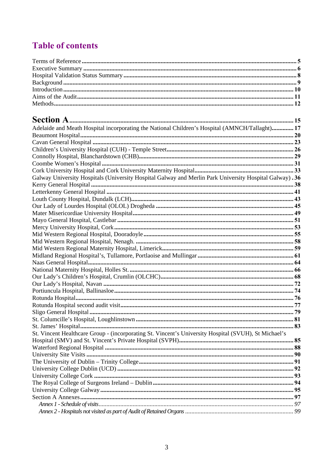# **Table of contents**

| Adelaide and Meath Hospital incorporating the National Children's Hospital (AMNCH/Tallaght) 17          |  |
|---------------------------------------------------------------------------------------------------------|--|
|                                                                                                         |  |
|                                                                                                         |  |
|                                                                                                         |  |
|                                                                                                         |  |
|                                                                                                         |  |
|                                                                                                         |  |
| Galway University Hospitals (University Hospital Galway and Merlin Park University Hospital Galway). 36 |  |
|                                                                                                         |  |
|                                                                                                         |  |
|                                                                                                         |  |
|                                                                                                         |  |
|                                                                                                         |  |
|                                                                                                         |  |
|                                                                                                         |  |
|                                                                                                         |  |
|                                                                                                         |  |
|                                                                                                         |  |
|                                                                                                         |  |
|                                                                                                         |  |
|                                                                                                         |  |
|                                                                                                         |  |
|                                                                                                         |  |
|                                                                                                         |  |
|                                                                                                         |  |
|                                                                                                         |  |
|                                                                                                         |  |
|                                                                                                         |  |
|                                                                                                         |  |
| St. Vincent Healthcare Group - (incorporating St. Vincent's University Hospital (SVUH), St Michael's    |  |
|                                                                                                         |  |
|                                                                                                         |  |
|                                                                                                         |  |
|                                                                                                         |  |
|                                                                                                         |  |
|                                                                                                         |  |
|                                                                                                         |  |
|                                                                                                         |  |
|                                                                                                         |  |
|                                                                                                         |  |
|                                                                                                         |  |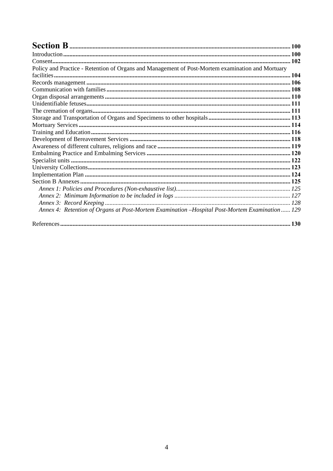| Policy and Practice - Retention of Organs and Management of Post-Mortem examination and Mortuary |  |
|--------------------------------------------------------------------------------------------------|--|
|                                                                                                  |  |
|                                                                                                  |  |
|                                                                                                  |  |
|                                                                                                  |  |
|                                                                                                  |  |
|                                                                                                  |  |
|                                                                                                  |  |
|                                                                                                  |  |
|                                                                                                  |  |
|                                                                                                  |  |
|                                                                                                  |  |
|                                                                                                  |  |
|                                                                                                  |  |
|                                                                                                  |  |
|                                                                                                  |  |
|                                                                                                  |  |
|                                                                                                  |  |
|                                                                                                  |  |
|                                                                                                  |  |
| Annex 4: Retention of Organs at Post-Mortem Examination -Hospital Post-Mortem Examination 129    |  |
|                                                                                                  |  |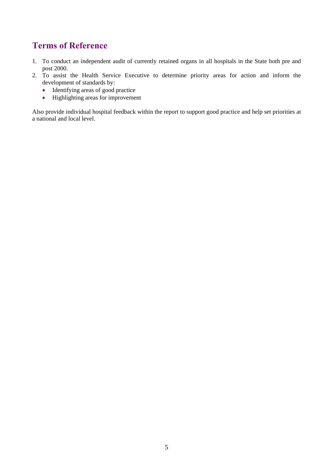### **Terms of Reference**

- 1. To conduct an independent audit of currently retained organs in all hospitals in the State both pre and post 2000.
- 2. To assist the Health Service Executive to determine priority areas for action and inform the development of standards by:
	- Identifying areas of good practice
	- Highlighting areas for improvement

Also provide individual hospital feedback within the report to support good practice and help set priorities at a national and local level.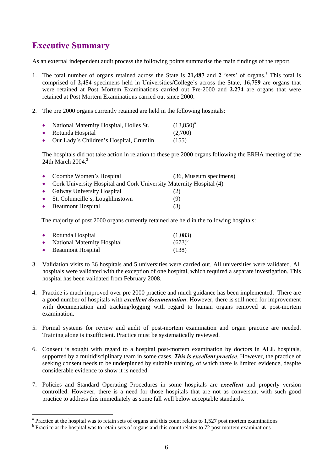### **Executive Summary**

 $\overline{a}$ 

As an external independent audit process the following points summarise the main findings of the report.

- 1. The total number of organs retained across the State is 21,487 and 2 'sets' of organs.<sup>1</sup> This total is comprised of **2,454** specimens held in Universities/College's across the State, **16,759** are organs that were retained at Post Mortem Examinations carried out Pre-2000 and **2,274** are organs that were retained at Post Mortem Examinations carried out since 2000.
- 2. The pre 2000 organs currently retained are held in the following hospitals:

| $\bullet$ | National Maternity Hospital, Holles St. | $(13,850)^{a}$ |
|-----------|-----------------------------------------|----------------|
| $\bullet$ | Rotunda Hospital                        | (2,700)        |
| $\bullet$ | Our Lady's Children's Hospital, Crumlin | (155)          |

The hospitals did not take action in relation to these pre 2000 organs following the ERHA meeting of the 24th March  $2004.<sup>2</sup>$ 

| • Coombe Women's Hospital                                             | (36, Museum specimens) |
|-----------------------------------------------------------------------|------------------------|
| • Cork University Hospital and Cork University Maternity Hospital (4) |                        |
| • Galway University Hospital                                          | (2)                    |
| • St. Columcille's, Loughlinstown                                     | (9)                    |
| • Beaumont Hospital                                                   | (3)                    |

The majority of post 2000 organs currently retained are held in the following hospitals:

| • Rotunda Hospital            | (1,083)     |
|-------------------------------|-------------|
| • National Maternity Hospital | $(673)^{b}$ |
| • Beaumont Hospital           | (138)       |

- 3. Validation visits to 36 hospitals and 5 universities were carried out. All universities were validated. All hospitals were validated with the exception of one hospital, which required a separate investigation. This hospital has been validated from February 2008.
- 4. Practice is much improved over pre 2000 practice and much guidance has been implemented. There are a good number of hospitals with *excellent documentation*. However, there is still need for improvement with documentation and tracking/logging with regard to human organs removed at post-mortem examination.
- 5. Formal systems for review and audit of post-mortem examination and organ practice are needed. Training alone is insufficient. Practice must be systematically reviewed.
- 6. Consent is sought with regard to a hospital post-mortem examination by doctors in **ALL** hospitals, supported by a multidisciplinary team in some cases. *This is excellent practice*. However, the practice of seeking consent needs to be underpinned by suitable training, of which there is limited evidence, despite considerable evidence to show it is needed.
- 7. Policies and Standard Operating Procedures in some hospitals are *excellent* and properly version controlled. However, there is a need for those hospitals that are not as conversant with such good practice to address this immediately as some fall well below acceptable standards.

 $^{\circ}$  Practice at the hospital was to retain sets of organs and this count relates to 1,527 post mortem examinations

<sup>&</sup>lt;sup>b</sup> Practice at the hospital was to retain sets of organs and this count relates to 72 post mortem examinations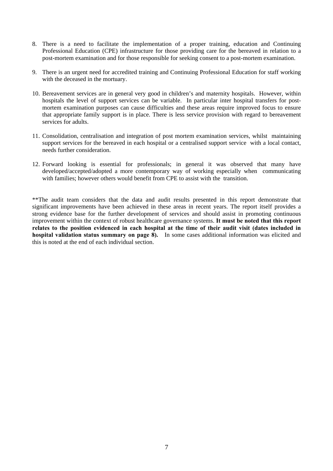- 8. There is a need to facilitate the implementation of a proper training, education and Continuing Professional Education (CPE) infrastructure for those providing care for the bereaved in relation to a post-mortem examination and for those responsible for seeking consent to a post-mortem examination.
- 9. There is an urgent need for accredited training and Continuing Professional Education for staff working with the deceased in the mortuary.
- 10. Bereavement services are in general very good in children's and maternity hospitals. However, within hospitals the level of support services can be variable. In particular inter hospital transfers for postmortem examination purposes can cause difficulties and these areas require improved focus to ensure that appropriate family support is in place. There is less service provision with regard to bereavement services for adults.
- 11. Consolidation, centralisation and integration of post mortem examination services, whilst maintaining support services for the bereaved in each hospital or a centralised support service with a local contact, needs further consideration.
- 12. Forward looking is essential for professionals; in general it was observed that many have developed/accepted/adopted a more contemporary way of working especially when communicating with families; however others would benefit from CPE to assist with the transition.

\*\*The audit team considers that the data and audit results presented in this report demonstrate that significant improvements have been achieved in these areas in recent years. The report itself provides a strong evidence base for the further development of services and should assist in promoting continuous improvement within the context of robust healthcare governance systems. **It must be noted that this report relates to the position evidenced in each hospital at the time of their audit visit (dates included in hospital validation status summary on page 8).** In some cases additional information was elicited and this is noted at the end of each individual section.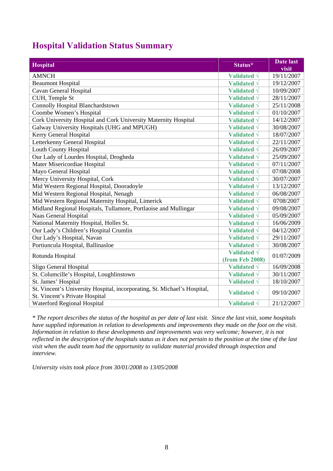## **Hospital Validation Status Summary**

| Hospital                                                                                                    | Status*                                | <b>Date last</b><br>visit |
|-------------------------------------------------------------------------------------------------------------|----------------------------------------|---------------------------|
| <b>AMNCH</b>                                                                                                | Validated $\sqrt{}$                    | 19/11/2007                |
| <b>Beaumont Hospital</b>                                                                                    | Validated $\sqrt{}$                    | 19/12/2007                |
| Cavan General Hospital                                                                                      | Validated $\sqrt{}$                    | 10/09/2007                |
| CUH, Temple St                                                                                              | Validated $\sqrt{}$                    | 28/11/2007                |
| <b>Connolly Hospital Blanchardstown</b>                                                                     | Validated $\sqrt{}$                    | 25/11/2008                |
| Coombe Women's Hospital                                                                                     | Validated $\sqrt{}$                    | 01/10/2007                |
| Cork University Hospital and Cork University Maternity Hospital                                             | Validated $\sqrt{}$                    | 14/12/2007                |
| Galway University Hospitals (UHG and MPUGH)                                                                 | Validated $\sqrt{}$                    | 30/08/2007                |
| Kerry General Hospital                                                                                      | Validated $\sqrt{}$                    | 18/07/2007                |
| Letterkenny General Hospital                                                                                | Validated $\sqrt{}$                    | 22/11/2007                |
| <b>Louth County Hospital</b>                                                                                | Validated $\sqrt{}$                    | 26/09/2007                |
| Our Lady of Lourdes Hospital, Drogheda                                                                      | Validated $\sqrt{}$                    | 25/09/2007                |
| Mater Misericordiae Hospital                                                                                | Validated $\sqrt{}$                    | 07/11/2007                |
| Mayo General Hospital                                                                                       | Validated $\sqrt{}$                    | 07/08/2008                |
| Mercy University Hospital, Cork                                                                             | Validated $\sqrt{}$                    | 30/07/2007                |
| Mid Western Regional Hospital, Dooradoyle                                                                   | Validated $\sqrt{}$                    | 13/12/2007                |
| Mid Western Regional Hospital, Nenagh                                                                       | Validated $\sqrt{}$                    | 06/08/2007                |
| Mid Western Regional Maternity Hospital, Limerick                                                           | Validated $\sqrt{}$                    | 0708/2007                 |
| Midland Regional Hospitals, Tullamore, Portlaoise and Mullingar                                             | Validated $\sqrt{}$                    | 09/08/2007                |
| Naas General Hospital                                                                                       | Validated $\sqrt{}$                    | 05/09/2007                |
| National Maternity Hospital, Holles St.                                                                     | Validated $\sqrt{}$                    | 16/06/2009                |
| Our Lady's Children's Hospital Crumlin                                                                      | Validated $\sqrt{}$                    | 04/12/2007                |
| Our Lady's Hospital, Navan                                                                                  | Validated $\sqrt{}$                    | 29/11/2007                |
| Portiuncula Hospital, Ballinasloe                                                                           | Validated $\sqrt{}$                    | 30/08/2007                |
| Rotunda Hospital                                                                                            | Validated $\sqrt{}$<br>(from Feb 2008) | 01/07/2009                |
| Sligo General Hospital                                                                                      | Validated $\sqrt{}$                    | 16/09/2008                |
| St. Columcille's Hospital, Loughlinstown                                                                    | Validated $\sqrt{}$                    | 30/11/2007                |
| St. James' Hospital                                                                                         | Validated $\sqrt{}$                    | 18/10/2007                |
| St. Vincent's University Hospital, incorporating, St. Michael's Hospital,<br>St. Vincent's Private Hospital | Validated $\sqrt{}$                    | 09/10/2007                |
| Waterford Regional Hospital                                                                                 | Validated $\sqrt{}$                    | 21/12/2007                |

*\* The report describes the status of the hospital as per date of last visit. Since the last visit, some hospitals have supplied information in relation to developments and improvements they made on the foot on the visit. Information in relation to these developments and improvements was very welcome; however, it is not reflected in the description of the hospitals status as it does not pertain to the position at the time of the last visit when the audit team had the opportunity to validate material provided through inspection and interview.* 

*University visits took place from 30/01/2008 to 13/05/2008*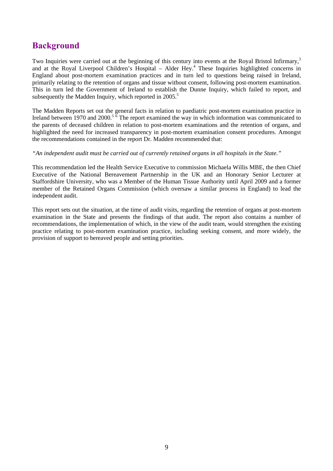### **Background**

Two Inquiries were carried out at the beginning of this century into events at the Royal Bristol Infirmary,<sup>3</sup> and at the Royal Liverpool Children's Hospital - Alder Hey.<sup>4</sup> These Inquiries highlighted concerns in England about post-mortem examination practices and in turn led to questions being raised in Ireland, primarily relating to the retention of organs and tissue without consent, following post-mortem examination. This in turn led the Government of Ireland to establish the Dunne Inquiry, which failed to report, and subsequently the Madden Inquiry, which reported in  $2005$ .<sup>5</sup>

The Madden Reports set out the general facts in relation to paediatric post-mortem examination practice in Ireland between 1970 and 2000.<sup>5  $\overline{6}$ </sup> The report examined the way in which information was communicated to the parents of deceased children in relation to post-mortem examinations and the retention of organs, and highlighted the need for increased transparency in post-mortem examination consent procedures. Amongst the recommendations contained in the report Dr. Madden recommended that:

### *"An independent audit must be carried out of currently retained organs in all hospitals in the State."*

This recommendation led the Health Service Executive to commission Michaela Willis MBE, the then Chief Executive of the National Bereavement Partnership in the UK and an Honorary Senior Lecturer at Staffordshire University, who was a Member of the Human Tissue Authority until April 2009 and a former member of the Retained Organs Commission (which oversaw a similar process in England) to lead the independent audit.

This report sets out the situation, at the time of audit visits, regarding the retention of organs at post-mortem examination in the State and presents the findings of that audit. The report also contains a number of recommendations, the implementation of which, in the view of the audit team, would strengthen the existing practice relating to post-mortem examination practice, including seeking consent, and more widely, the provision of support to bereaved people and setting priorities.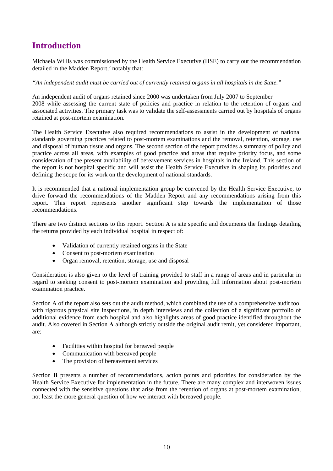### **Introduction**

Michaela Willis was commissioned by the Health Service Executive (HSE) to carry out the recommendation detailed in the Madden Report, $5$  notably that:

*"An independent audit must be carried out of currently retained organs in all hospitals in the State."* 

An independent audit of organs retained since 2000 was undertaken from July 2007 to September 2008 while assessing the current state of policies and practice in relation to the retention of organs and associated activities. The primary task was to validate the self-assessments carried out by hospitals of organs retained at post-mortem examination.

The Health Service Executive also required recommendations to assist in the development of national standards governing practices related to post-mortem examinations and the removal, retention, storage, use and disposal of human tissue and organs. The second section of the report provides a summary of policy and practice across all areas, with examples of good practice and areas that require priority focus, and some consideration of the present availability of bereavement services in hospitals in the Ireland. This section of the report is not hospital specific and will assist the Health Service Executive in shaping its priorities and defining the scope for its work on the development of national standards.

It is recommended that a national implementation group be convened by the Health Service Executive, to drive forward the recommendations of the Madden Report and any recommendations arising from this report. This report represents another significant step towards the implementation of those recommendations.

There are two distinct sections to this report. Section **A** is site specific and documents the findings detailing the returns provided by each individual hospital in respect of:

- Validation of currently retained organs in the State
- Consent to post-mortem examination
- Organ removal, retention, storage, use and disposal

Consideration is also given to the level of training provided to staff in a range of areas and in particular in regard to seeking consent to post-mortem examination and providing full information about post-mortem examination practice.

Section A of the report also sets out the audit method, which combined the use of a comprehensive audit tool with rigorous physical site inspections, in depth interviews and the collection of a significant portfolio of additional evidence from each hospital and also highlights areas of good practice identified throughout the audit. Also covered in Section **A** although strictly outside the original audit remit, yet considered important, are:

- Facilities within hospital for bereaved people
- Communication with bereaved people
- The provision of bereavement services

Section **B** presents a number of recommendations, action points and priorities for consideration by the Health Service Executive for implementation in the future. There are many complex and interwoven issues connected with the sensitive questions that arise from the retention of organs at post-mortem examination, not least the more general question of how we interact with bereaved people.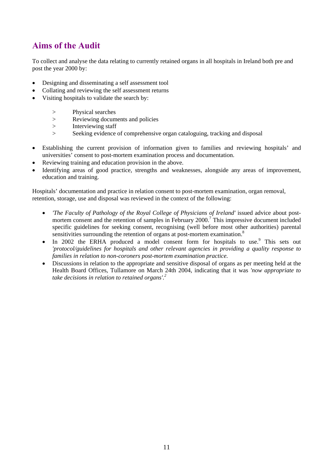### **Aims of the Audit**

To collect and analyse the data relating to currently retained organs in all hospitals in Ireland both pre and post the year 2000 by:

- Designing and disseminating a self assessment tool
- Collating and reviewing the self assessment returns
- Visiting hospitals to validate the search by:
	- > Physical searches
	- > Reviewing documents and policies
	- > Interviewing staff
	- > Seeking evidence of comprehensive organ cataloguing, tracking and disposal
- Establishing the current provision of information given to families and reviewing hospitals' and universities' consent to post-mortem examination process and documentation.
- Reviewing training and education provision in the above.
- Identifying areas of good practice, strengths and weaknesses, alongside any areas of improvement, education and training.

Hospitals' documentation and practice in relation consent to post-mortem examination, organ removal, retention, storage, use and disposal was reviewed in the context of the following:

- *'The Faculty of Pathology of the Royal College of Physicians of Ireland'* issued advice about postmortem consent and the retention of samples in February 2000.<sup>7</sup> This impressive document included specific guidelines for seeking consent, recognising (well before most other authorities) parental sensitivities surrounding the retention of organs at post-mortem examination.<sup>8</sup>
- $\bullet$  In 2002 the ERHA produced a model consent form for hospitals to use.<sup>9</sup> This sets out *'protocol/guidelines for hospitals and other relevant agencies in providing a quality response to families in relation to non-coroners post-mortem examination practice.*
- Discussions in relation to the appropriate and sensitive disposal of organs as per meeting held at the Health Board Offices, Tullamore on March 24th 2004, indicating that it was *'now appropriate to take decisions in relation to retained organs'.2*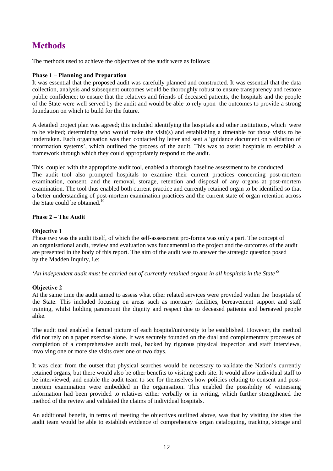## **Methods**

The methods used to achieve the objectives of the audit were as follows:

### **Phase 1 – Planning and Preparation**

It was essential that the proposed audit was carefully planned and constructed. It was essential that the data collection, analysis and subsequent outcomes would be thoroughly robust to ensure transparency and restore public confidence; to ensure that the relatives and friends of deceased patients, the hospitals and the people of the State were well served by the audit and would be able to rely upon the outcomes to provide a strong foundation on which to build for the future.

A detailed project plan was agreed; this included identifying the hospitals and other institutions, which were to be visited; determining who would make the visit(s) and establishing a timetable for those visits to be undertaken. Each organisation was then contacted by letter and sent a 'guidance document on validation of information systems', which outlined the process of the audit. This was to assist hospitals to establish a framework through which they could appropriately respond to the audit.

This, coupled with the appropriate audit tool, enabled a thorough baseline assessment to be conducted. The audit tool also prompted hospitals to examine their current practices concerning post-mortem examination, consent, and the removal, storage, retention and disposal of any organs at post-mortem examination. The tool thus enabled both current practice and currently retained organ to be identified so that a better understanding of post-mortem examination practices and the current state of organ retention across the State could be obtained.<sup>10</sup>

### **Phase 2 – The Audit**

### **Objective 1**

Phase two was the audit itself, of which the self-assessment pro-forma was only a part. The concept of an organisational audit, review and evaluation was fundamental to the project and the outcomes of the audit are presented in the body of this report. The aim of the audit was to answer the strategic question posed by the Madden Inquiry, i.e:

*'An independent audit must be carried out of currently retained organs in all hospitals in the State'<sup>5</sup>* 

### **Objective 2**

At the same time the audit aimed to assess what other related services were provided within the hospitals of the State. This included focusing on areas such as mortuary facilities, bereavement support and staff training, whilst holding paramount the dignity and respect due to deceased patients and bereaved people alike.

The audit tool enabled a factual picture of each hospital/university to be established. However, the method did not rely on a paper exercise alone. It was securely founded on the dual and complementary processes of completion of a comprehensive audit tool, backed by rigorous physical inspection and staff interviews, involving one or more site visits over one or two days.

It was clear from the outset that physical searches would be necessary to validate the Nation's currently retained organs, but there would also be other benefits to visiting each site. It would allow individual staff to be interviewed, and enable the audit team to see for themselves how policies relating to consent and postmortem examination were embedded in the organisation. This enabled the possibility of witnessing information had been provided to relatives either verbally or in writing, which further strengthened the method of the review and validated the claims of individual hospitals.

An additional benefit, in terms of meeting the objectives outlined above, was that by visiting the sites the audit team would be able to establish evidence of comprehensive organ cataloguing, tracking, storage and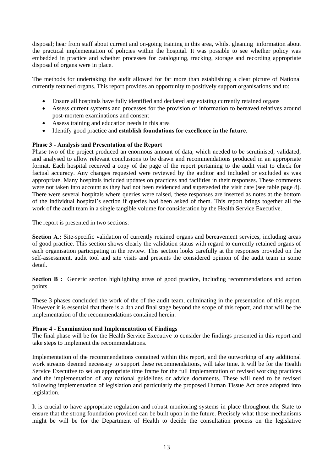disposal; hear from staff about current and on-going training in this area, whilst gleaning information about the practical implementation of policies within the hospital. It was possible to see whether policy was embedded in practice and whether processes for cataloguing, tracking, storage and recording appropriate disposal of organs were in place.

The methods for undertaking the audit allowed for far more than establishing a clear picture of National currently retained organs. This report provides an opportunity to positively support organisations and to:

- Ensure all hospitals have fully identified and declared any existing currently retained organs
- Assess current systems and processes for the provision of information to bereaved relatives around post-mortem examinations and consent
- Assess training and education needs in this area
- Identify good practice and **establish foundations for excellence in the future**.

### **Phase 3 - Analysis and Presentation of the Report**

Phase two of the project produced an enormous amount of data, which needed to be scrutinised, validated, and analysed to allow relevant conclusions to be drawn and recommendations produced in an appropriate format. Each hospital received a copy of the page of the report pertaining to the audit visit to check for factual accuracy. Any changes requested were reviewed by the auditor and included or excluded as was appropriate. Many hospitals included updates on practices and facilities in their responses. These comments were not taken into account as they had not been evidenced and superseded the visit date (see table page 8). There were several hospitals where queries were raised, these responses are inserted as notes at the bottom of the individual hospital's section if queries had been asked of them. This report brings together all the work of the audit team in a single tangible volume for consideration by the Health Service Executive.

The report is presented in two sections:

**Section A.:** Site-specific validation of currently retained organs and bereavement services, including areas of good practice. This section shows clearly the validation status with regard to currently retained organs of each organisation participating in the review. This section looks carefully at the responses provided on the self-assessment, audit tool and site visits and presents the considered opinion of the audit team in some detail.

**Section B :** Generic section highlighting areas of good practice, including recommendations and action points.

These 3 phases concluded the work of the of the audit team, culminating in the presentation of this report. However it is essential that there is a 4th and final stage beyond the scope of this report, and that will be the implementation of the recommendations contained herein.

### **Phase 4 - Examination and Implementation of Findings**

The final phase will be for the Health Service Executive to consider the findings presented in this report and take steps to implement the recommendations.

Implementation of the recommendations contained within this report, and the outworking of any additional work streams deemed necessary to support these recommendations, will take time. It will be for the Health Service Executive to set an appropriate time frame for the full implementation of revised working practices and the implementation of any national guidelines or advice documents. These will need to be revised following implementation of legislation and particularly the proposed Human Tissue Act once adopted into legislation.

It is crucial to have appropriate regulation and robust monitoring systems in place throughout the State to ensure that the strong foundation provided can be built upon in the future. Precisely what those mechanisms might be will be for the Department of Health to decide the consultation process on the legislative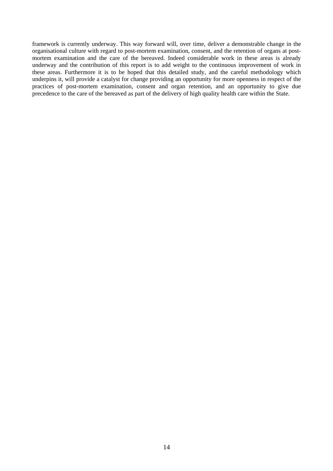framework is currently underway. This way forward will, over time, deliver a demonstrable change in the organisational culture with regard to post-mortem examination, consent, and the retention of organs at postmortem examination and the care of the bereaved. Indeed considerable work in these areas is already underway and the contribution of this report is to add weight to the continuous improvement of work in these areas. Furthermore it is to be hoped that this detailed study, and the careful methodology which underpins it, will provide a catalyst for change providing an opportunity for more openness in respect of the practices of post-mortem examination, consent and organ retention, and an opportunity to give due precedence to the care of the bereaved as part of the delivery of high quality health care within the State.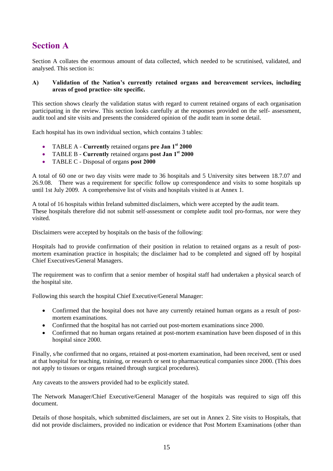### **Section A**

Section A collates the enormous amount of data collected, which needed to be scrutinised, validated, and analysed. This section is:

### **A) Validation of the Nation's currently retained organs and bereavement services, including areas of good practice- site specific.**

This section shows clearly the validation status with regard to current retained organs of each organisation participating in the review. This section looks carefully at the responses provided on the self- assessment, audit tool and site visits and presents the considered opinion of the audit team in some detail.

Each hospital has its own individual section, which contains 3 tables:

- TABLE A **Currently** retained organs **pre Jan 1st 2000**
- TABLE B **Currently** retained organs **post Jan 1st 2000**
- TABLE C Disposal of organs **post 2000**

A total of 60 one or two day visits were made to 36 hospitals and 5 University sites between 18.7.07 and 26.9.08. There was a requirement for specific follow up correspondence and visits to some hospitals up until 1st July 2009. A comprehensive list of visits and hospitals visited is at Annex 1.

A total of 16 hospitals within Ireland submitted disclaimers, which were accepted by the audit team. These hospitals therefore did not submit self-assessment or complete audit tool pro-formas, nor were they visited.

Disclaimers were accepted by hospitals on the basis of the following:

Hospitals had to provide confirmation of their position in relation to retained organs as a result of postmortem examination practice in hospitals; the disclaimer had to be completed and signed off by hospital Chief Executives/General Managers.

The requirement was to confirm that a senior member of hospital staff had undertaken a physical search of the hospital site.

Following this search the hospital Chief Executive/General Manager:

- Confirmed that the hospital does not have any currently retained human organs as a result of postmortem examinations.
- Confirmed that the hospital has not carried out post-mortem examinations since 2000.
- Confirmed that no human organs retained at post-mortem examination have been disposed of in this hospital since 2000.

Finally, s/he confirmed that no organs, retained at post-mortem examination, had been received, sent or used at that hospital for teaching, training, or research or sent to pharmaceutical companies since 2000. (This does not apply to tissues or organs retained through surgical procedures).

Any caveats to the answers provided had to be explicitly stated.

The Network Manager/Chief Executive/General Manager of the hospitals was required to sign off this document.

Details of those hospitals, which submitted disclaimers, are set out in Annex 2. Site visits to Hospitals, that did not provide disclaimers, provided no indication or evidence that Post Mortem Examinations (other than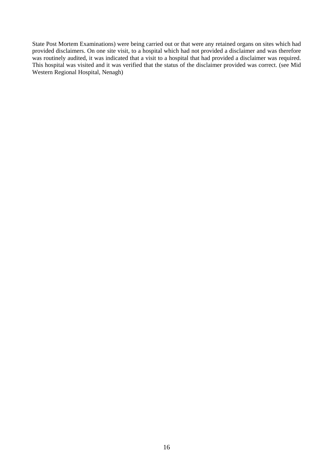State Post Mortem Examinations) were being carried out or that were any retained organs on sites which had provided disclaimers. On one site visit, to a hospital which had not provided a disclaimer and was therefore was routinely audited, it was indicated that a visit to a hospital that had provided a disclaimer was required. This hospital was visited and it was verified that the status of the disclaimer provided was correct. (see Mid Western Regional Hospital, Nenagh)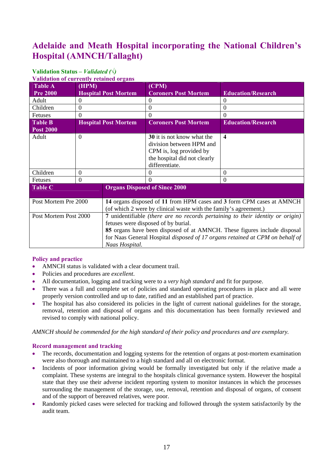## **Adelaide and Meath Hospital incorporating the National Children's Hospital (AMNCH/Tallaght)**

#### **Validation Status –** *Validated (√)*  **Validation of currently retained organs**

| $\ldots$<br><b>Table A</b> | (HPM)    |                                                                              | (CPM)                                                                          |                                                                       |  |
|----------------------------|----------|------------------------------------------------------------------------------|--------------------------------------------------------------------------------|-----------------------------------------------------------------------|--|
| <b>Pre 2000</b>            |          | <b>Hospital Post Mortem</b>                                                  | <b>Coroners Post Mortem</b>                                                    | <b>Education/Research</b>                                             |  |
| Adult                      |          |                                                                              | $\Omega$                                                                       | $\theta$                                                              |  |
| Children                   | $\Omega$ |                                                                              | $\Omega$                                                                       | $\Omega$                                                              |  |
| Fetuses                    | $\Omega$ |                                                                              | $\Omega$                                                                       | 0                                                                     |  |
| Table B                    |          | <b>Hospital Post Mortem</b>                                                  | <b>Coroners Post Mortem</b>                                                    | <b>Education/Research</b>                                             |  |
| <b>Post 2000</b>           |          |                                                                              |                                                                                |                                                                       |  |
| Adult                      | $\Omega$ |                                                                              | 30 it is not know what the                                                     | $\overline{\mathbf{4}}$                                               |  |
|                            |          |                                                                              | division between HPM and                                                       |                                                                       |  |
|                            |          |                                                                              | CPM is, log provided by                                                        |                                                                       |  |
|                            |          |                                                                              | the hospital did not clearly                                                   |                                                                       |  |
|                            |          |                                                                              | differentiate.                                                                 |                                                                       |  |
| Children                   | $\Omega$ |                                                                              | $\theta$                                                                       | $\Omega$                                                              |  |
| Fetuses                    | $\Omega$ |                                                                              | $\Omega$                                                                       | $\Omega$                                                              |  |
| <b>Table C</b>             |          |                                                                              | <b>Organs Disposed of Since 2000</b>                                           |                                                                       |  |
|                            |          |                                                                              |                                                                                |                                                                       |  |
| Post Mortem Pre 2000       |          |                                                                              |                                                                                | 14 organs disposed of 11 from HPM cases and 3 form CPM cases at AMNCH |  |
|                            |          |                                                                              | (of which 2 were by clinical waste with the family's agreement.)               |                                                                       |  |
| Post Mortem Post 2000      |          |                                                                              | 7 unidentifiable (there are no records pertaining to their identity or origin) |                                                                       |  |
|                            |          | fetuses were disposed of by burial.                                          |                                                                                |                                                                       |  |
|                            |          | 85 organs have been disposed of at AMNCH. These figures include disposal     |                                                                                |                                                                       |  |
|                            |          | for Naas General Hospital disposed of 17 organs retained at CPM on behalf of |                                                                                |                                                                       |  |
|                            |          | Naas Hospital.                                                               |                                                                                |                                                                       |  |

### **Policy and practice**

- AMNCH status is validated with a clear document trail.
- Policies and procedures are *excellent*.
- All documentation, logging and tracking were to a *very high standard* and fit for purpose.
- There was a full and complete set of policies and standard operating procedures in place and all were properly version controlled and up to date, ratified and an established part of practice.
- The hospital has also considered its policies in the light of current national guidelines for the storage, removal, retention and disposal of organs and this documentation has been formally reviewed and revised to comply with national policy.

*AMNCH should be commended for the high standard of their policy and procedures and are exemplary.* 

### **Record management and tracking**

- The records, documentation and logging systems for the retention of organs at post-mortem examination were also thorough and maintained to a high standard and all on electronic format.
- Incidents of poor information giving would be formally investigated but only if the relative made a complaint. These systems are integral to the hospitals clinical governance system. However the hospital state that they use their adverse incident reporting system to monitor instances in which the processes surrounding the management of the storage, use, removal, retention and disposal of organs, of consent and of the support of bereaved relatives, were poor.
- Randomly picked cases were selected for tracking and followed through the system satisfactorily by the audit team.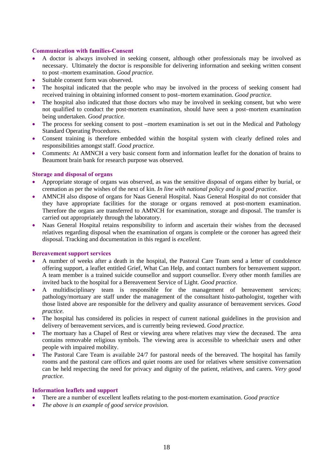#### **Communication with families-Consent**

- A doctor is always involved in seeking consent, although other professionals may be involved as necessary. Ultimately the doctor is responsible for delivering information and seeking written consent to post -mortem examination. *Good practice.*
- Suitable consent form was observed.
- The hospital indicated that the people who may be involved in the process of seeking consent had received training in obtaining informed consent to post–mortem examination. *Good practice.*
- The hospital also indicated that those doctors who may be involved in seeking consent, but who were not qualified to conduct the post-mortem examination, should have seen a post–mortem examination being undertaken. *Good practice.*
- The process for seeking consent to post –mortem examination is set out in the Medical and Pathology Standard Operating Procedures.
- Consent training is therefore embedded within the hospital system with clearly defined roles and responsibilities amongst staff. *Good practice.*
- Comments: At AMNCH a very basic consent form and information leaflet for the donation of brains to Beaumont brain bank for research purpose was observed.

### **Storage and disposal of organs**

- Appropriate storage of organs was observed, as was the sensitive disposal of organs either by burial, or cremation as per the wishes of the next of kin. *In line with national policy and is good practice.*
- AMNCH also dispose of organs for Naas General Hospital. Naas General Hospital do not consider that they have appropriate facilities for the storage or organs removed at post-mortem examination. Therefore the organs are transferred to AMNCH for examination, storage and disposal. The transfer is carried out appropriately through the laboratory.
- Naas General Hospital retains responsibility to inform and ascertain their wishes from the deceased relatives regarding disposal when the examination of organs is complete or the coroner has agreed their disposal. Tracking and documentation in this regard is *excellent*.

### **Bereavement support services**

- A number of weeks after a death in the hospital, the Pastoral Care Team send a letter of condolence offering support, a leaflet entitled Grief, What Can Help, and contact numbers for bereavement support. A team member is a trained suicide counsellor and support counsellor. Every other month families are invited back to the hospital for a Bereavement Service of Light. *Good practice.*
- A multidisciplinary team is responsible for the management of bereavement services; pathology/mortuary are staff under the management of the consultant histo-pathologist, together with those listed above are responsible for the delivery and quality assurance of bereavement services. *Good practice.*
- The hospital has considered its policies in respect of current national guidelines in the provision and delivery of bereavement services, and is currently being reviewed. *Good practice.*
- The mortuary has a Chapel of Rest or viewing area where relatives may view the deceased. The area contains removable religious symbols. The viewing area is accessible to wheelchair users and other people with impaired mobility.
- The Pastoral Care Team is available 24/7 for pastoral needs of the bereaved. The hospital has family rooms and the pastoral care offices and quiet rooms are used for relatives where sensitive conversation can be held respecting the need for privacy and dignity of the patient, relatives, and carers. *Very good practice.*

### **Information leaflets and support**

- There are a number of excellent leaflets relating to the post-mortem examination. *Good practice*
- *The above is an example of good service provision.*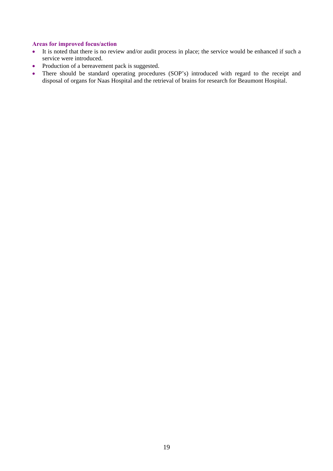### **Areas for improved focus/action**

- It is noted that there is no review and/or audit process in place; the service would be enhanced if such a service were introduced.
- Production of a bereavement pack is suggested.
- There should be standard operating procedures (SOP's) introduced with regard to the receipt and disposal of organs for Naas Hospital and the retrieval of brains for research for Beaumont Hospital.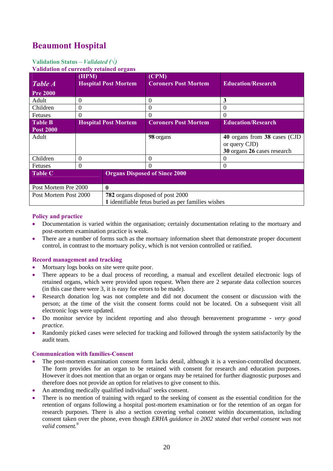# **Beaumont Hospital**

### **Validation Status –** *Validated (√)*

**Validation of currently retained organs**

| Table A                            | (HPM)    | <b>Hospital Post Mortem</b>                        | (CPM)<br><b>Coroners Post Mortem</b> | <b>Education/Research</b>                                                    |
|------------------------------------|----------|----------------------------------------------------|--------------------------------------|------------------------------------------------------------------------------|
| <b>Pre 2000</b>                    |          |                                                    |                                      |                                                                              |
| Adult                              | $\Omega$ |                                                    | $\Omega$                             | 3                                                                            |
| Children                           | $\Omega$ |                                                    | $\Omega$                             | $_{0}$                                                                       |
| Fetuses                            | $\Omega$ |                                                    | $\Omega$                             | 0                                                                            |
| <b>Table B</b><br><b>Post 2000</b> |          | <b>Hospital Post Mortem</b>                        | <b>Coroners Post Mortem</b>          | <b>Education/Research</b>                                                    |
| Adult                              |          |                                                    | 98 organs                            | 40 organs from 38 cases (CJD<br>or query CJD)<br>30 organs 26 cases research |
| Children                           | $\Omega$ |                                                    | $\Omega$                             | $\theta$                                                                     |
| <b>Fetuses</b>                     | $\Omega$ |                                                    | $\Omega$                             | $\Omega$                                                                     |
| <b>Table C</b>                     |          | <b>Organs Disposed of Since 2000</b>               |                                      |                                                                              |
| Post Mortem Pre 2000<br>0          |          |                                                    |                                      |                                                                              |
| Post Mortem Post 2000              |          | 782 organs disposed of post 2000                   |                                      |                                                                              |
|                                    |          | 1 identifiable fetus buried as per families wishes |                                      |                                                                              |

### **Policy and practice**

- Documentation is varied within the organisation; certainly documentation relating to the mortuary and post-mortem examination practice is weak.
- There are a number of forms such as the mortuary information sheet that demonstrate proper document control, in contrast to the mortuary policy, which is not version controlled or ratified.

### **Record management and tracking**

- Mortuary logs books on site were quite poor.
- There appears to be a dual process of recording, a manual and excellent detailed electronic logs of retained organs, which were provided upon request. When there are 2 separate data collection sources (in this case there were 3, it is easy for errors to be made).
- Research donation log was not complete and did not document the consent or discussion with the person; at the time of the visit the consent forms could not be located. On a subsequent visit all electronic logs were updated.
- Do monitor service by incident reporting and also through bereavement programme *very good practice.*
- Randomly picked cases were selected for tracking and followed through the system satisfactorily by the audit team.

### **Communication with families-Consent**

- The post-mortem examination consent form lacks detail, although it is a version-controlled document. The form provides for an organ to be retained with consent for research and education purposes. However it does not mention that an organ or organs may be retained for further diagnostic purposes and therefore does not provide an option for relatives to give consent to this.
- An attending medically qualified individual' seeks consent.
- There is no mention of training with regard to the seeking of consent as the essential condition for the retention of organs following a hospital post-mortem examination or for the retention of an organ for research purposes. There is also a section covering verbal consent within documentation, including consent taken over the phone, even though *ERHA guidance in 2002 stated that verbal consent was not valid consent.9*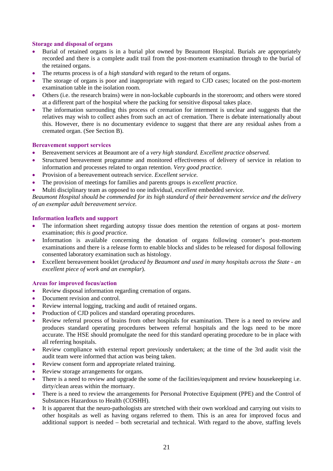### **Storage and disposal of organs**

- Burial of retained organs is in a burial plot owned by Beaumont Hospital. Burials are appropriately recorded and there is a complete audit trail from the post-mortem examination through to the burial of the retained organs.
- The returns process is of a *high standard* with regard to the return of organs.
- The storage of organs is poor and inappropriate with regard to CJD cases; located on the post-mortem examination table in the isolation room.
- Others (i.e. the research brains) were in non-lockable cupboards in the storeroom; and others were stored at a different part of the hospital where the packing for sensitive disposal takes place.
- The information surrounding this process of cremation for interment is unclear and suggests that the relatives may wish to collect ashes from such an act of cremation. There is debate internationally about this. However, there is no documentary evidence to suggest that there are any residual ashes from a cremated organ. (See Section B).

### **Bereavement support services**

- Bereavement services at Beaumont are of a *very high standard. Excellent practice observed.*
- Structured bereavement programme and monitored effectiveness of delivery of service in relation to information and processes related to organ retention. *Very good practice.*
- Provision of a bereavement outreach service. *Excellent service.*
- The provision of meetings for families and parents groups is *excellent practice.*
- Multi disciplinary team as opposed to one individual, *excellent* embedded service.

*Beaumont Hospital should be commended for its high standard of their bereavement service and the delivery of an exemplar adult bereavement service.* 

### **Information leaflets and support**

- The information sheet regarding autopsy tissue does mention the retention of organs at post- mortem examination; *this is good practice.*
- Information is available concerning the donation of organs following coroner's post-mortem examinations and there is a release form to enable blocks and slides to be released for disposal following consented laboratory examination such as histology.
- Excellent bereavement booklet (*produced by Beaumont and used in many hospitals across the State an excellent piece of work and an exemplar*).

### **Areas for improved focus/action**

- Review disposal information regarding cremation of organs.
- Document revision and control.
- Review internal logging, tracking and audit of retained organs.
- Production of CJD polices and standard operating procedures.
- Review referral process of brains from other hospitals for examination. There is a need to review and produces standard operating procedures between referral hospitals and the logs need to be more accurate. The HSE should promulgate the need for this standard operating procedure to be in place with all referring hospitals.
- Review compliance with external report previously undertaken; at the time of the 3rd audit visit the audit team were informed that action was being taken.
- Review consent form and appropriate related training.
- Review storage arrangements for organs.
- There is a need to review and upgrade the some of the facilities/equipment and review housekeeping i.e. dirty/clean areas within the mortuary.
- There is a need to review the arrangements for Personal Protective Equipment (PPE) and the Control of Substances Hazardous to Health (COSHH).
- It is apparent that the neuro-pathologists are stretched with their own workload and carrying out visits to other hospitals as well as having organs referred to them. This is an area for improved focus and additional support is needed – both secretarial and technical. With regard to the above, staffing levels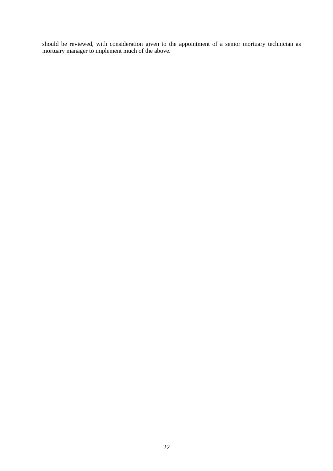should be reviewed, with consideration given to the appointment of a senior mortuary technician as mortuary manager to implement much of the above.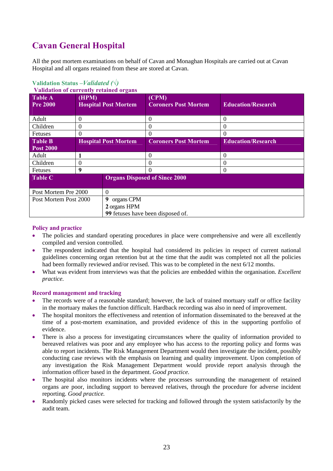# **Cavan General Hospital**

All the post mortem examinations on behalf of Cavan and Monaghan Hospitals are carried out at Cavan Hospital and all organs retained from these are stored at Cavan.

| <u>Vanuation of currently retained of gans</u> |          |                                 |                                      |                           |
|------------------------------------------------|----------|---------------------------------|--------------------------------------|---------------------------|
| <b>Table A</b><br><b>Pre 2000</b>              | (HPM)    | <b>Hospital Post Mortem</b>     | (CPM)<br><b>Coroners Post Mortem</b> | <b>Education/Research</b> |
| Adult                                          | $\Omega$ |                                 | $\Omega$                             | $\Omega$                  |
| Children                                       | $\Omega$ |                                 | $\Omega$                             | 0                         |
| Fetuses                                        | $\Omega$ |                                 | $\Omega$                             | $\theta$                  |
| <b>Table B</b>                                 |          | <b>Hospital Post Mortem</b>     | <b>Coroners Post Mortem</b>          | <b>Education/Research</b> |
| <b>Post 2000</b>                               |          |                                 |                                      |                           |
| Adult                                          |          |                                 | $\Omega$                             | $\theta$                  |
| Children                                       | $\theta$ |                                 | $\Omega$                             | $\Omega$                  |
| Fetuses                                        | 9        |                                 | $\Omega$                             | $\Omega$                  |
| <b>Table C</b>                                 |          |                                 | <b>Organs Disposed of Since 2000</b> |                           |
| Post Mortem Pre 2000<br>$\Omega$               |          |                                 |                                      |                           |
| Post Mortem Post 2000                          |          | organs CPM<br>9<br>2 organs HPM | 99 fetuses have been disposed of.    |                           |

#### **Validation Status –***Validated (√)* **Validation of currently retained organs**

### **Policy and practice**

- The policies and standard operating procedures in place were comprehensive and were all excellently compiled and version controlled.
- The respondent indicated that the hospital had considered its policies in respect of current national guidelines concerning organ retention but at the time that the audit was completed not all the policies had been formally reviewed and/or revised. This was to be completed in the next 6/12 months.
- What was evident from interviews was that the policies are embedded within the organisation. *Excellent practice.*

### **Record management and tracking**

- The records were of a reasonable standard; however, the lack of trained mortuary staff or office facility in the mortuary makes the function difficult. Hardback recording was also in need of improvement.
- The hospital monitors the effectiveness and retention of information disseminated to the bereaved at the time of a post-mortem examination, and provided evidence of this in the supporting portfolio of evidence.
- There is also a process for investigating circumstances where the quality of information provided to bereaved relatives was poor and any employee who has access to the reporting policy and forms was able to report incidents. The Risk Management Department would then investigate the incident, possibly conducting case reviews with the emphasis on learning and quality improvement. Upon completion of any investigation the Risk Management Department would provide report analysis through the information officer based in the department. *Good practice.*
- The hospital also monitors incidents where the processes surrounding the management of retained organs are poor, including support to bereaved relatives, through the procedure for adverse incident reporting. *Good practice.*
- Randomly picked cases were selected for tracking and followed through the system satisfactorily by the audit team.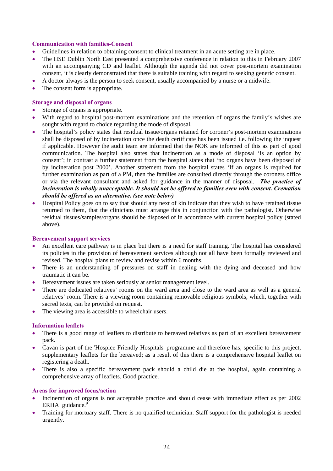### **Communication with families-Consent**

- Guidelines in relation to obtaining consent to clinical treatment in an acute setting are in place.
- The HSE Dublin North East presented a comprehensive conference in relation to this in February 2007 with an accompanying CD and leaflet. Although the agenda did not cover post-mortem examination consent, it is clearly demonstrated that there is suitable training with regard to seeking generic consent.
- A doctor always is the person to seek consent, usually accompanied by a nurse or a midwife.
- The consent form is appropriate.

### **Storage and disposal of organs**

- Storage of organs is appropriate.
- With regard to hospital post-mortem examinations and the retention of organs the family's wishes are sought with regard to choice regarding the mode of disposal.
- The hospital's policy states that residual tissue/organs retained for coroner's post-mortem examinations shall be disposed of by incineration once the death certificate has been issued i.e. following the inquest if applicable. However the audit team are informed that the NOK are informed of this as part of good communication. The hospital also states that incineration as a mode of disposal 'is an option by consent'; in contrast a further statement from the hospital states that 'no organs have been disposed of by incineration post 2000'. Another statement from the hospital states 'If an organs is required for further examination as part of a PM, then the families are consulted directly through the coroners office or via the relevant consultant and asked for guidance in the manner of disposal. *The practice of incineration is wholly unacceptable. It should not be offered to families even with consent. Cremation should be offered as an alternative. (see note below)*
- Hospital Policy goes on to say that should any next of kin indicate that they wish to have retained tissue returned to them, that the clinicians must arrange this in conjunction with the pathologist. Otherwise residual tissues/samples/organs should be disposed of in accordance with current hospital policy (stated above).

### **Bereavement support services**

- An excellent care pathway is in place but there is a need for staff training. The hospital has considered its policies in the provision of bereavement services although not all have been formally reviewed and revised. The hospital plans to review and revise within 6 months.
- There is an understanding of pressures on staff in dealing with the dying and deceased and how traumatic it can be.
- Bereavement issues are taken seriously at senior management level.
- There are dedicated relatives' rooms on the ward area and close to the ward area as well as a general relatives' room. There is a viewing room containing removable religious symbols, which, together with sacred texts, can be provided on request.
- The viewing area is accessible to wheelchair users.

### **Information leaflets**

- There is a good range of leaflets to distribute to bereaved relatives as part of an excellent bereavement pack.
- Cavan is part of the 'Hospice Friendly Hospitals' programme and therefore has, specific to this project, supplementary leaflets for the bereaved; as a result of this there is a comprehensive hospital leaflet on registering a death.
- There is also a specific bereavement pack should a child die at the hospital, again containing a comprehensive array of leaflets. Good practice.

### **Areas for improved focus/action**

- Incineration of organs is not acceptable practice and should cease with immediate effect as per 2002 ERHA guidance.<sup>9</sup>
- Training for mortuary staff. There is no qualified technician. Staff support for the pathologist is needed urgently.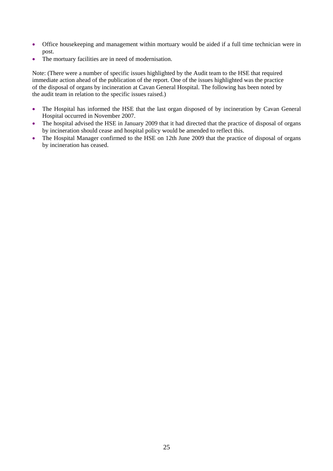- Office housekeeping and management within mortuary would be aided if a full time technician were in post.
- The mortuary facilities are in need of modernisation.

Note: (There were a number of specific issues highlighted by the Audit team to the HSE that required immediate action ahead of the publication of the report. One of the issues highlighted was the practice of the disposal of organs by incineration at Cavan General Hospital. The following has been noted by the audit team in relation to the specific issues raised.)

- The Hospital has informed the HSE that the last organ disposed of by incineration by Cavan General Hospital occurred in November 2007.
- The hospital advised the HSE in January 2009 that it had directed that the practice of disposal of organs by incineration should cease and hospital policy would be amended to reflect this.
- The Hospital Manager confirmed to the HSE on 12th June 2009 that the practice of disposal of organs by incineration has ceased.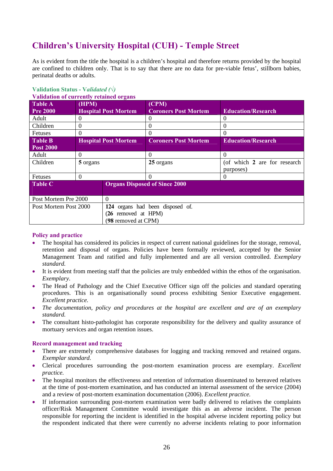# **Children's University Hospital (CUH) - Temple Street**

As is evident from the title the hospital is a children's hospital and therefore returns provided by the hospital are confined to children only. That is to say that there are no data for pre-viable fetus', stillborn babies, perinatal deaths or adults.

| Vandation of currently retained organs |          |                                                            |                                                                                                                                                            |  |  |  |
|----------------------------------------|----------|------------------------------------------------------------|------------------------------------------------------------------------------------------------------------------------------------------------------------|--|--|--|
| (HPM)                                  |          | (CPM)                                                      |                                                                                                                                                            |  |  |  |
|                                        |          |                                                            | <b>Education/Research</b>                                                                                                                                  |  |  |  |
| $\Omega$                               |          | $\theta$                                                   | $\theta$                                                                                                                                                   |  |  |  |
| $\Omega$                               |          | $\Omega$                                                   | 0                                                                                                                                                          |  |  |  |
| $\theta$                               |          | $\Omega$                                                   | 0                                                                                                                                                          |  |  |  |
|                                        |          | <b>Coroners Post Mortem</b>                                | <b>Education/Research</b>                                                                                                                                  |  |  |  |
|                                        |          |                                                            |                                                                                                                                                            |  |  |  |
| $\Omega$                               |          | 0                                                          | $\Omega$                                                                                                                                                   |  |  |  |
| 5 organs                               |          | 25 organs                                                  | (of which 2 are for research                                                                                                                               |  |  |  |
|                                        |          |                                                            | purposes)                                                                                                                                                  |  |  |  |
| $\Omega$                               |          | 0                                                          | $\Omega$                                                                                                                                                   |  |  |  |
|                                        |          |                                                            |                                                                                                                                                            |  |  |  |
|                                        |          |                                                            |                                                                                                                                                            |  |  |  |
| Post Mortem Pre 2000                   | $\Omega$ |                                                            |                                                                                                                                                            |  |  |  |
| Post Mortem Post 2000                  |          |                                                            |                                                                                                                                                            |  |  |  |
|                                        |          |                                                            |                                                                                                                                                            |  |  |  |
|                                        |          |                                                            |                                                                                                                                                            |  |  |  |
|                                        |          | <b>Hospital Post Mortem</b><br><b>Hospital Post Mortem</b> | <b>Coroners Post Mortem</b><br><b>Organs Disposed of Since 2000</b><br>124 organs had been disposed of.<br>$(26$ removed at HPM $)$<br>(98 removed at CPM) |  |  |  |

#### **Validation Status - V***alidated (√)*  **Validation of currently retain.**

### **Policy and practice**

- The hospital has considered its policies in respect of current national guidelines for the storage, removal, retention and disposal of organs. Policies have been formally reviewed, accepted by the Senior Management Team and ratified and fully implemented and are all version controlled. *Exemplary standard.*
- It is evident from meeting staff that the policies are truly embedded within the ethos of the organisation. *Exemplary*.
- The Head of Pathology and the Chief Executive Officer sign off the policies and standard operating procedures. This is an organisationally sound process exhibiting Senior Executive engagement. *Excellent practice.*
- *The documentation, policy and procedures at the hospital are excellent and are of an exemplary standard.*
- The consultant histo-pathologist has corporate responsibility for the delivery and quality assurance of mortuary services and organ retention issues.

### **Record management and tracking**

- There are extremely comprehensive databases for logging and tracking removed and retained organs. *Exemplar standard.*
- Clerical procedures surrounding the post-mortem examination process are exemplary. *Excellent practice.*
- The hospital monitors the effectiveness and retention of information disseminated to bereaved relatives at the time of post-mortem examination, and has conducted an internal assessment of the service (2004) and a review of post-mortem examination documentation (2006). *Excellent practice.*
- If information surrounding post-mortem examination were badly delivered to relatives the complaints officer/Risk Management Committee would investigate this as an adverse incident. The person responsible for reporting the incident is identified in the hospital adverse incident reporting policy but the respondent indicated that there were currently no adverse incidents relating to poor information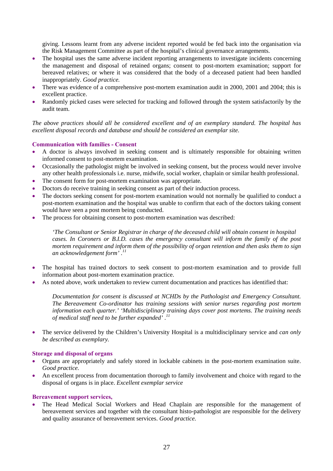giving. Lessons learnt from any adverse incident reported would be fed back into the organisation via the Risk Management Committee as part of the hospital's clinical governance arrangements.

- The hospital uses the same adverse incident reporting arrangements to investigate incidents concerning the management and disposal of retained organs; consent to post-mortem examination; support for bereaved relatives; or where it was considered that the body of a deceased patient had been handled inappropriately. *Good practice.*
- There was evidence of a comprehensive post-mortem examination audit in 2000, 2001 and 2004; this is excellent practice.
- Randomly picked cases were selected for tracking and followed through the system satisfactorily by the audit team.

*The above practices should all be considered excellent and of an exemplary standard. The hospital has excellent disposal records and database and should be considered an exemplar site.* 

### **Communication with families - Consent**

- A doctor is always involved in seeking consent and is ultimately responsible for obtaining written informed consent to post-mortem examination.
- Occasionally the pathologist might be involved in seeking consent, but the process would never involve any other health professionals i.e. nurse, midwife, social worker, chaplain or similar health professional.
- The consent form for post-mortem examination was appropriate.
- Doctors do receive training in seeking consent as part of their induction process.
- The doctors seeking consent for post-mortem examination would not normally be qualified to conduct a post-mortem examination and the hospital was unable to confirm that each of the doctors taking consent would have seen a post mortem being conducted.
- The process for obtaining consent to post-mortem examination was described:

*'The Consultant or Senior Registrar in charge of the deceased child will obtain consent in hospital cases. In Coroners or B.I.D. cases the emergency consultant will inform the family of the post mortem requirement and inform them of the possibility of organ retention and then asks them to sign an acknowledgement form' .11*

- The hospital has trained doctors to seek consent to post-mortem examination and to provide full information about post-mortem examination practice.
- As noted above, work undertaken to review current documentation and practices has identified that:

*Documentation for consent is discussed at NCHDs by the Pathologist and Emergency Consultant. The Bereavement Co-ordinator has training sessions with senior nurses regarding post mortem information each quarter.' 'Multidisciplinary training days cover post mortems. The training needs of medical staff need to be further expanded' .11*

• The service delivered by the Children's University Hospital is a multidisciplinary service and *can only be described as exemplary.* 

### **Storage and disposal of organs**

- Organs are appropriately and safely stored in lockable cabinets in the post-mortem examination suite. *Good practice.*
- An excellent process from documentation thorough to family involvement and choice with regard to the disposal of organs is in place. *Excellent exemplar service*

### **Bereavement support services,**

• The Head Medical Social Workers and Head Chaplain are responsible for the management of bereavement services and together with the consultant histo-pathologist are responsible for the delivery and quality assurance of bereavement services. *Good practice.*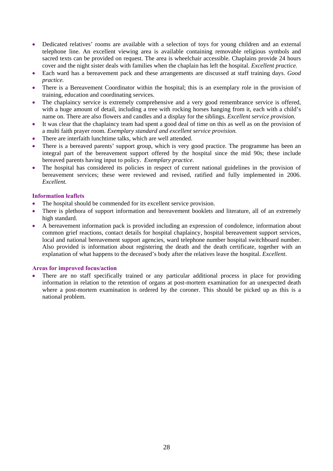- Dedicated relatives' rooms are available with a selection of toys for young children and an external telephone line. An excellent viewing area is available containing removable religious symbols and sacred texts can be provided on request. The area is wheelchair accessible. Chaplains provide 24 hours cover and the night sister deals with families when the chaplain has left the hospital. *Excellent practice*.
- Each ward has a bereavement pack and these arrangements are discussed at staff training days. *Good practice.*
- There is a Bereavement Coordinator within the hospital; this is an exemplary role in the provision of training, education and coordinating services.
- The chaplaincy service is extremely comprehensive and a very good remembrance service is offered, with a huge amount of detail, including a tree with rocking horses hanging from it, each with a child's name on. There are also flowers and candles and a display for the siblings. *Excellent service provision.*
- It was clear that the chaplaincy team had spent a good deal of time on this as well as on the provision of a multi faith prayer room. *Exemplary standard and excellent service provision.*
- There are interfaith lunchtime talks, which are well attended.
- There is a bereaved parents' support group, which is very good practice. The programme has been an integral part of the bereavement support offered by the hospital since the mid 90s; these include bereaved parents having input to policy. *Exemplary practice.*
- The hospital has considered its policies in respect of current national guidelines in the provision of bereavement services; these were reviewed and revised, ratified and fully implemented in 2006. *Excellent.*

### **Information leaflets**

- The hospital should be commended for its excellent service provision.
- There is plethora of support information and bereavement booklets and literature, all of an extremely high standard.
- A bereavement information pack is provided including an expression of condolence, information about common grief reactions, contact details for hospital chaplaincy, hospital bereavement support services, local and national bereavement support agencies, ward telephone number hospital switchboard number. Also provided is information about registering the death and the death certificate, together with an explanation of what happens to the deceased's body after the relatives leave the hospital. *Excellent*.

### **Areas for improved focus/action**

There are no staff specifically trained or any particular additional process in place for providing information in relation to the retention of organs at post-mortem examination for an unexpected death where a post-mortem examination is ordered by the coroner. This should be picked up as this is a national problem.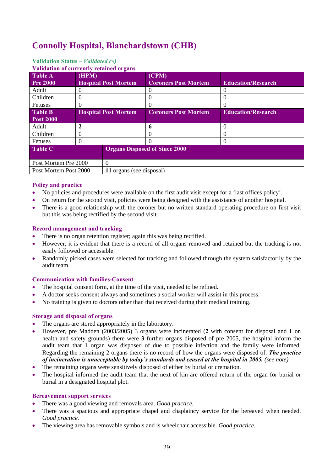# **Connolly Hospital, Blanchardstown (CHB)**

### **Validation Status** *– Validated (√)*

**Validation of currently retained organs**

| у апмашуп уг сиггениу темписи угданз              |             |                             |                                      |                           |  |  |
|---------------------------------------------------|-------------|-----------------------------|--------------------------------------|---------------------------|--|--|
| <b>Table A</b>                                    | (HPM)       |                             | (CPM)                                |                           |  |  |
| <b>Pre 2000</b>                                   |             | <b>Hospital Post Mortem</b> | <b>Coroners Post Mortem</b>          | <b>Education/Research</b> |  |  |
| Adult                                             |             |                             | 0                                    |                           |  |  |
| Children                                          | U           |                             | 0                                    | $_{0}$                    |  |  |
| <b>Fetuses</b>                                    |             |                             | 0                                    |                           |  |  |
| <b>Table B</b>                                    |             | <b>Hospital Post Mortem</b> | <b>Coroners Post Mortem</b>          | <b>Education/Research</b> |  |  |
| <b>Post 2000</b>                                  |             |                             |                                      |                           |  |  |
| Adult                                             | $\mathbf 2$ |                             | 6                                    | 0                         |  |  |
| Children                                          | U           |                             | 0                                    |                           |  |  |
| Fetuses                                           | $\theta$    |                             | $\Omega$                             |                           |  |  |
| <b>Table C</b>                                    |             |                             | <b>Organs Disposed of Since 2000</b> |                           |  |  |
|                                                   |             |                             |                                      |                           |  |  |
| $\theta$<br>Post Mortem Pre 2000                  |             |                             |                                      |                           |  |  |
| Post Mortem Post 2000<br>11 organs (see disposal) |             |                             |                                      |                           |  |  |

### **Policy and practice**

- No policies and procedures were available on the first audit visit except for a 'last offices policy'.
- On return for the second visit, policies were being designed with the assistance of another hospital.
- There is a good relationship with the coroner but no written standard operating procedure on first visit but this was being rectified by the second visit.

### **Record management and tracking**

- There is no organ retention register; again this was being rectified.
- However, it is evident that there is a record of all organs removed and retained but the tracking is not easily followed or accessible.
- Randomly picked cases were selected for tracking and followed through the system satisfactorily by the audit team.

### **Communication with families-Consent**

- The hospital consent form, at the time of the visit, needed to be refined.
- A doctor seeks consent always and sometimes a social worker will assist in this process.
- No training is given to doctors other than that received during their medical training.

### **Storage and disposal of organs**

- The organs are stored appropriately in the laboratory.
- However, pre Madden (2003/2005) 3 organs were incinerated (**2** with consent for disposal and **1** on health and safety grounds) there were **3** further organs disposed of pre 2005, the hospital inform the audit team that 1 organ was disposed of due to possible infection and the family were informed. Regarding the remaining 2 organs there is no record of how the organs were disposed of. *The practice of incineration is unacceptable by today's standards and ceased at the hospital in 2005. (see note)*
- The remaining organs were sensitively disposed of either by burial or cremation.
- The hospital informed the audit team that the next of kin are offered return of the organ for burial or burial in a designated hospital plot.

### **Bereavement support services**

- There was a good viewing and removals area. *Good practice.*
- There was a spacious and appropriate chapel and chaplaincy service for the bereaved when needed. *Good practice.*
- The viewing area has removable symbols and is wheelchair accessible. *Good practice.*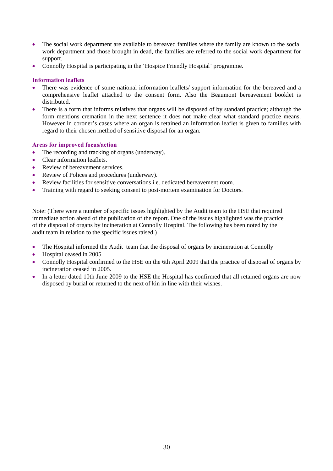- The social work department are available to bereaved families where the family are known to the social work department and those brought in dead, the families are referred to the social work department for support.
- Connolly Hospital is participating in the 'Hospice Friendly Hospital' programme.

### **Information leaflets**

- There was evidence of some national information leaflets/ support information for the bereaved and a comprehensive leaflet attached to the consent form. Also the Beaumont bereavement booklet is distributed.
- There is a form that informs relatives that organs will be disposed of by standard practice; although the form mentions cremation in the next sentence it does not make clear what standard practice means. However in coroner's cases where an organ is retained an information leaflet is given to families with regard to their chosen method of sensitive disposal for an organ.

### **Areas for improved focus/action**

- The recording and tracking of organs (underway).
- Clear information leaflets.
- Review of bereavement services.
- Review of Polices and procedures (underway).
- Review facilities for sensitive conversations i.e. dedicated bereavement room.
- Training with regard to seeking consent to post-mortem examination for Doctors.

Note: (There were a number of specific issues highlighted by the Audit team to the HSE that required immediate action ahead of the publication of the report. One of the issues highlighted was the practice of the disposal of organs by incineration at Connolly Hospital. The following has been noted by the audit team in relation to the specific issues raised.)

- The Hospital informed the Audit team that the disposal of organs by incineration at Connolly
- Hospital ceased in 2005
- Connolly Hospital confirmed to the HSE on the 6th April 2009 that the practice of disposal of organs by incineration ceased in 2005.
- In a letter dated 10th June 2009 to the HSE the Hospital has confirmed that all retained organs are now disposed by burial or returned to the next of kin in line with their wishes.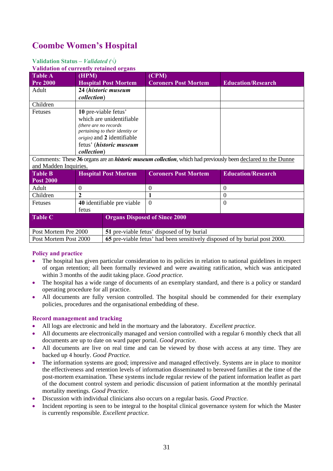# **Coombe Women's Hospital**

### **Validation Status** *– Validated (√)*

**Validation of currently retained organs**

| <b>Table A</b>                                                                                                       | (HPM)                              |                                                                            | (CPM)                       |                           |  |
|----------------------------------------------------------------------------------------------------------------------|------------------------------------|----------------------------------------------------------------------------|-----------------------------|---------------------------|--|
| <b>Pre 2000</b>                                                                                                      |                                    | <b>Hospital Post Mortem</b>                                                | <b>Coroners Post Mortem</b> | <b>Education/Research</b> |  |
| Adult                                                                                                                |                                    | 24 (historic museum                                                        |                             |                           |  |
|                                                                                                                      | <i>collection</i> )                |                                                                            |                             |                           |  |
| Children                                                                                                             |                                    |                                                                            |                             |                           |  |
| Fetuses                                                                                                              | 10 pre-viable fetus'               |                                                                            |                             |                           |  |
|                                                                                                                      | which are unidentifiable           |                                                                            |                             |                           |  |
|                                                                                                                      | (there are no records)             |                                                                            |                             |                           |  |
|                                                                                                                      | pertaining to their identity or    |                                                                            |                             |                           |  |
|                                                                                                                      | <i>origin</i> ) and 2 identifiable |                                                                            |                             |                           |  |
|                                                                                                                      |                                    | fetus' (historic museum                                                    |                             |                           |  |
|                                                                                                                      | <i>collection</i> )                |                                                                            |                             |                           |  |
| Comments: These 36 organs are an <i>historic museum collection</i> , which had previously been declared to the Dunne |                                    |                                                                            |                             |                           |  |
| and Madden Inquiries.                                                                                                |                                    |                                                                            |                             |                           |  |
| <b>Table B</b>                                                                                                       | <b>Hospital Post Mortem</b>        |                                                                            | <b>Coroners Post Mortem</b> | <b>Education/Research</b> |  |
| <b>Post 2000</b>                                                                                                     |                                    |                                                                            |                             |                           |  |
| Adult                                                                                                                | 0                                  |                                                                            | $\Omega$                    | $\Omega$                  |  |
| Children                                                                                                             | $\overline{2}$                     |                                                                            |                             | $\overline{0}$            |  |
| Fetuses                                                                                                              | 40 identifiable pre viable         |                                                                            | $\overline{0}$              | $\overline{0}$            |  |
| fetus                                                                                                                |                                    |                                                                            |                             |                           |  |
| <b>Table C</b>                                                                                                       |                                    | <b>Organs Disposed of Since 2000</b>                                       |                             |                           |  |
|                                                                                                                      |                                    |                                                                            |                             |                           |  |
| Post Mortem Pre 2000                                                                                                 |                                    | 51 pre-viable fetus' disposed of by burial                                 |                             |                           |  |
| Post Mortem Post 2000                                                                                                |                                    | 65 pre-viable fetus' had been sensitively disposed of by burial post 2000. |                             |                           |  |

### **Policy and practice**

- The hospital has given particular consideration to its policies in relation to national guidelines in respect of organ retention; all been formally reviewed and were awaiting ratification, which was anticipated within 3 months of the audit taking place. *Good practice.*
- The hospital has a wide range of documents of an exemplary standard, and there is a policy or standard operating procedure for all practice.
- All documents are fully version controlled. The hospital should be commended for their exemplary policies, procedures and the organisational embedding of these.

### **Record management and tracking**

- All logs are electronic and held in the mortuary and the laboratory. *Excellent practice.*
- All documents are electronically managed and version controlled with a regular 6 monthly check that all documents are up to date on ward paper portal. *Good practice.*
- All documents are live on real time and can be viewed by those with access at any time. They are backed up 4 hourly. *Good Practice.*
- The information systems are good; impressive and managed effectively. Systems are in place to monitor the effectiveness and retention levels of information disseminated to bereaved families at the time of the post-mortem examination. These systems include regular review of the patient information leaflet as part of the document control system and periodic discussion of patient information at the monthly perinatal mortality meetings. *Good Practice.*
- Discussion with individual clinicians also occurs on a regular basis. *Good Practice.*
- Incident reporting is seen to be integral to the hospital clinical governance system for which the Master is currently responsible. *Excellent practice.*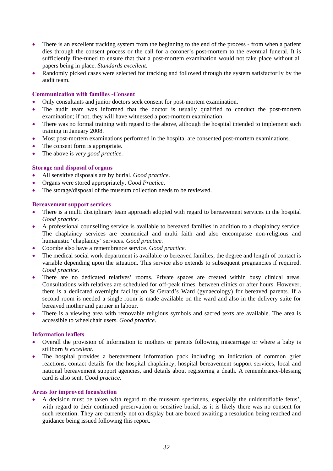- There is an excellent tracking system from the beginning to the end of the process from when a patient dies through the consent process or the call for a coroner's post-mortem to the eventual funeral. It is sufficiently fine-tuned to ensure that that a post-mortem examination would not take place without all papers being in place. *Standards excellent.*
- Randomly picked cases were selected for tracking and followed through the system satisfactorily by the audit team.

### **Communication with families -Consent**

- Only consultants and junior doctors seek consent for post-mortem examination.
- The audit team was informed that the doctor is usually qualified to conduct the post-mortem examination; if not, they will have witnessed a post-mortem examination.
- There was no formal training with regard to the above, although the hospital intended to implement such training in January 2008.
- Most post-mortem examinations performed in the hospital are consented post-mortem examinations.
- The consent form is appropriate.
- The above is *very good practice.*

### **Storage and disposal of organs**

- All sensitive disposals are by burial. *Good practice*.
- Organs were stored appropriately. *Good Practice*.
- The storage/disposal of the museum collection needs to be reviewed.

### **Bereavement support services**

- There is a multi disciplinary team approach adopted with regard to bereavement services in the hospital *Good practice.*
- A professional counselling service is available to bereaved families in addition to a chaplaincy service. The chaplaincy services are ecumenical and multi faith and also encompasse non-religious and humanistic 'chaplaincy' services. *Good practice*.
- Coombe also have a remembrance service. *Good practice*.
- The medical social work department is available to bereaved families; the degree and length of contact is variable depending upon the situation. This service also extends to subsequent pregnancies if required. *Good practice.*
- There are no dedicated relatives' rooms. Private spaces are created within busy clinical areas. Consultations with relatives are scheduled for off-peak times, between clinics or after hours. However, there is a dedicated overnight facility on St Gerard's Ward (gynaecology) for bereaved parents. If a second room is needed a single room is made available on the ward and also in the delivery suite for bereaved mother and partner in labour.
- There is a viewing area with removable religious symbols and sacred texts are available. The area is accessible to wheelchair users. *Good practice*.

### **Information leaflets**

- Overall the provision of information to mothers or parents following miscarriage or where a baby is stillborn *is excellent*.
- The hospital provides a bereavement information pack including an indication of common grief reactions, contact details for the hospital chaplaincy, hospital bereavement support services, local and national bereavement support agencies, and details about registering a death. A remembrance-blessing card is also sent. *Good practice.*

### **Areas for improved focus/action**

• A decision must be taken with regard to the museum specimens, especially the unidentifiable fetus', with regard to their continued preservation or sensitive burial, as it is likely there was no consent for such retention. They are currently not on display but are boxed awaiting a resolution being reached and guidance being issued following this report.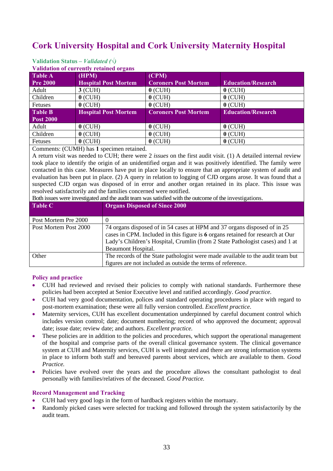# **Cork University Hospital and Cork University Maternity Hospital**

| <u>Vanuation of currently retained organis</u> |                             |                             |                           |  |  |  |
|------------------------------------------------|-----------------------------|-----------------------------|---------------------------|--|--|--|
| <b>Table A</b>                                 | (HPM)                       | (CPM)                       |                           |  |  |  |
| <b>Pre 2000</b>                                | <b>Hospital Post Mortem</b> | <b>Coroners Post Mortem</b> | <b>Education/Research</b> |  |  |  |
| Adult                                          | $3$ (CUH)                   | $0$ (CUH)                   | $0$ (CUH)                 |  |  |  |
| Children                                       | $0$ (CUH)                   | $0$ (CUH)                   | $0$ (CUH)                 |  |  |  |
| Fetuses                                        | $0$ (CUH)                   | $0$ (CUH)                   | $0$ (CUH)                 |  |  |  |
| <b>Table B</b>                                 | <b>Hospital Post Mortem</b> | <b>Coroners Post Mortem</b> | <b>Education/Research</b> |  |  |  |
| <b>Post 2000</b>                               |                             |                             |                           |  |  |  |
| Adult                                          | $0$ (CUH)                   | $0$ (CUH)                   | $0$ (CUH)                 |  |  |  |
| Children                                       | $0$ (CUH)                   | $0$ (CUH)                   | $0$ (CUH)                 |  |  |  |
| Fetuses                                        | $0$ (CUH)                   | $0$ (CUH)                   | $0$ (CUH)                 |  |  |  |

#### **Validation Status** *– Validated (√)*  **Validation of currently retained of**

Comments: (CUMH) has **1** specimen retained.

A return visit was needed to CUH; there were 2 *issues* on the first audit visit. (1) A detailed internal review took place to identify the origin of an unidentified organ and it was positively identified. The family were contacted in this case. Measures have put in place locally to ensure that an appropriate system of audit and evaluation has been put in place. (2) A query in relation to logging of CJD organs arose. It was found that a suspected CJD organ was disposed of in error and another organ retained in its place. This issue was resolved satisfactorily and the families concerned were notified.

Both issues were investigated and the audit team was satisfied with the outcome of the investigations.

| <b>Table C</b>        | <b>Organs Disposed of Since 2000</b>                                                                                                                                                                                                                              |
|-----------------------|-------------------------------------------------------------------------------------------------------------------------------------------------------------------------------------------------------------------------------------------------------------------|
| Post Mortem Pre 2000  |                                                                                                                                                                                                                                                                   |
| Post Mortem Post 2000 | 74 organs disposed of in 54 cases at HPM and 37 organs disposed of in 25<br>cases in CPM. Included in this figure is 6 organs retained for research at Our<br>Lady's Children's Hospital, Crumlin (from 2 State Pathologist cases) and 1 at<br>Beaumont Hospital. |
| Other                 | The records of the State pathologist were made available to the audit team but                                                                                                                                                                                    |
|                       | figures are not included as outside the terms of reference.                                                                                                                                                                                                       |

### **Policy and practice**

- CUH had reviewed and revised their policies to comply with national standards. Furthermore these policies had been accepted at Senior Executive level and ratified accordingly. *Good practice.*
- CUH had very good documentation, polices and standard operating procedures in place with regard to post-mortem examination; these were all fully version controlled. *Excellent practice*.
- Maternity services, CUH has excellent documentation underpinned by careful document control which includes version control; date; document numbering; record of who approved the document; approval date; issue date; review date; and authors. *Excellent practice.*
- These policies are in addition to the policies and procedures, which support the operational management of the hospital and comprise parts of the overall clinical governance system. The clinical governance system at CUH and Maternity services, CUH is well integrated and there are strong information systems in place to inform both staff and bereaved parents about services, which are available to them. *Good Practice.*
- Policies have evolved over the years and the procedure allows the consultant pathologist to deal personally with families/relatives of the deceased. *Good Practice.*

### **Record Management and Tracking**

- CUH had very good logs in the form of hardback registers within the mortuary.
- Randomly picked cases were selected for tracking and followed through the system satisfactorily by the audit team.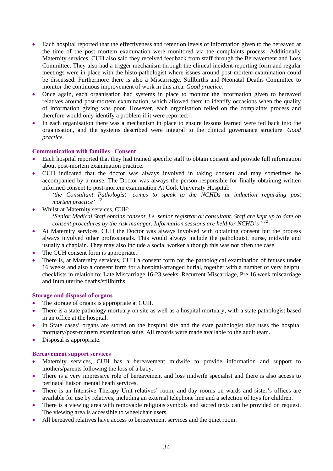- Each hospital reported that the effectiveness and retention levels of information given to the bereaved at the time of the post mortem examination were monitored via the complaints process. Additionally Maternity services, CUH also said they received feedback from staff through the Bereavement and Loss Committee. They also had a trigger mechanism through the clinical incident reporting form and regular meetings were in place with the histo-pathologist where issues around post-mortem examination could be discussed. Furthermore there is also a Miscarriage, Stillbirths and Neonatal Deaths Committee to monitor the continuous improvement of work in this area. *Good practice.*
- Once again, each organisation had systems in place to monitor the information given to bereaved relatives around post-mortem examination, which allowed them to identify occasions when the quality of information giving was poor. However, each organisation relied on the complaints process and therefore would only identify a problem if it were reported.
- In each organisation there was a mechanism in place to ensure lessons learned were fed back into the organisation, and the systems described were integral to the clinical governance structure. *Good practice.*

### **Communication with families –Consent**

- Each hospital reported that they had trained specific staff to obtain consent and provide full information about post-mortem examination practice.
- CUH indicated that the doctor was always involved in taking consent and may sometimes be accompanied by a nurse. The Doctor was always the person responsible for finally obtaining written informed consent to post-mortem examination At Cork University Hospital:
	- *'the Consultant Pathologist comes to speak to the NCHDs at induction regarding post mortem practice' .12*
- Whilst at Maternity services, CUH: *'Senior Medical Staff obtains consent, i.e. senior registrar or consultant. Staff are kept up to date on consent procedures by the risk manager. Information sessions are held for NCHD's '.<sup>12</sup>*
- At Maternity services, CUH the Doctor was always involved with obtaining consent but the process always involved other professionals. This would always include the pathologist, nurse, midwife and usually a chaplain. They may also include a social worker although this was not often the case.
- The CUH consent form is appropriate.
- There is, at Maternity services, CUH a consent form for the pathological examination of fetuses under 16 weeks and also a consent form for a hospital-arranged burial, together with a number of very helpful checklists in relation to: Late Miscarriage 16-23 weeks, Recurrent Miscarriage, Pre 16 week miscarriage and Intra uterine deaths/stillbirths.

### **Storage and disposal of organs**

- The storage of organs is appropriate at CUH.
- There is a state pathology mortuary on site as well as a hospital mortuary, with a state pathologist based in an office at the hospital.
- In State cases' organs are stored on the hospital site and the state pathologist also uses the hospital mortuary/post-mortem examination suite. All records were made available to the audit team.
- Disposal is appropriate.

### **Bereavement support services**

- Maternity services, CUH has a bereavement midwife to provide information and support to mothers/parents following the loss of a baby.
- There is a very impressive role of bereavement and loss midwife specialist and there is also access to perinatal liaison mental heath services.
- There is an Intensive Therapy Unit relatives' room, and day rooms on wards and sister's offices are available for use by relatives, including an external telephone line and a selection of toys for children.
- There is a viewing area with removable religious symbols and sacred texts can be provided on request. The viewing area is accessible to wheelchair users.
- All bereaved relatives have access to bereavement services and the quiet room.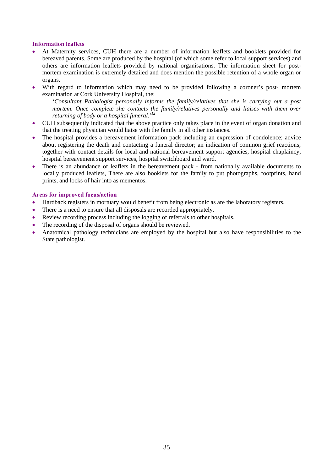### **Information leaflets**

- At Maternity services, CUH there are a number of information leaflets and booklets provided for bereaved parents. Some are produced by the hospital (of which some refer to local support services) and others are information leaflets provided by national organisations. The information sheet for postmortem examination is extremely detailed and does mention the possible retention of a whole organ or organs.
- With regard to information which may need to be provided following a coroner's post- mortem examination at Cork University Hospital, the:

*'Consultant Pathologist personally informs the family/relatives that she is carrying out a post mortem. Once complete she contacts the family/relatives personally and liaises with them over returning of body or a hospital funeral.'12*

- CUH subsequently indicated that the above practice only takes place in the event of organ donation and that the treating physician would liaise with the family in all other instances.
- The hospital provides a bereavement information pack including an expression of condolence; advice about registering the death and contacting a funeral director; an indication of common grief reactions; together with contact details for local and national bereavement support agencies, hospital chaplaincy, hospital bereavement support services, hospital switchboard and ward.
- There is an abundance of leaflets in the bereavement pack from nationally available documents to locally produced leaflets, There are also booklets for the family to put photographs, footprints, hand prints, and locks of hair into as mementos.

### **Areas for improved focus/action**

- Hardback registers in mortuary would benefit from being electronic as are the laboratory registers.
- There is a need to ensure that all disposals are recorded appropriately.
- Review recording process including the logging of referrals to other hospitals.
- The recording of the disposal of organs should be reviewed.
- Anatomical pathology technicians are employed by the hospital but also have responsibilities to the State pathologist.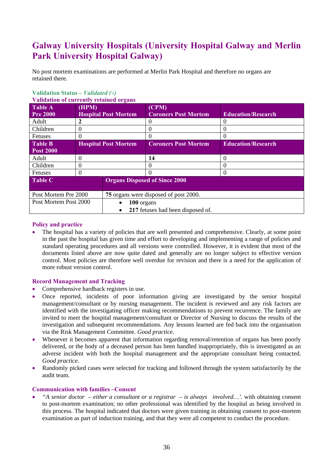# **Galway University Hospitals (University Hospital Galway and Merlin Park University Hospital Galway)**

No post mortem examinations are performed at Merlin Park Hospital and therefore no organs are retained there.

| Validation of currently retained organs |                             |                                       |                             |                           |  |  |  |  |
|-----------------------------------------|-----------------------------|---------------------------------------|-----------------------------|---------------------------|--|--|--|--|
| <b>Table A</b>                          | (HPM)                       |                                       | (CPM)                       |                           |  |  |  |  |
| <b>Pre 2000</b>                         | <b>Hospital Post Mortem</b> |                                       | <b>Coroners Post Mortem</b> | <b>Education/Research</b> |  |  |  |  |
| Adult                                   |                             |                                       |                             |                           |  |  |  |  |
| Children                                | $\theta$                    |                                       | $\theta$                    | $\theta$                  |  |  |  |  |
| Fetuses                                 | 0                           |                                       | $\Omega$                    | 0                         |  |  |  |  |
| <b>Table B</b>                          | <b>Hospital Post Mortem</b> |                                       | <b>Coroners Post Mortem</b> | <b>Education/Research</b> |  |  |  |  |
| <b>Post 2000</b>                        |                             |                                       |                             |                           |  |  |  |  |
| Adult                                   | $\Omega$                    |                                       | 14                          | 0                         |  |  |  |  |
| Children                                | $\theta$                    |                                       | $\theta$                    | $\theta$                  |  |  |  |  |
| <b>Fetuses</b>                          | $\Omega$                    |                                       |                             | 0                         |  |  |  |  |
| <b>Table C</b>                          |                             | <b>Organs Disposed of Since 2000</b>  |                             |                           |  |  |  |  |
| Post Mortem Pre 2000                    |                             | 75 organs were disposed of post 2000. |                             |                           |  |  |  |  |
| Post Mortem Post 2000                   |                             | 100 organs                            |                             |                           |  |  |  |  |
|                                         |                             | 217 fetuses had been disposed of.     |                             |                           |  |  |  |  |

### **Validation Status** *– Validated (√)*

**Validation** of c

### **Policy and practice**

• The hospital has a variety of policies that are well presented and comprehensive. Clearly, at some point in the past the hospital has given time and effort to developing and implementing a range of policies and standard operating procedures and all versions were controlled. However, it is evident that most of the documents listed above are now quite dated and generally are no longer subject to effective version control. Most policies are therefore well overdue for revision and there is a need for the application of more robust version control.

### **Record Management and Tracking**

- Comprehensive hardback registers in use.
- Once reported, incidents of poor information giving are investigated by the senior hospital management/consultant or by nursing management. The incident is reviewed and any risk factors are identified with the investigating officer making recommendations to prevent recurrence. The family are invited to meet the hospital management/consultant or Director of Nursing to discuss the results of the investigation and subsequent recommendations. Any lessons learned are fed back into the organisation via the Risk Management Committee. *Good practice.*
- Whenever it becomes apparent that information regarding removal/retention of organs has been poorly delivered, or the body of a deceased person has been handled inappropriately, this is investigated as an adverse incident with both the hospital management and the appropriate consultant being contacted. *Good practice.*
- Randomly picked cases were selected for tracking and followed through the system satisfactorily by the audit team.

### **Communication with families –Consent**

"A senior doctor – either a consultant or a registrar – is always involved...', with obtaining consent to post-mortem examination; no other professional was identified by the hospital as being involved in this process. The hospital indicated that doctors were given training in obtaining consent to post-mortem examination as part of induction training, and that they were all competent to conduct the procedure.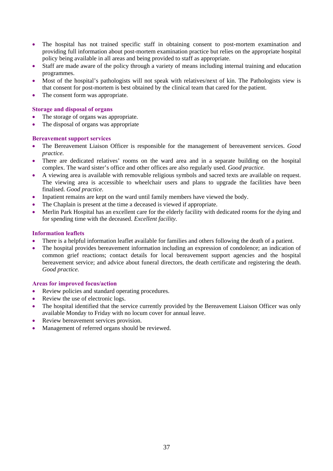- The hospital has not trained specific staff in obtaining consent to post-mortem examination and providing full information about post-mortem examination practice but relies on the appropriate hospital policy being available in all areas and being provided to staff as appropriate.
- Staff are made aware of the policy through a variety of means including internal training and education programmes.
- Most of the hospital's pathologists will not speak with relatives/next of kin. The Pathologists view is that consent for post-mortem is best obtained by the clinical team that cared for the patient.
- The consent form was appropriate.

### **Storage and disposal of organs**

- The storage of organs was appropriate.
- The disposal of organs was appropriate

#### **Bereavement support services**

- The Bereavement Liaison Officer is responsible for the management of bereavement services. *Good practice.*
- There are dedicated relatives' rooms on the ward area and in a separate building on the hospital complex. The ward sister's office and other offices are also regularly used. *Good practice.*
- A viewing area is available with removable religious symbols and sacred texts are available on request. The viewing area is accessible to wheelchair users and plans to upgrade the facilities have been finalised. *Good practice.*
- Inpatient remains are kept on the ward until family members have viewed the body.
- The Chaplain is present at the time a deceased is viewed if appropriate.
- Merlin Park Hospital has an excellent care for the elderly facility with dedicated rooms for the dying and for spending time with the deceased. *Excellent facility.*

# **Information leaflets**

- There is a helpful information leaflet available for families and others following the death of a patient.
- The hospital provides bereavement information including an expression of condolence; an indication of common grief reactions; contact details for local bereavement support agencies and the hospital bereavement service; and advice about funeral directors, the death certificate and registering the death. *Good practice.*

- Review policies and standard operating procedures.
- Review the use of electronic logs.
- The hospital identified that the service currently provided by the Bereavement Liaison Officer was only available Monday to Friday with no locum cover for annual leave.
- Review bereavement services provision.
- Management of referred organs should be reviewed.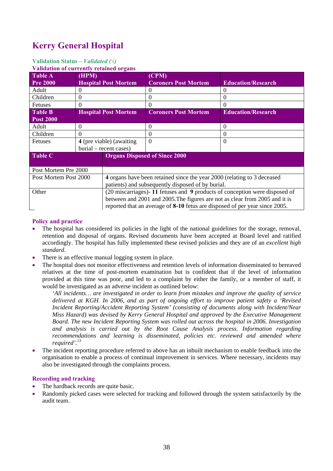# **Kerry General Hospital**

# **Validation Status** *– Validated (√)*

#### **Validation of currently retained organs**

| <u>Vanuation of currently retained organis</u> |  |                                                                                      |                                                                                                                                                                                                                                                                                        |
|------------------------------------------------|--|--------------------------------------------------------------------------------------|----------------------------------------------------------------------------------------------------------------------------------------------------------------------------------------------------------------------------------------------------------------------------------------|
| (HPM)                                          |  | (CPM)                                                                                | <b>Education/Research</b>                                                                                                                                                                                                                                                              |
| $\Omega$                                       |  | 0                                                                                    | $\left( \right)$                                                                                                                                                                                                                                                                       |
| 0                                              |  | $\theta$                                                                             | 0                                                                                                                                                                                                                                                                                      |
| $\Omega$                                       |  | $\Omega$                                                                             | 0                                                                                                                                                                                                                                                                                      |
|                                                |  | <b>Coroners Post Mortem</b>                                                          | <b>Education/Research</b>                                                                                                                                                                                                                                                              |
|                                                |  |                                                                                      |                                                                                                                                                                                                                                                                                        |
| $\theta$                                       |  | $\Omega$                                                                             | 0                                                                                                                                                                                                                                                                                      |
| $\overline{0}$                                 |  | $\Omega$                                                                             | $\overline{0}$                                                                                                                                                                                                                                                                         |
| 4 (pre viable) (awaiting                       |  | $\Omega$                                                                             | $\Omega$                                                                                                                                                                                                                                                                               |
|                                                |  |                                                                                      |                                                                                                                                                                                                                                                                                        |
|                                                |  |                                                                                      |                                                                                                                                                                                                                                                                                        |
|                                                |  |                                                                                      |                                                                                                                                                                                                                                                                                        |
| Post Mortem Pre 2000                           |  |                                                                                      |                                                                                                                                                                                                                                                                                        |
| Post Mortem Post 2000                          |  | 4 organs have been retained since the year 2000 (relating to 3 deceased              |                                                                                                                                                                                                                                                                                        |
|                                                |  |                                                                                      |                                                                                                                                                                                                                                                                                        |
|                                                |  | (20 miscarriages)-11 fetuses and 9 products of conception were disposed of           |                                                                                                                                                                                                                                                                                        |
|                                                |  |                                                                                      |                                                                                                                                                                                                                                                                                        |
|                                                |  |                                                                                      |                                                                                                                                                                                                                                                                                        |
|                                                |  | <b>Hospital Post Mortem</b><br><b>Hospital Post Mortem</b><br>burial – recent cases) | <b>Coroners Post Mortem</b><br><b>Organs Disposed of Since 2000</b><br>patients) and subsequently disposed of by burial.<br>between and 2001 and 2005. The figures are not as clear from 2005 and it is<br>reported that an average of 8-10 fetus are disposed of per year since 2005. |

# **Policy and practice**

- The hospital has considered its policies in the light of the national guidelines for the storage, removal, retention and disposal of organs. Revised documents have been accepted at Board level and ratified accordingly. The hospital has fully implemented these revised policies and they are of an *excellent high standard.*
- There is an effective manual logging system in place.
- The hospital does not monitor effectiveness and retention levels of information disseminated to bereaved relatives at the time of post-mortem examination but is confident that if the level of information provided at this time was poor, and led to a complaint by either the family, or a member of staff, it would be investigated as an adverse incident as outlined below:

*'All incidents… are investigated in order to learn from mistakes and improve the quality of service delivered at KGH. In 2006, and as part of ongoing effort to improve patient safety a 'Revised Incident Reporting/Accident Reporting System' (consisting of documents along with Incident/Near Miss Hazard) was devised by Kerry General Hospital and approved by the Executive Management Board. The new Incident Reporting System was rolled out across the hospital in 2006. Investigation and analysis is carried out by the Root Cause Analysis process. Information regarding recommendations and learning is disseminated, policies etc. reviewed and amended where required'.<sup>13</sup>*

• The incident reporting procedure referred to above has an inbuilt mechanism to enable feedback into the organisation to enable a process of continual improvement in services. Where necessary, incidents may also be investigated through the complaints process.

## **Recording and tracking**

- The hardback records are quite basic.
- Randomly picked cases were selected for tracking and followed through the system satisfactorily by the audit team.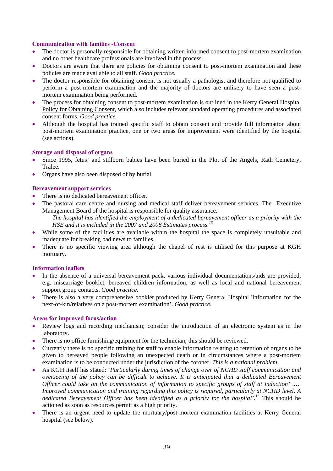### **Communication with families -Consent**

- The doctor is personally responsible for obtaining written informed consent to post-mortem examination and no other healthcare professionals are involved in the process.
- Doctors are aware that there are policies for obtaining consent to post-mortem examination and these policies are made available to all staff. *Good practice.*
- The doctor responsible for obtaining consent is not usually a pathologist and therefore not qualified to perform a post-mortem examination and the majority of doctors are unlikely to have seen a postmortem examination being performed.
- The process for obtaining consent to post-mortem examination is outlined in the Kerry General Hospital Policy for Obtaining Consent, which also includes relevant standard operating procedures and associated consent forms. *Good practice.*
- Although the hospital has trained specific staff to obtain consent and provide full information about post-mortem examination practice, one or two areas for improvement were identified by the hospital (see actions).

## **Storage and disposal of organs**

- Since 1995, fetus' and stillborn babies have been buried in the Plot of the Angels, Rath Cemetery, Tralee.
- Organs have also been disposed of by burial.

## **Bereavement support services**

- There is no dedicated bereavement officer.
- The pastoral care centre and nursing and medical staff deliver bereavement services. The Executive Management Board of the hospital is responsible for quality assurance.

*The hospital has identified the employment of a dedicated bereavement officer as a priority with the HSE and it is included in the 2007 and 2008 Estimates process.<sup>13</sup>*

- While some of the facilities are available within the hospital the space is completely unsuitable and inadequate for breaking bad news to families.
- There is no specific viewing area although the chapel of rest is utilised for this purpose at KGH mortuary.

#### **Information leaflets**

- In the absence of a universal bereavement pack, various individual documentations/aids are provided, e.g. miscarriage booklet, bereaved children information, as well as local and national bereavement support group contacts. *Good practice.*
- There is also a very comprehensive booklet produced by Kerry General Hospital 'Information for the next-of-kin/relatives on a post-mortem examination'. *Good practice.*

- Review logs and recording mechanism; consider the introduction of an electronic system as in the laboratory.
- There is no office furnishing/equipment for the technician; this should be reviewed.
- Currently there is no specific training for staff to enable information relating to retention of organs to be given to bereaved people following an unexpected death or in circumstances where a post-mortem examination is to be conducted under the jurisdiction of the coroner. *This is a national problem.*
- As KGH itself has stated: *'Particularly during times of change over of NCHD staff communication and overseeing of the policy can be difficult to achieve. It is anticipated that a dedicated Bereavement Officer could take on the communication of information to specific groups of staff at induction' .…. Improved communication and training regarding this policy is required, particularly at NCHD level. A dedicated Bereavement Officer has been identified as a priority for the hospital'.*13 This should be actioned as soon as resources permit as a high priority.
- There is an urgent need to update the mortuary/post-mortem examination facilities at Kerry General hospital (see below).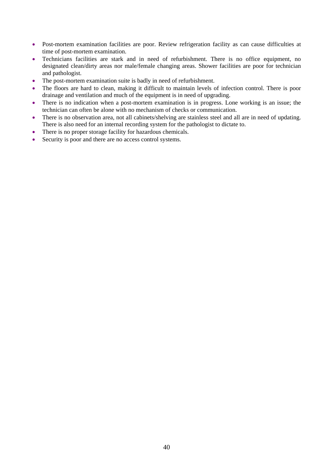- Post-mortem examination facilities are poor. Review refrigeration facility as can cause difficulties at time of post-mortem examination.
- Technicians facilities are stark and in need of refurbishment. There is no office equipment, no designated clean/dirty areas nor male/female changing areas. Shower facilities are poor for technician and pathologist.
- The post-mortem examination suite is badly in need of refurbishment.
- The floors are hard to clean, making it difficult to maintain levels of infection control. There is poor drainage and ventilation and much of the equipment is in need of upgrading.
- There is no indication when a post-mortem examination is in progress. Lone working is an issue; the technician can often be alone with no mechanism of checks or communication.
- There is no observation area, not all cabinets/shelving are stainless steel and all are in need of updating. There is also need for an internal recording system for the pathologist to dictate to.
- There is no proper storage facility for hazardous chemicals.
- Security is poor and there are no access control systems.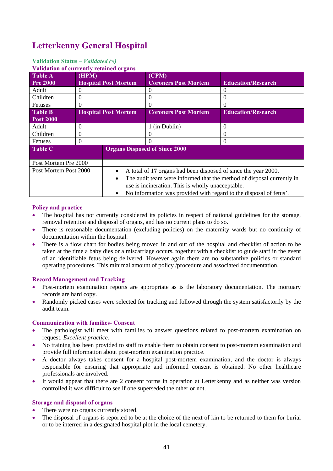# **Letterkenny General Hospital**

# **Validation Status** *– Validated (√)*

#### **Validation of any until restain**

| <u>Vanuation of currently retained organis</u> |          |                                                                                                                         |                                                                       |                           |
|------------------------------------------------|----------|-------------------------------------------------------------------------------------------------------------------------|-----------------------------------------------------------------------|---------------------------|
| $Table\overline{A}$<br><b>Pre 2000</b>         | (HPM)    | <b>Hospital Post Mortem</b>                                                                                             | (CPM)<br><b>Coroners Post Mortem</b>                                  | <b>Education/Research</b> |
| Adult                                          | $\theta$ |                                                                                                                         | $\theta$                                                              | $\theta$                  |
| Children                                       | $\Omega$ |                                                                                                                         | $\Omega$                                                              | $\Omega$                  |
| Fetuses                                        | $\theta$ |                                                                                                                         | $\theta$                                                              | 0                         |
| <b>Table B</b>                                 |          | <b>Hospital Post Mortem</b>                                                                                             | <b>Coroners Post Mortem</b>                                           | <b>Education/Research</b> |
| <b>Post 2000</b>                               |          |                                                                                                                         |                                                                       |                           |
| Adult                                          | $\Omega$ |                                                                                                                         | 1 (in Dublin)                                                         | $\Omega$                  |
| Children                                       | $\Omega$ |                                                                                                                         |                                                                       | $\Omega$                  |
| Fetuses                                        | $\Omega$ |                                                                                                                         |                                                                       | $\Omega$                  |
| Table C                                        |          |                                                                                                                         | <b>Organs Disposed of Since 2000</b>                                  |                           |
| Post Mortem Pre 2000                           |          |                                                                                                                         |                                                                       |                           |
| Post Mortem Post 2000<br>$\bullet$             |          | A total of 17 organs had been disposed of since the year 2000.                                                          |                                                                       |                           |
| $\bullet$                                      |          | use is incineration. This is wholly unacceptable.<br>No information was provided with regard to the disposal of fetus'. | The audit team were informed that the method of disposal currently in |                           |
|                                                |          |                                                                                                                         |                                                                       |                           |

#### **Policy and practice**

- The hospital has not currently considered its policies in respect of national guidelines for the storage, removal retention and disposal of organs, and has no current plans to do so.
- There is reasonable documentation (excluding policies) on the maternity wards but no continuity of documentation within the hospital.
- There is a flow chart for bodies being moved in and out of the hospital and checklist of action to be taken at the time a baby dies or a miscarriage occurs, together with a checklist to guide staff in the event of an identifiable fetus being delivered. However again there are no substantive policies or standard operating procedures. This minimal amount of policy /procedure and associated documentation.

#### **Record Management and Tracking**

- Post-mortem examination reports are appropriate as is the laboratory documentation. The mortuary records are hard copy.
- Randomly picked cases were selected for tracking and followed through the system satisfactorily by the audit team.

#### **Communication with families- Consent**

- The pathologist will meet with families to answer questions related to post-mortem examination on request. *Excellent practice.*
- No training has been provided to staff to enable them to obtain consent to post-mortem examination and provide full information about post-mortem examination practice.
- A doctor always takes consent for a hospital post-mortem examination, and the doctor is always responsible for ensuring that appropriate and informed consent is obtained. No other healthcare professionals are involved.
- It would appear that there are 2 consent forms in operation at Letterkenny and as neither was version controlled it was difficult to see if one superseded the other or not.

#### **Storage and disposal of organs**

- There were no organs currently stored.
- The disposal of organs is reported to be at the choice of the next of kin to be returned to them for burial or to be interred in a designated hospital plot in the local cemetery.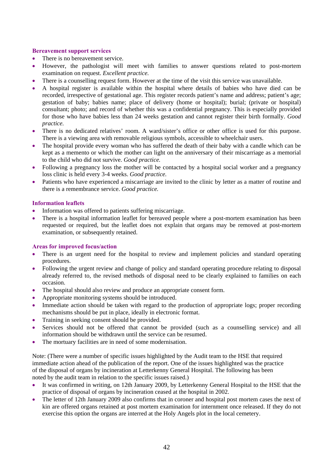### **Bereavement support services**

- There is no bereavement service.
- However, the pathologist will meet with families to answer questions related to post-mortem examination on request. *Excellent practice.*
- There is a counselling request form. However at the time of the visit this service was unavailable.
- A hospital register is available within the hospital where details of babies who have died can be recorded, irrespective of gestational age. This register records patient's name and address; patient's age; gestation of baby; babies name; place of delivery (home or hospital); burial; (private or hospital) consultant; photo; and record of whether this was a confidential pregnancy. This is especially provided for those who have babies less than 24 weeks gestation and cannot register their birth formally. *Good practice.*
- There is no dedicated relatives' room. A ward/sister's office or other office is used for this purpose. There is a viewing area with removable religious symbols, accessible to wheelchair users.
- The hospital provide every woman who has suffered the death of their baby with a candle which can be kept as a memento or which the mother can light on the anniversary of their miscarriage as a memorial to the child who did not survive. *Good practice.*
- Following a pregnancy loss the mother will be contacted by a hospital social worker and a pregnancy loss clinic is held every 3-4 weeks. *Good practice.*
- Patients who have experienced a miscarriage are invited to the clinic by letter as a matter of routine and there is a remembrance service. *Good practice.*

## **Information leaflets**

- Information was offered to patients suffering miscarriage.
- There is a hospital information leaflet for bereaved people where a post-mortem examination has been requested or required, but the leaflet does not explain that organs may be removed at post-mortem examination, or subsequently retained.

#### **Areas for improved focus/action**

- There is an urgent need for the hospital to review and implement policies and standard operating procedures.
- Following the urgent review and change of policy and standard operating procedure relating to disposal already referred to, the revised methods of disposal need to be clearly explained to families on each occasion.
- The hospital should also review and produce an appropriate consent form.
- Appropriate monitoring systems should be introduced.
- Immediate action should be taken with regard to the production of appropriate logs; proper recording mechanisms should be put in place, ideally in electronic format.
- Training in seeking consent should be provided.
- Services should not be offered that cannot be provided (such as a counselling service) and all information should be withdrawn until the service can be resumed.
- The mortuary facilities are in need of some modernisation.

Note: (There were a number of specific issues highlighted by the Audit team to the HSE that required immediate action ahead of the publication of the report. One of the issues highlighted was the practice of the disposal of organs by incineration at Letterkenny General Hospital. The following has been noted by the audit team in relation to the specific issues raised.)

- It was confirmed in writing, on 12th January 2009, by Letterkenny General Hospital to the HSE that the practice of disposal of organs by incineration ceased at the hospital in 2002.
- The letter of 12th January 2009 also confirms that in coroner and hospital post mortem cases the next of kin are offered organs retained at post mortem examination for internment once released. If they do not exercise this option the organs are interred at the Holy Angels plot in the local cemetery.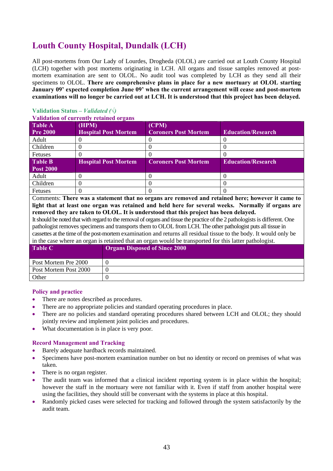# **Louth County Hospital, Dundalk (LCH)**

All post-mortems from Our Lady of Lourdes, Drogheda (OLOL) are carried out at Louth County Hospital (LCH) together with post mortems originating in LCH. All organs and tissue samples removed at postmortem examination are sent to OLOL. No audit tool was completed by LCH as they send all their specimens to OLOL. **There are comprehensive plans in place for a new mortuary at OLOL starting January 09' expected completion June 09' when the current arrangement will cease and post-mortem examinations will no longer be carried out at LCH. It is understood that this project has been delayed.** 

# **Validation Status** *– Validated (√)*

#### **Validation of currently retained organs**

| <b>Table A</b>   | (HPM)                       | (CPM)                       |                           |
|------------------|-----------------------------|-----------------------------|---------------------------|
| <b>Pre 2000</b>  | <b>Hospital Post Mortem</b> | <b>Coroners Post Mortem</b> | <b>Education/Research</b> |
| Adult            |                             |                             |                           |
| Children         |                             |                             |                           |
| <b>Fetuses</b>   |                             |                             |                           |
| <b>Table B</b>   | <b>Hospital Post Mortem</b> | <b>Coroners Post Mortem</b> | <b>Education/Research</b> |
| <b>Post 2000</b> |                             |                             |                           |
| Adult            |                             |                             |                           |
| Children         |                             |                             |                           |
| Fetuses          |                             |                             |                           |

Comments: **There was a statement that no organs are removed and retained here; however it came to light that at least one organ was retained and held here for several weeks. Normally if organs are removed they are taken to OLOL. It is understood that this project has been delayed.**

It should be noted that with regard to the removal of organs and tissue the practice of the 2 pathologists is different. One pathologist removes specimens and transports them to OLOL from LCH. The other pathologist puts all tissue in cassettes at the time of the post-mortem examination and returns all residual tissue to the body. It would only be in the case where an organ is retained that an organ would be transported for this latter pathologist.

| <b>Table C</b>        | <b>Organs Disposed of Since 2000</b> |
|-----------------------|--------------------------------------|
| Post Mortem Pre 2000  |                                      |
| Post Mortem Post 2000 |                                      |
| Other                 |                                      |

#### **Policy and practice**

- There are notes described as procedures.
- There are no appropriate policies and standard operating procedures in place.
- There are no policies and standard operating procedures shared between LCH and OLOL; they should jointly review and implement joint policies and procedures.
- What documentation is in place is very poor.

- Barely adequate hardback records maintained.
- Specimens have post-mortem examination number on but no identity or record on premises of what was taken.
- There is no organ register.
- The audit team was informed that a clinical incident reporting system is in place within the hospital; however the staff in the mortuary were not familiar with it. Even if staff from another hospital were using the facilities, they should still be conversant with the systems in place at this hospital.
- Randomly picked cases were selected for tracking and followed through the system satisfactorily by the audit team.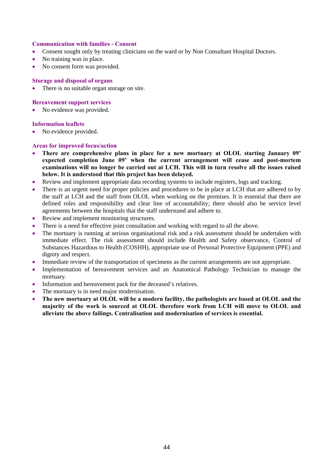#### **Communication with families - Consent**

- Consent sought only by treating clinicians on the ward or by Non Consultant Hospital Doctors.
- No training was in place.
- No consent form was provided.

#### **Storage and disposal of organs**

• There is no suitable organ storage on site.

#### **Bereavement support services**

• No evidence was provided.

#### **Information leaflets**

• No evidence provided.

- **There are comprehensive plans in place for a new mortuary at OLOL starting January 09' expected completion June 09' when the current arrangement will cease and post-mortem examinations will no longer be carried out at LCH. This will in turn resolve all the issues raised below. It is understood that this project has been delayed.**
- Review and implement appropriate data recording systems to include registers, logs and tracking.
- There is an urgent need for proper policies and procedures to be in place at LCH that are adhered to by the staff at LCH and the staff from OLOL when working on the premises. It is essential that there are defined roles and responsibility and clear line of accountability; there should also be service level agreements between the hospitals that the staff understand and adhere to.
- Review and implement monitoring structures.
- There is a need for effective joint consultation and working with regard to all the above.
- The mortuary is running at serious organisational risk and a risk assessment should be undertaken with immediate effect. The risk assessment should include Health and Safety observance, Control of Substances Hazardous to Health (COSHH), appropriate use of Personal Protective Equipment (PPE) and dignity and respect.
- Immediate review of the transportation of specimens as the current arrangements are not appropriate.
- Implementation of bereavement services and an Anatomical Pathology Technician to manage the mortuary.
- Information and bereavement pack for the deceased's relatives.
- The mortuary is in need major modernisation.
- **The new mortuary at OLOL will be a modern facility, the pathologists are based at OLOL and the majority of the work is sourced at OLOL therefore work from LCH will move to OLOL and alleviate the above failings. Centralisation and modernisation of services is essential.**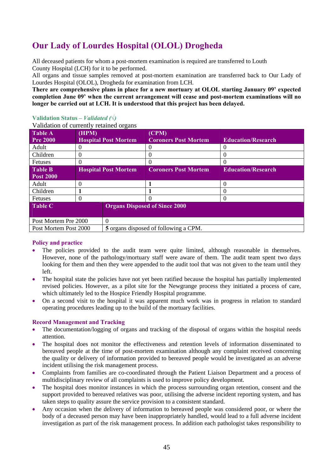# **Our Lady of Lourdes Hospital (OLOL) Drogheda**

All deceased patients for whom a post-mortem examination is required are transferred to Louth County Hospital (LCH) for it to be performed.

All organs and tissue samples removed at post-mortem examination are transferred back to Our Lady of Lourdes Hospital (OLOL), Drogheda for examination from LCH.

**There are comprehensive plans in place for a new mortuary at OLOL starting January 09' expected completion June 09' when the current arrangement will cease and post-mortem examinations will no longer be carried out at LCH. It is understood that this project has been delayed.** 

## **Validation Status – Validated (** $\sqrt{}$ **)**

Validation of currently retained organs

| Table A                   | (HPM)                       |                             | (CPM)                                 |                           |
|---------------------------|-----------------------------|-----------------------------|---------------------------------------|---------------------------|
| <b>Pre 2000</b>           |                             | <b>Hospital Post Mortem</b> | <b>Coroners Post Mortem</b>           | <b>Education/Research</b> |
| Adult                     |                             |                             |                                       | O                         |
| Children                  |                             |                             |                                       |                           |
| Fetuses                   |                             |                             |                                       |                           |
| Table B                   | <b>Hospital Post Mortem</b> |                             | <b>Coroners Post Mortem</b>           | <b>Education/Research</b> |
| <b>Post 2000</b>          |                             |                             |                                       |                           |
| Adult                     |                             |                             |                                       | $\Omega$                  |
| Children                  |                             |                             |                                       | $\theta$                  |
| Fetuses                   |                             |                             |                                       | $\Omega$                  |
| Table C                   |                             |                             | <b>Organs Disposed of Since 2000</b>  |                           |
|                           |                             |                             |                                       |                           |
| Post Mortem Pre 2000<br>0 |                             |                             |                                       |                           |
| Post Mortem Post 2000     |                             |                             | 5 organs disposed of following a CPM. |                           |

#### **Policy and practice**

- The policies provided to the audit team were quite limited, although reasonable in themselves. However, none of the pathology/mortuary staff were aware of them. The audit team spent two days looking for them and then they were appended to the audit tool that was not given to the team until they left.
- The hospital state the policies have not yet been ratified because the hospital has partially implemented revised policies. However, as a pilot site for the Newgrange process they initiated a process of care, which ultimately led to the Hospice Friendly Hospital programme.
- On a second visit to the hospital it was apparent much work was in progress in relation to standard operating procedures leading up to the build of the mortuary facilities.

- The documentation/logging of organs and tracking of the disposal of organs within the hospital needs attention.
- The hospital does not monitor the effectiveness and retention levels of information disseminated to bereaved people at the time of post-mortem examination although any complaint received concerning the quality or delivery of information provided to bereaved people would be investigated as an adverse incident utilising the risk management process.
- Complaints from families are co-coordinated through the Patient Liaison Department and a process of multidisciplinary review of all complaints is used to improve policy development.
- The hospital does monitor instances in which the process surrounding organ retention, consent and the support provided to bereaved relatives was poor, utilising the adverse incident reporting system, and has taken steps to quality assure the service provision to a consistent standard.
- Any occasion when the delivery of information to bereaved people was considered poor, or where the body of a deceased person may have been inappropriately handled, would lead to a full adverse incident investigation as part of the risk management process. In addition each pathologist takes responsibility to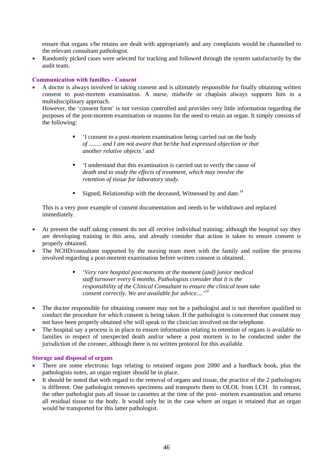ensure that organs s/he retains are dealt with appropriately and any complaints would be channelled to the relevant consultant pathologist.

• Randomly picked cases were selected for tracking and followed through the system satisfactorily by the audit team.

#### **Communication with families - Consent**

• A doctor is always involved in taking consent and is ultimately responsible for finally obtaining written consent to post-mortem examination. A nurse, midwife or chaplain always supports him in a multidisciplinary approach.

However, the 'consent form' is not version controlled and provides very little information regarding the purposes of the post-mortem examination or reasons for the need to retain an organ. It simply consists of the following:

- 'I consent to a post-mortem examination being carried out on the body *of ........ and I am not aware that he/she had expressed objection or that another relative objects.'* and
- 'I understand that this examination is carried out to verify the cause of *death and to study the effects of treatment, which may involve the retention of tissue for laboratory study.*
- Signed, Relationship with the deceased. Witnessed by and date.<sup>14</sup>

This is a very poor example of consent documentation and needs to be withdrawn and replaced immediately.

- At present the staff taking consent do not all receive individual training; although the hospital say they are developing training in this area, and already consider that action is taken to ensure consent is properly obtained.
- The NCHD/consultant supported by the nursing team meet with the family and outline the process involved regarding a post-mortem examination before written consent is obtained.
	- *'Very rare hospital post mortems at the moment (and) junior medical staff turnover every 6 months. Pathologists consider that it is the responsibility of the Clinical Consultant to ensure the clinical team take consent correctly. We are available for advice....'14*
- The doctor responsible for obtaining consent may not be a pathologist and is not therefore qualified to conduct the procedure for which consent is being taken. If the pathologist is concerned that consent may not have been properly obtained s/he will speak to the clinician involved on the telephone.
- The hospital say a process is in place to ensure information relating to retention of organs is available to families in respect of unexpected death and/or where a post mortem is to be conducted under the jurisdiction of the coroner, although there is no written protocol for this available.

#### **Storage and disposal of organs**

- There are some electronic logs relating to retained organs post 2000 and a hardback book, plus the pathologists notes, an organ register should be in place.
- It should be noted that with regard to the removal of organs and tissue, the practice of the 2 pathologists is different. One pathologist removes specimens and transports them to OLOL from LCH. In contrast, the other pathologist puts all tissue in cassettes at the time of the post- mortem examination and returns all residual tissue to the body. It would only be in the case where an organ is retained that an organ would be transported for this latter pathologist.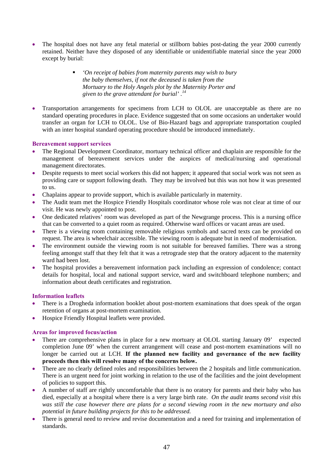- The hospital does not have any fetal material or stillborn babies post-dating the year 2000 currently retained. Neither have they disposed of any identifiable or unidentifiable material since the year 2000 except by burial:
	- *'On receipt of babies from maternity parents may wish to bury the baby themselves, if not the deceased is taken from the Mortuary to the Holy Angels plot by the Maternity Porter and given to the grave attendant for burial' .<sup>14</sup>*
- Transportation arrangements for specimens from LCH to OLOL are unacceptable as there are no standard operating procedures in place. Evidence suggested that on some occasions an undertaker would transfer an organ for LCH to OLOL. Use of Bio-Hazard bags and appropriate transportation coupled with an inter hospital standard operating procedure should be introduced immediately.

## **Bereavement support services**

- The Regional Development Coordinator, mortuary technical officer and chaplain are responsible for the management of bereavement services under the auspices of medical/nursing and operational management directorates.
- Despite requests to meet social workers this did not happen; it appeared that social work was not seen as providing care or support following death. They may be involved but this was not how it was presented to us.
- Chaplains appear to provide support, which is available particularly in maternity.
- The Audit team met the Hospice Friendly Hospitals coordinator whose role was not clear at time of our visit. He was newly appointed to post.
- One dedicated relatives' room was developed as part of the Newgrange process. This is a nursing office that can be converted to a quiet room as required. Otherwise ward offices or vacant areas are used.
- There is a viewing room containing removable religious symbols and sacred texts can be provided on request. The area is wheelchair accessible. The viewing room is adequate but in need of modernisation.
- The environment outside the viewing room is not suitable for bereaved families. There was a strong feeling amongst staff that they felt that it was a retrograde step that the oratory adjacent to the maternity ward had been lost.
- The hospital provides a bereavement information pack including an expression of condolence; contact details for hospital, local and national support service, ward and switchboard telephone numbers; and information about death certificates and registration.

#### **Information leaflets**

- There is a Drogheda information booklet about post-mortem examinations that does speak of the organ retention of organs at post-mortem examination.
- Hospice Friendly Hospital leaflets were provided.

- There are comprehensive plans in place for a new mortuary at OLOL starting January 09' expected completion June 09' when the current arrangement will cease and post-mortem examinations will no longer be carried out at LCH. **If the planned new facility and governance of the new facility proceeds then this will resolve many of the concerns below.**
- There are no clearly defined roles and responsibilities between the 2 hospitals and little communication. There is an urgent need for joint working in relation to the use of the facilities and the joint development of policies to support this.
- A number of staff are rightly uncomfortable that there is no oratory for parents and their baby who has died, especially at a hospital where there is a very large birth rate. *On the audit teams second visit this was still the case however there are plans for a second viewing room in the new mortuary and also potential in future building projects for this to be addressed.*
- There is general need to review and revise documentation and a need for training and implementation of standards.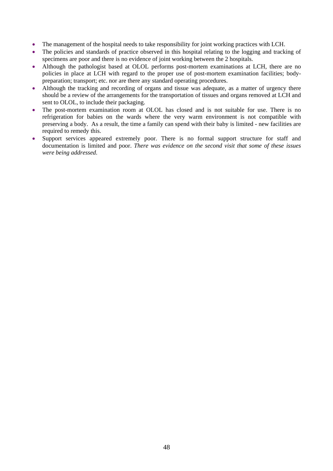- The management of the hospital needs to take responsibility for joint working practices with LCH.
- The policies and standards of practice observed in this hospital relating to the logging and tracking of specimens are poor and there is no evidence of joint working between the 2 hospitals.
- Although the pathologist based at OLOL performs post-mortem examinations at LCH, there are no policies in place at LCH with regard to the proper use of post-mortem examination facilities; bodypreparation; transport; etc. nor are there any standard operating procedures.
- Although the tracking and recording of organs and tissue was adequate, as a matter of urgency there should be a review of the arrangements for the transportation of tissues and organs removed at LCH and sent to OLOL, to include their packaging.
- The post-mortem examination room at OLOL has closed and is not suitable for use. There is no refrigeration for babies on the wards where the very warm environment is not compatible with preserving a body. As a result, the time a family can spend with their baby is limited - new facilities are required to remedy this.
- Support services appeared extremely poor. There is no formal support structure for staff and documentation is limited and poor. *There was evidence on the second visit that some of these issues were being addressed.*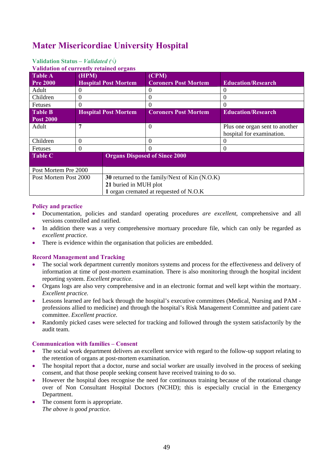# **Mater Misericordiae University Hospital**

# **Validation Status** *– Validated (√)*

**Validation of currently retained organs** 

| <i>v</i> anuation of carrently retained of gans |          |                                               |                                        |                                |  |
|-------------------------------------------------|----------|-----------------------------------------------|----------------------------------------|--------------------------------|--|
| Table A                                         | (HPM)    |                                               | (CPM)                                  |                                |  |
| <b>Pre 2000</b>                                 |          | <b>Hospital Post Mortem</b>                   | <b>Coroners Post Mortem</b>            | <b>Education/Research</b>      |  |
| Adult                                           | 0        |                                               | 0                                      | O                              |  |
| Children                                        | $\theta$ |                                               | $\theta$                               | $\left( \right)$               |  |
| <b>Fetuses</b>                                  | 0        |                                               |                                        | 0                              |  |
| <b>Table B</b>                                  |          | <b>Hospital Post Mortem</b>                   | <b>Coroners Post Mortem</b>            | <b>Education/Research</b>      |  |
| <b>Post 2000</b>                                |          |                                               |                                        |                                |  |
| Adult                                           | 7        |                                               | $\Omega$                               | Plus one organ sent to another |  |
|                                                 |          |                                               |                                        | hospital for examination.      |  |
| Children                                        | $\Omega$ |                                               | $\Omega$                               | O                              |  |
| <b>Fetuses</b>                                  | $\Omega$ |                                               |                                        | 0                              |  |
| <b>Table C</b>                                  |          |                                               | <b>Organs Disposed of Since 2000</b>   |                                |  |
|                                                 |          |                                               |                                        |                                |  |
| Post Mortem Pre 2000                            |          |                                               |                                        |                                |  |
| Post Mortem Post 2000                           |          | 30 returned to the family/Next of Kin (N.O.K) |                                        |                                |  |
| 21 buried in MUH plot                           |          |                                               |                                        |                                |  |
|                                                 |          |                                               | 1 organ cremated at requested of N.O.K |                                |  |

## **Policy and practice**

- Documentation, policies and standard operating procedures *are excellent*, comprehensive and all versions controlled and ratified.
- In addition there was a very comprehensive mortuary procedure file, which can only be regarded as *excellent practice*.
- There is evidence within the organisation that policies are embedded.

## **Record Management and Tracking**

- The social work department currently monitors systems and process for the effectiveness and delivery of information at time of post-mortem examination. There is also monitoring through the hospital incident reporting system. *Excellent practice*.
- Organs logs are also very comprehensive and in an electronic format and well kept within the mortuary. *Excellent practice.*
- Lessons learned are fed back through the hospital's executive committees (Medical, Nursing and PAM professions allied to medicine) and through the hospital's Risk Management Committee and patient care committee. *Excellent practice.*
- Randomly picked cases were selected for tracking and followed through the system satisfactorily by the audit team.

## **Communication with families – Consent**

- The social work department delivers an excellent service with regard to the follow-up support relating to the retention of organs at post-mortem examination.
- The hospital report that a doctor, nurse and social worker are usually involved in the process of seeking consent, and that those people seeking consent have received training to do so.
- However the hospital does recognise the need for continuous training because of the rotational change over of Non Consultant Hospital Doctors (NCHD); this is especially crucial in the Emergency Department.
- The consent form is appropriate. *The above is good practice.*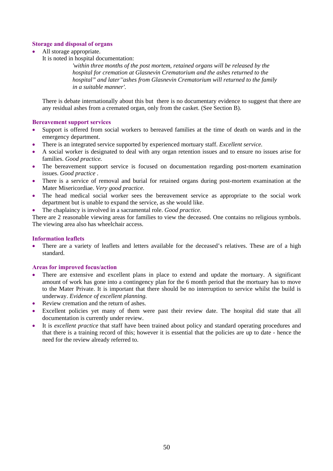## **Storage and disposal of organs**

- All storage appropriate.
	- It is noted in hospital documentation:

*'within three months of the post mortem, retained organs will be released by the hospital for cremation at Glasnevin Crematorium and the ashes returned to the hospital" and later''ashes from Glasnevin Crematorium will returned to the family in a suitable manner'.* 

There is debate internationally about this but there is no documentary evidence to suggest that there are any residual ashes from a cremated organ, only from the casket. (See Section B).

## **Bereavement support services**

- Support is offered from social workers to bereaved families at the time of death on wards and in the emergency department.
- There is an integrated service supported by experienced mortuary staff. *Excellent service.*
- A social worker is designated to deal with any organ retention issues and to ensure no issues arise for families. *Good practice.*
- The bereavement support service is focused on documentation regarding post-mortem examination issues. *Good practice .*
- There is a service of removal and burial for retained organs during post-mortem examination at the Mater Misericordiae. *Very good practice.*
- The head medical social worker sees the bereavement service as appropriate to the social work department but is unable to expand the service, as she would like.
- The chaplaincy is involved in a sacramental role. *Good practice.*

There are 2 reasonable viewing areas for families to view the deceased. One contains no religious symbols. The viewing area also has wheelchair access.

### **Information leaflets**

There are a variety of leaflets and letters available for the deceased's relatives. These are of a high standard.

- There are extensive and excellent plans in place to extend and update the mortuary. A significant amount of work has gone into a contingency plan for the 6 month period that the mortuary has to move to the Mater Private. It is important that there should be no interruption to service whilst the build is underway. *Evidence of excellent planning.*
- Review cremation and the return of ashes.
- Excellent policies yet many of them were past their review date. The hospital did state that all documentation is currently under review.
- It is *excellent practice* that staff have been trained about policy and standard operating procedures and that there is a training record of this; however it is essential that the policies are up to date - hence the need for the review already referred to.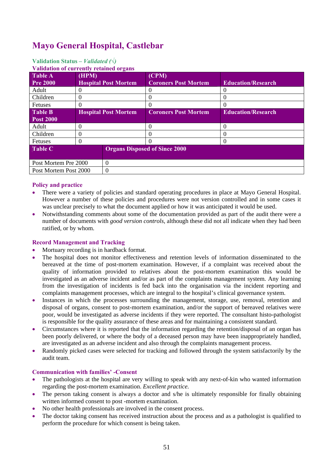# **Mayo General Hospital, Castlebar**

## **Validation Status** *– Validated (√)*

#### **Validation of currently retained organs**

| <u>Vandation of currently retained organis</u> |       |                             |                                      |                           |
|------------------------------------------------|-------|-----------------------------|--------------------------------------|---------------------------|
| <b>Table A</b>                                 | (HPM) |                             | (CPM)                                |                           |
| <b>Pre 2000</b>                                |       | <b>Hospital Post Mortem</b> | <b>Coroners Post Mortem</b>          | <b>Education/Research</b> |
| Adult                                          |       |                             |                                      |                           |
| Children                                       | 0     |                             |                                      | 0                         |
| <b>Fetuses</b>                                 |       |                             |                                      | $\left( \right)$          |
| <b>Table B</b>                                 |       | <b>Hospital Post Mortem</b> | <b>Coroners Post Mortem</b>          | <b>Education/Research</b> |
| <b>Post 2000</b>                               |       |                             |                                      |                           |
| Adult                                          |       |                             |                                      | $\Omega$                  |
| Children                                       |       |                             |                                      | $\left( \right)$          |
| <b>Fetuses</b>                                 |       |                             |                                      | $\left($                  |
| Table C                                        |       |                             | <b>Organs Disposed of Since 2000</b> |                           |
|                                                |       |                             |                                      |                           |
| $\Omega$<br>Post Mortem Pre 2000               |       |                             |                                      |                           |
| Post Mortem Post 2000                          |       | $\Omega$                    |                                      |                           |

#### **Policy and practice**

- There were a variety of policies and standard operating procedures in place at Mayo General Hospital. However a number of these policies and procedures were not version controlled and in some cases it was unclear precisely to what the document applied or how it was anticipated it would be used.
- Notwithstanding comments about some of the documentation provided as part of the audit there were a number of documents with *good version controls*, although these did not all indicate when they had been ratified, or by whom.

### **Record Management and Tracking**

- Mortuary recording is in hardback format.
- The hospital does not monitor effectiveness and retention levels of information disseminated to the bereaved at the time of post-mortem examination. However, if a complaint was received about the quality of information provided to relatives about the post-mortem examination this would be investigated as an adverse incident and/or as part of the complaints management system. Any learning from the investigation of incidents is fed back into the organisation via the incident reporting and complaints management processes, which are integral to the hospital's clinical governance system.
- Instances in which the processes surrounding the management, storage, use, removal, retention and disposal of organs, consent to post-mortem examination, and/or the support of bereaved relatives were poor, would be investigated as adverse incidents if they were reported. The consultant histo-pathologist is responsible for the quality assurance of these areas and for maintaining a consistent standard.
- Circumstances where it is reported that the information regarding the retention/disposal of an organ has been poorly delivered, or where the body of a deceased person may have been inappropriately handled, are investigated as an adverse incident and also through the complaints management process.
- Randomly picked cases were selected for tracking and followed through the system satisfactorily by the audit team.

#### **Communication with families' -Consent**

- The pathologists at the hospital are very willing to speak with any next-of-kin who wanted information regarding the post-mortem examination. *Excellent practice.*
- The person taking consent is always a doctor and s/he is ultimately responsible for finally obtaining written informed consent to post -mortem examination.
- No other health professionals are involved in the consent process.
- The doctor taking consent has received instruction about the process and as a pathologist is qualified to perform the procedure for which consent is being taken.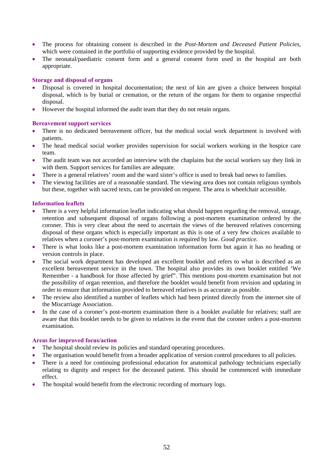- The process for obtaining consent is described in the *Post-Mortem and Deceased Patient Policies*, which were contained in the portfolio of supporting evidence provided by the hospital.
- The neonatal/paediatric consent form and a general consent form used in the hospital are both appropriate.

### **Storage and disposal of organs**

- Disposal is covered in hospital documentation; the next of kin are given a choice between hospital disposal, which is by burial or cremation, or the return of the organs for them to organise respectful disposal.
- However the hospital informed the audit team that they do not retain organs.

## **Bereavement support services**

- There is no dedicated bereavement officer, but the medical social work department is involved with patients.
- The head medical social worker provides supervision for social workers working in the hospice care team.
- The audit team was not accorded an interview with the chaplains but the social workers say they link in with them. Support services for families are adequate.
- There is a general relatives' room and the ward sister's office is used to break bad news to families.
- The viewing facilities are of a reasonable standard. The viewing area does not contain religious symbols but these, together with sacred texts, can be provided on request. The area is wheelchair accessible.

## **Information leaflets**

- There is a very helpful information leaflet indicating what should happen regarding the removal, storage, retention and subsequent disposal of organs following a post-mortem examination ordered by the coroner. This is very clear about the need to ascertain the views of the bereaved relatives concerning disposal of these organs which is especially important as this is one of a very few choices available to relatives when a coroner's post-mortem examination is required by law. *Good practice.*
- There is what looks like a post-mortem examination information form but again it has no heading or version controls in place.
- The social work department has developed an excellent booklet and refers to what is described as an excellent bereavement service in the town. The hospital also provides its own booklet entitled 'We Remember - a handbook for those affected by grief". This mentions post-mortem examination but not the possibility of organ retention, and therefore the booklet would benefit from revision and updating in order to ensure that information provided to bereaved relatives is as accurate as possible.
- The review also identified a number of leaflets which had been printed directly from the internet site of the Miscarriage Association.
- In the case of a coroner's post-mortem examination there is a booklet available for relatives; staff are aware that this booklet needs to be given to relatives in the event that the coroner orders a post-mortem examination.

- The hospital should review its policies and standard operating procedures.
- The organisation would benefit from a broader application of version control procedures to all policies.
- There is a need for continuing professional education for anatomical pathology technicians especially relating to dignity and respect for the deceased patient. This should be commenced with immediate effect.
- The hospital would benefit from the electronic recording of mortuary logs.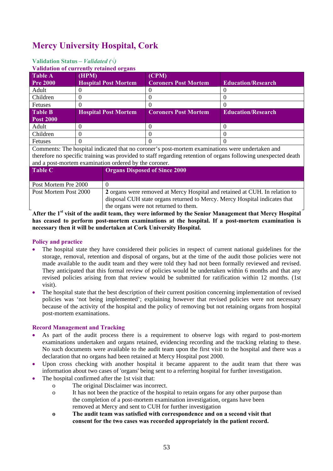# **Mercy University Hospital, Cork**

# **Validation Status** *– Validated (√)*

**Validation of currently retained organs**

| <u>Vanuation of currently retained of gans</u> |                             |                             |                           |  |  |
|------------------------------------------------|-----------------------------|-----------------------------|---------------------------|--|--|
| <b>Table A</b>                                 | (HPM)                       | (CPM)                       |                           |  |  |
| <b>Pre 2000</b>                                | <b>Hospital Post Mortem</b> | <b>Coroners Post Mortem</b> | <b>Education/Research</b> |  |  |
| Adult                                          |                             |                             |                           |  |  |
| Children                                       |                             |                             |                           |  |  |
| <b>Fetuses</b>                                 |                             |                             |                           |  |  |
| <b>Table B</b>                                 | <b>Hospital Post Mortem</b> | <b>Coroners Post Mortem</b> | <b>Education/Research</b> |  |  |
| <b>Post 2000</b>                               |                             |                             |                           |  |  |
| Adult                                          |                             |                             |                           |  |  |
| Children                                       |                             |                             |                           |  |  |
| Fetuses                                        |                             |                             |                           |  |  |

Comments: The hospital indicated that no coroner's post-mortem examinations were undertaken and therefore no specific training was provided to staff regarding retention of organs following unexpected death and a post-mortem examination ordered by the coroner.

| <b>Table C</b>        | <b>Organs Disposed of Since 2000</b>                                        |  |
|-----------------------|-----------------------------------------------------------------------------|--|
|                       |                                                                             |  |
| Post Mortem Pre 2000  |                                                                             |  |
| Post Mortem Post 2000 | 2 organs were removed at Mercy Hospital and retained at CUH. In relation to |  |
|                       | disposal CUH state organs returned to Mercy. Mercy Hospital indicates that  |  |
|                       | the organs were not returned to them.                                       |  |

After the 1<sup>st</sup> visit of the audit team, they were informed by the Senior Management that Mercy Hospital **has ceased to perform post-mortem examinations at the hospital. If a post-mortem examination is necessary then it will be undertaken at Cork University Hospital.** 

#### **Policy and practice**

- The hospital state they have considered their policies in respect of current national guidelines for the storage, removal, retention and disposal of organs, but at the time of the audit those policies were not made available to the audit team and they were told they had not been formally reviewed and revised. They anticipated that this formal review of policies would be undertaken within 6 months and that any revised policies arising from that review would be submitted for ratification within 12 months. (1st visit).
- The hospital state that the best description of their current position concerning implementation of revised policies was 'not being implemented'; explaining however that revised policies were not necessary because of the activity of the hospital and the policy of removing but not retaining organs from hospital post-mortem examinations.

- As part of the audit process there is a requirement to observe logs with regard to post-mortem examinations undertaken and organs retained, evidencing recording and the tracking relating to these. No such documents were available to the audit team upon the first visit to the hospital and there was a declaration that no organs had been retained at Mercy Hospital post 2000.
- Upon cross checking with another hospital it became apparent to the audit team that there was information about two cases of 'organs' being sent to a referring hospital for further investigation.
- The hospital confirmed after the 1st visit that:
	- o The original Disclaimer was incorrect.
	- o It has not been the practice of the hospital to retain organs for any other purpose than the completion of a post-mortem examination investigation, organs have been removed at Mercy and sent to CUH for further investigation
	- **o The audit team was satisfied with correspondence and on a second visit that consent for the two cases was recorded appropriately in the patient record.**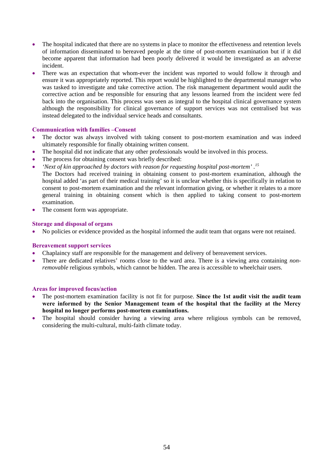- The hospital indicated that there are no systems in place to monitor the effectiveness and retention levels of information disseminated to bereaved people at the time of post-mortem examination but if it did become apparent that information had been poorly delivered it would be investigated as an adverse incident.
- There was an expectation that whom-ever the incident was reported to would follow it through and ensure it was appropriately reported. This report would be highlighted to the departmental manager who was tasked to investigate and take corrective action. The risk management department would audit the corrective action and be responsible for ensuring that any lessons learned from the incident were fed back into the organisation. This process was seen as integral to the hospital clinical governance system although the responsibility for clinical governance of support services was not centralised but was instead delegated to the individual service heads and consultants.

#### **Communication with families –Consent**

- The doctor was always involved with taking consent to post-mortem examination and was indeed ultimately responsible for finally obtaining written consent.
- The hospital did not indicate that any other professionals would be involved in this process.
- The process for obtaining consent was briefly described:
- *'Next of kin approached by doctors with reason for requesting hospital post-mortem' .<sup>15</sup>*
- The Doctors had received training in obtaining consent to post-mortem examination, although the hospital added 'as part of their medical training' so it is unclear whether this is specifically in relation to consent to post-mortem examination and the relevant information giving, or whether it relates to a more general training in obtaining consent which is then applied to taking consent to post-mortem examination.
- The consent form was appropriate.

#### **Storage and disposal of organs**

• No policies or evidence provided as the hospital informed the audit team that organs were not retained.

#### **Bereavement support services**

- Chaplaincy staff are responsible for the management and delivery of bereavement services.
- There are dedicated relatives' rooms close to the ward area. There is a viewing area containing *nonremovable* religious symbols, which cannot be hidden. The area is accessible to wheelchair users.

- The post-mortem examination facility is not fit for purpose. **Since the 1st audit visit the audit team were informed by the Senior Management team of the hospital that the facility at the Mercy hospital no longer performs post-mortem examinations.**
- The hospital should consider having a viewing area where religious symbols can be removed, considering the multi-cultural, multi-faith climate today.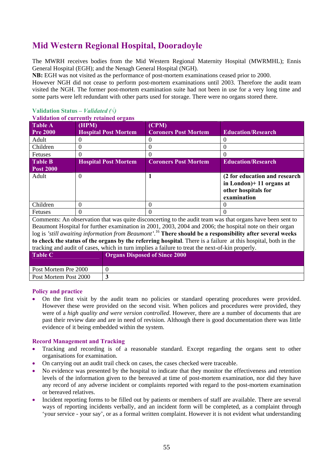# **Mid Western Regional Hospital, Dooradoyle**

The MWRH receives bodies from the Mid Western Regional Maternity Hospital (MWRMHL); Ennis General Hospital (EGH); and the Nenagh General Hospital (NGH).

**NB:** EGH was not visited as the performance of post-mortem examinations ceased prior to 2000.

However NGH did not cease to perform post-mortem examinations until 2003. Therefore the audit team visited the NGH. The former post-mortem examination suite had not been in use for a very long time and some parts were left redundant with other parts used for storage. There were no organs stored there.

## **Validation Status** *– Validated (√)*

#### **Validation of currently retained organs**

| <b>Table A</b>   | (HPM)                       | (CPM)                       |                                                            |
|------------------|-----------------------------|-----------------------------|------------------------------------------------------------|
| <b>Pre 2000</b>  | <b>Hospital Post Mortem</b> | <b>Coroners Post Mortem</b> | <b>Education/Research</b>                                  |
| Adult            |                             |                             |                                                            |
| Children         |                             |                             |                                                            |
| <b>Fetuses</b>   |                             |                             |                                                            |
| <b>Table B</b>   | <b>Hospital Post Mortem</b> | <b>Coroners Post Mortem</b> | <b>Education/Research</b>                                  |
| <b>Post 2000</b> |                             |                             |                                                            |
| Adult            | 0                           |                             | (2 for education and research<br>in London $+11$ organs at |
|                  |                             |                             | other hospitals for<br>examination                         |
| Children         |                             |                             |                                                            |
| Fetuses          |                             |                             |                                                            |

Comments: An observation that was quite disconcerting to the audit team was that organs have been sent to Beaumont Hospital for further examination in 2001, 2003, 2004 and 2006; the hospital note on their organ log is *'still awaiting information from Beaumont'*. <sup>16</sup> **There should be a responsibility after several weeks to check the status of the organs by the referring hospital**. There is a failure at this hospital, both in the tracking and audit of cases, which in turn implies a failure to treat the next-of-kin properly.

| <b>Table C</b>        | <b>Organs Disposed of Since 2000</b> |
|-----------------------|--------------------------------------|
| Post Mortem Pre 2000  |                                      |
| Post Mortem Post 2000 |                                      |

#### **Policy and practice**

• On the first visit by the audit team no policies or standard operating procedures were provided. However these were provided on the second visit. When polices and procedures were provided, they were of a *high quality and were version controlled*. However, there are a number of documents that are past their review date and are in need of revision. Although there is good documentation there was little evidence of it being embedded within the system.

- Tracking and recording is of a reasonable standard. Except regarding the organs sent to other organisations for examination.
- On carrying out an audit trail check on cases, the cases checked were traceable.
- No evidence was presented by the hospital to indicate that they monitor the effectiveness and retention levels of the information given to the bereaved at time of post-mortem examination, nor did they have any record of any adverse incident or complaints reported with regard to the post-mortem examination or bereaved relatives.
- Incident reporting forms to be filled out by patients or members of staff are available. There are several ways of reporting incidents verbally, and an incident form will be completed, as a complaint through 'your service - your say', or as a formal written complaint. However it is not evident what understanding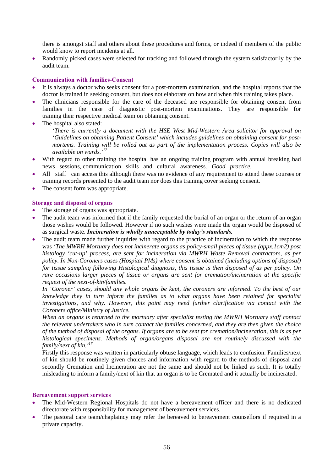there is amongst staff and others about these procedures and forms, or indeed if members of the public would know to report incidents at all.

• Randomly picked cases were selected for tracking and followed through the system satisfactorily by the audit team.

#### **Communication with families-Consent**

- It is always a doctor who seeks consent for a post-mortem examination, and the hospital reports that the doctor is trained in seeking consent, but does not elaborate on how and when this training takes place.
- The clinicians responsible for the care of the deceased are responsible for obtaining consent from families in the case of diagnostic post-mortem examinations. They are responsible for training their respective medical team on obtaining consent.
- The hospital also stated:

*'There is currently a document with the HSE West Mid-Western Area solicitor for approval on 'Guidelines on obtaining Patient Consent' which includes guidelines on obtaining consent for postmortems. Training will be rolled out as part of the implementation process. Copies will also be available on wards.'<sup>17</sup>*

- With regard to other training the hospital has an ongoing training program with annual breaking bad news sessions, communication skills and cultural awareness. *Good practice.*
- All staff can access this although there was no evidence of any requirement to attend these courses or training records presented to the audit team nor does this training cover seeking consent.
- The consent form was appropriate.

#### **Storage and disposal of organs**

- The storage of organs was appropriate.
- The audit team was informed that if the family requested the burial of an organ or the return of an organ those wishes would be followed. However if no such wishes were made the organ would be disposed of as surgical waste. *Incineration is wholly unacceptable by today's standards.*
- The audit team made further inquiries with regard to the practice of incineration to which the response was *'The MWRH Mortuary does not incinerate organs as policy-small pieces of tissue (appx.1cm2) post histology 'cut-up' process, are sent for incineration via MWRH Waste Removal contractors, as per policy. In Non-Coroners cases (Hospital PMs) where consent is obtained (including options of disposal) for tissue sampling following Histological diagnosis, this tissue is then disposed of as per policy. On rare occasions larger pieces of tissue or organs are sent for cremation/incineration at the specific request of the next-of-kin/families.*

*In 'Coroner' cases, should any whole organs be kept, the coroners are informed. To the best of our knowledge they in turn inform the families as to what organs have been retained for specialist investigations, and why. However, this point may need further clarification via contact with the Coroners office/Ministry of Justice.* 

*When an organs is returned to the mortuary after specialist testing the MWRH Mortuary staff contact the relevant undertakers who in turn contact the families concerned, and they are then given the choice of the method of disposal of the organs. If organs are to be sent for cremation/incineration, this is as per histological specimens. Methods of organ/organs disposal are not routinely discussed with the family/next of kin.'17*

Firstly this response was written in particularly obtuse language, which leads to confusion. Families/next of kin should be routinely given choices and information with regard to the methods of disposal and secondly Cremation and Incineration are not the same and should not be linked as such. It is totally misleading to inform a family/next of kin that an organ is to be Cremated and it actually be incinerated.

#### **Bereavement support services**

- The Mid-Western Regional Hospitals do not have a bereavement officer and there is no dedicated directorate with responsibility for management of bereavement services.
- The pastoral care team/chaplaincy may refer the bereaved to bereavement counsellors if required in a private capacity.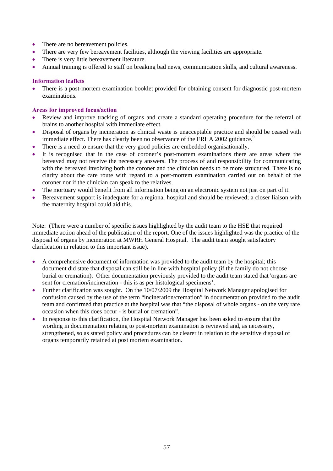- There are no bereavement policies.
- There are very few bereavement facilities, although the viewing facilities are appropriate.
- There is very little bereavement literature.
- Annual training is offered to staff on breaking bad news, communication skills, and cultural awareness.

### **Information leaflets**

• There is a post-mortem examination booklet provided for obtaining consent for diagnostic post-mortem examinations.

### **Areas for improved focus/action**

- Review and improve tracking of organs and create a standard operating procedure for the referral of brains to another hospital with immediate effect.
- Disposal of organs by incineration as clinical waste is unacceptable practice and should be ceased with immediate effect. There has clearly been no observance of the ERHA 2002 guidance.<sup>9</sup>
- There is a need to ensure that the very good policies are embedded organisationally.
- It is recognised that in the case of coroner's post-mortem examinations there are areas where the bereaved may not receive the necessary answers. The process of and responsibility for communicating with the bereaved involving both the coroner and the clinician needs to be more structured. There is no clarity about the care route with regard to a post-mortem examination carried out on behalf of the coroner nor if the clinician can speak to the relatives.
- The mortuary would benefit from all information being on an electronic system not just on part of it.
- Bereavement support is inadequate for a regional hospital and should be reviewed; a closer liaison with the maternity hospital could aid this.

Note: (There were a number of specific issues highlighted by the audit team to the HSE that required immediate action ahead of the publication of the report. One of the issues highlighted was the practice of the disposal of organs by incineration at MWRH General Hospital. The audit team sought satisfactory clarification in relation to this important issue).

- A comprehensive document of information was provided to the audit team by the hospital; this document did state that disposal can still be in line with hospital policy (if the family do not choose burial or cremation). Other documentation previously provided to the audit team stated that 'organs are sent for cremation/incineration - this is as per histological specimens'.
- Further clarification was sought. On the 10/07/2009 the Hospital Network Manager apologised for confusion caused by the use of the term "incineration/cremation" in documentation provided to the audit team and confirmed that practice at the hospital was that "the disposal of whole organs - on the very rare occasion when this does occur - is burial or cremation".
- In response to this clarification, the Hospital Network Manager has been asked to ensure that the wording in documentation relating to post-mortem examination is reviewed and, as necessary, strengthened, so as stated policy and procedures can be clearer in relation to the sensitive disposal of organs temporarily retained at post mortem examination.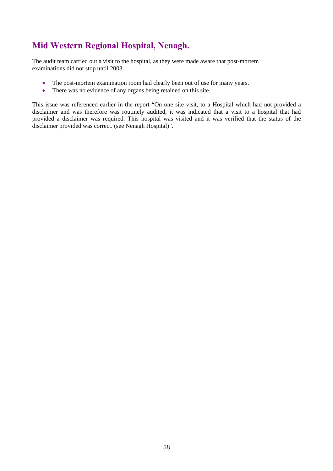# **Mid Western Regional Hospital, Nenagh.**

The audit team carried out a visit to the hospital, as they were made aware that post-mortem examinations did not stop until 2003.

- The post-mortem examination room had clearly been out of use for many years.
- There was no evidence of any organs being retained on this site.

This issue was referenced earlier in the report "On one site visit, to a Hospital which had not provided a disclaimer and was therefore was routinely audited, it was indicated that a visit to a hospital that had provided a disclaimer was required. This hospital was visited and it was verified that the status of the disclaimer provided was correct. (see Nenagh Hospital)".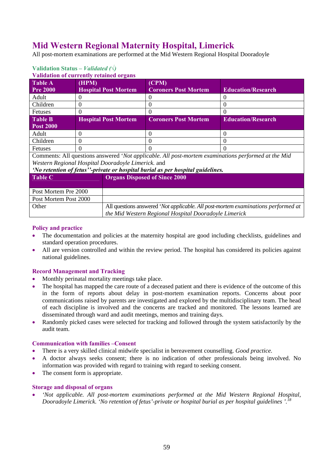# **Mid Western Regional Maternity Hospital, Limerick**

All post-mortem examinations are performed at the Mid Western Regional Hospital Dooradoyle

| <b>Validation of currently retained organs</b> |                             |                             |                           |  |
|------------------------------------------------|-----------------------------|-----------------------------|---------------------------|--|
| <b>Table A</b>                                 | (HPM)                       | (CPM)                       |                           |  |
| <b>Pre 2000</b>                                | <b>Hospital Post Mortem</b> | <b>Coroners Post Mortem</b> | <b>Education/Research</b> |  |
| Adult                                          |                             |                             |                           |  |
| Children                                       |                             |                             |                           |  |
| Fetuses                                        |                             |                             |                           |  |
| <b>Table B</b>                                 | <b>Hospital Post Mortem</b> | <b>Coroners Post Mortem</b> | <b>Education/Research</b> |  |
| <b>Post 2000</b>                               |                             |                             |                           |  |
| Adult                                          |                             |                             |                           |  |
| Children                                       |                             |                             |                           |  |
| Fetuses                                        |                             |                             |                           |  |

# **Validation Status** *– Validated (√)*

Comments: All questions answered '*Not applicable. All post-mortem examinations performed at the Mid Western Regional Hospital Dooradoyle Limerick.* and

## *'No retention of fetus''-private or hospital burial as per hospital guidelines.*

| <b>Table C</b>        | <b>Organs Disposed of Since 2000</b>                                              |  |
|-----------------------|-----------------------------------------------------------------------------------|--|
|                       |                                                                                   |  |
| Post Mortem Pre 2000  |                                                                                   |  |
| Post Mortem Post 2000 |                                                                                   |  |
| Other                 | All questions answered 'Not applicable. All post-mortem examinations performed at |  |
|                       | the Mid Western Regional Hospital Dooradoyle Limerick                             |  |

#### **Policy and practice**

- The documentation and policies at the maternity hospital are good including checklists, guidelines and standard operation procedures.
- All are version controlled and within the review period. The hospital has considered its policies against national guidelines.

## **Record Management and Tracking**

- Monthly perinatal mortality meetings take place.
- The hospital has mapped the care route of a deceased patient and there is evidence of the outcome of this in the form of reports about delay in post-mortem examination reports. Concerns about poor communications raised by parents are investigated and explored by the multidisciplinary team. The head of each discipline is involved and the concerns are tracked and monitored. The lessons learned are disseminated through ward and audit meetings, memos and training days.
- Randomly picked cases were selected for tracking and followed through the system satisfactorily by the audit team.

#### **Communication with families –Consent**

- There is a very skilled clinical midwife specialist in bereavement counselling. *Good practice.*
- A doctor always seeks consent; there is no indication of other professionals being involved. No information was provided with regard to training with regard to seeking consent.
- The consent form is appropriate.

## **Storage and disposal of organs**

• *'Not applicable. All post-mortem examinations performed at the Mid Western Regional Hospital, Dooradoyle Limerick. 'No retention of fetus'-private or hospital burial as per hospital guidelines '.<sup>18</sup>*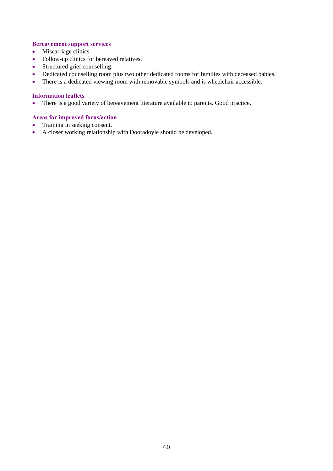#### **Bereavement support services**

- Miscarriage clinics.
- Follow-up clinics for bereaved relatives.
- Structured grief counselling.
- Dedicated counselling room plus two other dedicated rooms for families with deceased babies.
- There is a dedicated viewing room with removable symbols and is wheelchair accessible.

## **Information leaflets**

• There is a good variety of bereavement literature available to parents. Good practice.

- Training in seeking consent.
- A closer working relationship with Dooradoyle should be developed.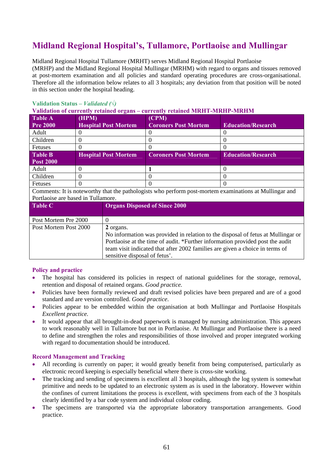# **Midland Regional Hospital's, Tullamore, Portlaoise and Mullingar**

Midland Regional Hospital Tullamore (MRHT) serves Midland Regional Hospital Portlaoise (MRHP) and the Midland Regional Hospital Mullingar (MRHM) with regard to organs and tissues removed at post-mortem examination and all policies and standard operating procedures are cross-organisational. Therefore all the information below relates to all 3 hospitals; any deviation from that position will be noted in this section under the hospital heading.

# **Validation Status** *– Validated (√)*

**Validation of currently retained organs – currently retained MRHT-MRHP-MRHM** 

| <b>Table A</b>   | (HPM)                       | (CPM)                       |                           |
|------------------|-----------------------------|-----------------------------|---------------------------|
| <b>Pre 2000</b>  | <b>Hospital Post Mortem</b> | <b>Coroners Post Mortem</b> | <b>Education/Research</b> |
| Adult            |                             |                             |                           |
| Children         |                             |                             |                           |
| <b>Fetuses</b>   |                             |                             |                           |
|                  |                             |                             |                           |
| <b>Table B</b>   | <b>Hospital Post Mortem</b> | <b>Coroners Post Mortem</b> | <b>Education/Research</b> |
| <b>Post 2000</b> |                             |                             |                           |
| Adult            |                             |                             |                           |
| Children         |                             |                             |                           |

Comments: It is noteworthy that the pathologists who perform post-mortem examinations at Mullingar and Portlaoise are based in Tullamore.

| <b>Table C</b>        | <b>Organs Disposed of Since 2000</b>                                             |
|-----------------------|----------------------------------------------------------------------------------|
| Post Mortem Pre 2000  |                                                                                  |
| Post Mortem Post 2000 | 2 organs.                                                                        |
|                       | No information was provided in relation to the disposal of fetus at Mullingar or |
|                       | Portlaoise at the time of audit. *Further information provided post the audit    |
|                       | team visit indicated that after 2002 families are given a choice in terms of     |
|                       | sensitive disposal of fetus'.                                                    |

## **Policy and practice**

- The hospital has considered its policies in respect of national guidelines for the storage, removal, retention and disposal of retained organs. *Good practice.*
- Policies have been formally reviewed and draft revised policies have been prepared and are of a good standard and are version controlled. *Good practice*.
- Policies appear to be embedded within the organisation at both Mullingar and Portlaoise Hospitals *Excellent practice.*
- It would appear that all brought-in-dead paperwork is managed by nursing administration. This appears to work reasonably well in Tullamore but not in Portlaoise. At Mullingar and Portlaoise there is a need to define and strengthen the roles and responsibilities of those involved and proper integrated working with regard to documentation should be introduced.

- All recording is currently on paper; it would greatly benefit from being computerised, particularly as electronic record keeping is especially beneficial where there is cross-site working.
- The tracking and sending of specimens is excellent all 3 hospitals, although the log system is somewhat primitive and needs to be updated to an electronic system as is used in the laboratory. However within the confines of current limitations the process is excellent, with specimens from each of the 3 hospitals clearly identified by a bar code system and individual colour coding.
- The specimens are transported via the appropriate laboratory transportation arrangements. Good practice.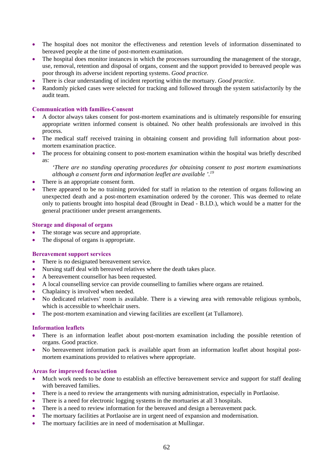- The hospital does not monitor the effectiveness and retention levels of information disseminated to bereaved people at the time of post-mortem examination.
- The hospital does monitor instances in which the processes surrounding the management of the storage, use, removal, retention and disposal of organs, consent and the support provided to bereaved people was poor through its adverse incident reporting systems. *Good practice.*
- There is clear understanding of incident reporting within the mortuary. *Good practice*.
- Randomly picked cases were selected for tracking and followed through the system satisfactorily by the audit team.

#### **Communication with families-Consent**

- A doctor always takes consent for post-mortem examinations and is ultimately responsible for ensuring appropriate written informed consent is obtained. No other health professionals are involved in this process.
- The medical staff received training in obtaining consent and providing full information about postmortem examination practice.
- The process for obtaining consent to post-mortem examination within the hospital was briefly described as:

*'There are no standing operating procedures for obtaining consent to post mortem examinations although a consent form and information leaflet are available '.19*

- There is an appropriate consent form.
- There appeared to be no training provided for staff in relation to the retention of organs following an unexpected death and a post-mortem examination ordered by the coroner. This was deemed to relate only to patients brought into hospital dead (Brought in Dead - B.I.D.), which would be a matter for the general practitioner under present arrangements.

#### **Storage and disposal of organs**

- The storage was secure and appropriate.
- The disposal of organs is appropriate.

#### **Bereavement support services**

- There is no designated bereavement service.
- Nursing staff deal with bereaved relatives where the death takes place.
- A bereavement counsellor has been requested.
- A local counselling service can provide counselling to families where organs are retained.
- Chaplaincy is involved when needed.
- No dedicated relatives' room is available. There is a viewing area with removable religious symbols, which is accessible to wheelchair users.
- The post-mortem examination and viewing facilities are excellent (at Tullamore).

#### **Information leaflets**

- There is an information leaflet about post-mortem examination including the possible retention of organs. Good practice.
- No bereavement information pack is available apart from an information leaflet about hospital postmortem examinations provided to relatives where appropriate.

- Much work needs to be done to establish an effective bereavement service and support for staff dealing with bereaved families.
- There is a need to review the arrangements with nursing administration, especially in Portlaoise.
- There is a need for electronic logging systems in the mortuaries at all 3 hospitals.
- There is a need to review information for the bereaved and design a bereavement pack.
- The mortuary facilities at Portlaoise are in urgent need of expansion and modernisation.
- The mortuary facilities are in need of modernisation at Mullingar.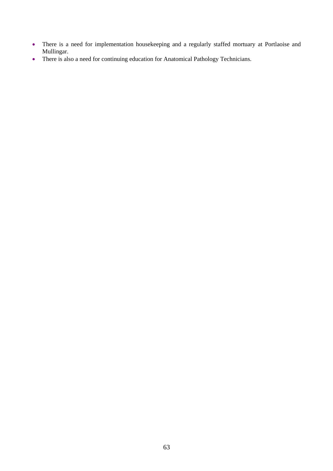- There is a need for implementation housekeeping and a regularly staffed mortuary at Portlaoise and Mullingar.
- There is also a need for continuing education for Anatomical Pathology Technicians.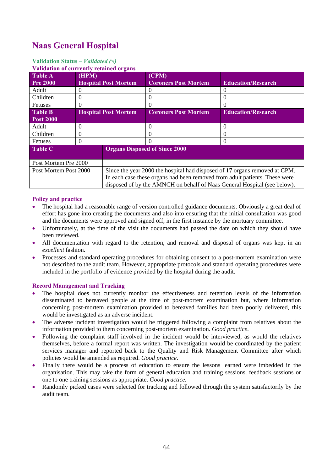# **Naas General Hospital**

# **Validation Status** *– Validated (√)*

| <b>Validation of currently retained organs</b> |                             |                                      |                             |                                                                                                                                                                                                                                      |
|------------------------------------------------|-----------------------------|--------------------------------------|-----------------------------|--------------------------------------------------------------------------------------------------------------------------------------------------------------------------------------------------------------------------------------|
| <b>Table A</b>                                 | (HPM)                       |                                      | (CPM)                       |                                                                                                                                                                                                                                      |
| <b>Pre 2000</b>                                | <b>Hospital Post Mortem</b> |                                      | <b>Coroners Post Mortem</b> | <b>Education/Research</b>                                                                                                                                                                                                            |
| Adult                                          | $\Omega$                    |                                      |                             | 0                                                                                                                                                                                                                                    |
| Children                                       | $\Omega$                    |                                      | $\theta$                    | 0                                                                                                                                                                                                                                    |
| Fetuses                                        | $\Omega$                    |                                      | $\Omega$                    | 0                                                                                                                                                                                                                                    |
| <b>Table B</b>                                 | <b>Hospital Post Mortem</b> |                                      | <b>Coroners Post Mortem</b> | <b>Education/Research</b>                                                                                                                                                                                                            |
| <b>Post 2000</b>                               |                             |                                      |                             |                                                                                                                                                                                                                                      |
| Adult                                          | $\theta$                    |                                      | $\theta$                    | 0                                                                                                                                                                                                                                    |
| Children                                       | $\Omega$                    |                                      | 0                           | $\Omega$                                                                                                                                                                                                                             |
| <b>Fetuses</b>                                 | $\Omega$                    |                                      | 0                           | 0                                                                                                                                                                                                                                    |
| <b>Table C</b>                                 |                             | <b>Organs Disposed of Since 2000</b> |                             |                                                                                                                                                                                                                                      |
| Post Mortem Pre 2000                           |                             |                                      |                             |                                                                                                                                                                                                                                      |
| Post Mortem Post 2000                          |                             |                                      |                             | Since the year 2000 the hospital had disposed of 17 organs removed at CPM.<br>In each case these organs had been removed from adult patients. These were<br>disposed of by the AMNCH on behalf of Naas General Hospital (see below). |

## **Policy and practice**

- The hospital had a reasonable range of version controlled guidance documents. Obviously a great deal of effort has gone into creating the documents and also into ensuring that the initial consultation was good and the documents were approved and signed off, in the first instance by the mortuary committee.
- Unfortunately, at the time of the visit the documents had passed the date on which they should have been reviewed.
- All documentation with regard to the retention, and removal and disposal of organs was kept in an *excellent* fashion.
- Processes and standard operating procedures for obtaining consent to a post-mortem examination were not described to the audit team. However, appropriate protocols and standard operating procedures were included in the portfolio of evidence provided by the hospital during the audit.

- The hospital does not currently monitor the effectiveness and retention levels of the information disseminated to bereaved people at the time of post-mortem examination but, where information concerning post-mortem examination provided to bereaved families had been poorly delivered, this would be investigated as an adverse incident.
- The adverse incident investigation would be triggered following a complaint from relatives about the information provided to them concerning post-mortem examination. *Good practice*.
- Following the complaint staff involved in the incident would be interviewed, as would the relatives themselves, before a formal report was written. The investigation would be coordinated by the patient services manager and reported back to the Quality and Risk Management Committee after which policies would be amended as required. *Good practice*.
- Finally there would be a process of education to ensure the lessons learned were imbedded in the organisation. This may take the form of general education and training sessions, feedback sessions or one to one training sessions as appropriate. *Good practice.*
- Randomly picked cases were selected for tracking and followed through the system satisfactorily by the audit team.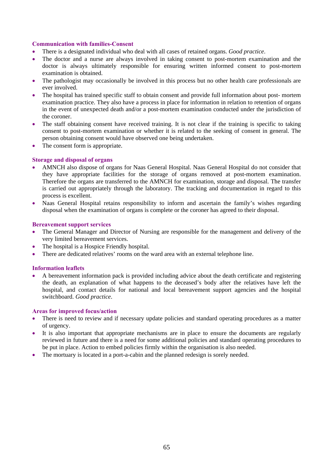### **Communication with families-Consent**

- There is a designated individual who deal with all cases of retained organs. *Good practice*.
- The doctor and a nurse are always involved in taking consent to post-mortem examination and the doctor is always ultimately responsible for ensuring written informed consent to post-mortem examination is obtained.
- The pathologist may occasionally be involved in this process but no other health care professionals are ever involved.
- The hospital has trained specific staff to obtain consent and provide full information about post- mortem examination practice. They also have a process in place for information in relation to retention of organs in the event of unexpected death and/or a post-mortem examination conducted under the jurisdiction of the coroner.
- The staff obtaining consent have received training. It is not clear if the training is specific to taking consent to post-mortem examination or whether it is related to the seeking of consent in general. The person obtaining consent would have observed one being undertaken.
- The consent form is appropriate.

## **Storage and disposal of organs**

- AMNCH also dispose of organs for Naas General Hospital. Naas General Hospital do not consider that they have appropriate facilities for the storage of organs removed at post-mortem examination. Therefore the organs are transferred to the AMNCH for examination, storage and disposal. The transfer is carried out appropriately through the laboratory. The tracking and documentation in regard to this process is excellent.
- Naas General Hospital retains responsibility to inform and ascertain the family's wishes regarding disposal when the examination of organs is complete or the coroner has agreed to their disposal.

#### **Bereavement support services**

- The General Manager and Director of Nursing are responsible for the management and delivery of the very limited bereavement services.
- The hospital is a Hospice Friendly hospital.
- There are dedicated relatives' rooms on the ward area with an external telephone line.

#### **Information leaflets**

• A bereavement information pack is provided including advice about the death certificate and registering the death, an explanation of what happens to the deceased's body after the relatives have left the hospital, and contact details for national and local bereavement support agencies and the hospital switchboard. *Good practice*.

- There is need to review and if necessary update policies and standard operating procedures as a matter of urgency.
- It is also important that appropriate mechanisms are in place to ensure the documents are regularly reviewed in future and there is a need for some additional policies and standard operating procedures to be put in place. Action to embed policies firmly within the organisation is also needed.
- The mortuary is located in a port-a-cabin and the planned redesign is sorely needed.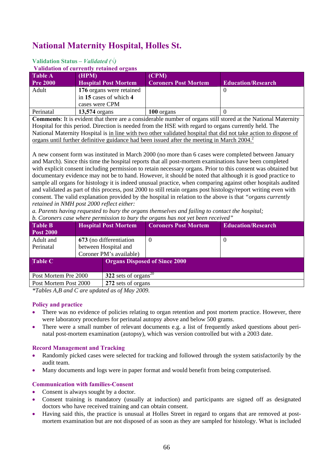# **National Maternity Hospital, Holles St.**

# **Validation Status** *– Validated (√)*

**Validation of currently retained organs** 

| Table A         | (HPM)                       | (CPM)                       |                           |  |
|-----------------|-----------------------------|-----------------------------|---------------------------|--|
| <b>Pre 2000</b> | <b>Hospital Post Mortem</b> | <b>Coroners Post Mortem</b> | <b>Education/Research</b> |  |
| Adult           | 176 organs were retained    |                             |                           |  |
|                 | in 15 cases of which 4      |                             |                           |  |
|                 | cases were CPM              |                             |                           |  |
| Perinatal       | <b>13,574</b> organs        | 100 organs                  |                           |  |

**Comments**: It is evident that there are a considerable number of organs still stored at the National Maternity Hospital for this period. Direction is needed from the HSE with regard to organs currently held. The National Maternity Hospital is in line with two other validated hospital that did not take action to dispose of organs until further definitive guidance had been issued after the meeting in March  $2004<sup>2</sup>$ 

A new consent form was instituted in March 2000 (no more than 6 cases were completed between January and March). Since this time the hospital reports that all post-mortem examinations have been completed with explicit consent including permission to retain necessary organs. Prior to this consent was obtained but documentary evidence may not be to hand. However, it should be noted that although it is good practice to sample all organs for histology it is indeed unusual practice, when comparing against other hospitals audited and validated as part of this process, post 2000 to still retain organs post histology/report writing even with consent. The valid explanation provided by the hospital in relation to the above is that *"organs currently retained in NMH post 2000 reflect either:* 

*a. Parents having requested to bury the organs themselves and failing to contact the hospital; b. Coroners case where permission to bury the organs has not yet been received"*

| <b>Table B</b><br><b>Post 2000</b>                                   |                         | <b>Hospital Post Mortem</b>          | <b>Coroners Post Mortem</b> | <b>Education/Research</b> |  |
|----------------------------------------------------------------------|-------------------------|--------------------------------------|-----------------------------|---------------------------|--|
| Adult and                                                            | 673 (no differentiation |                                      | $\theta$                    | $\theta$                  |  |
| Perinatal                                                            | between Hospital and    |                                      |                             |                           |  |
|                                                                      | Coroner PM's available) |                                      |                             |                           |  |
| <b>Table C</b>                                                       |                         | <b>Organs Disposed of Since 2000</b> |                             |                           |  |
| $\frac{322}{2}$ sets of organs <sup>20</sup><br>Post Mortem Pre 2000 |                         |                                      |                             |                           |  |
| Post Mortem Post 2000<br>272 sets of organs                          |                         |                                      |                             |                           |  |

*\*Tables A,B and C are updated as of May 2009.* 

#### **Policy and practice**

- There was no evidence of policies relating to organ retention and post mortem practice. However, there were laboratory procedures for perinatal autopsy above and below 500 grams.
- There were a small number of relevant documents e.g. a list of frequently asked questions about perinatal post-mortem examination (autopsy), which was version controlled but with a 2003 date.

## **Record Management and Tracking**

- Randomly picked cases were selected for tracking and followed through the system satisfactorily by the audit team.
- Many documents and logs were in paper format and would benefit from being computerised.

## **Communication with families-Consent**

- Consent is always sought by a doctor.
- Consent training is mandatory (usually at induction) and participants are signed off as designated doctors who have received training and can obtain consent.
- Having said this, the practice is unusual at Holles Street in regard to organs that are removed at postmortem examination but are not disposed of as soon as they are sampled for histology. What is included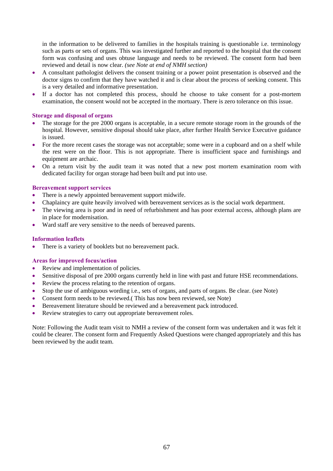in the information to be delivered to families in the hospitals training is questionable i.e. terminology such as parts or sets of organs. This was investigated further and reported to the hospital that the consent form was confusing and uses obtuse language and needs to be reviewed. The consent form had been reviewed and detail is now clear. *(see Note at end of NMH section)*

- A consultant pathologist delivers the consent training or a power point presentation is observed and the doctor signs to confirm that they have watched it and is clear about the process of seeking consent. This is a very detailed and informative presentation.
- If a doctor has not completed this process, should he choose to take consent for a post-mortem examination, the consent would not be accepted in the mortuary. There is zero tolerance on this issue.

### **Storage and disposal of organs**

- The storage for the pre 2000 organs is acceptable, in a secure remote storage room in the grounds of the hospital. However, sensitive disposal should take place, after further Health Service Executive guidance is issued.
- For the more recent cases the storage was not acceptable; some were in a cupboard and on a shelf while the rest were on the floor. This is not appropriate. There is insufficient space and furnishings and equipment are archaic.
- On a return visit by the audit team it was noted that a new post mortem examination room with dedicated facility for organ storage had been built and put into use.

## **Bereavement support services**

- There is a newly appointed bereavement support midwife.
- Chaplaincy are quite heavily involved with bereavement services as is the social work department.
- The viewing area is poor and in need of refurbishment and has poor external access, although plans are in place for modernisation.
- Ward staff are very sensitive to the needs of bereaved parents.

### **Information leaflets**

• There is a variety of booklets but no bereavement pack.

## **Areas for improved focus/action**

- Review and implementation of policies.
- Sensitive disposal of pre 2000 organs currently held in line with past and future HSE recommendations.
- Review the process relating to the retention of organs.
- Stop the use of ambiguous wording i.e., sets of organs, and parts of organs. Be clear. (see Note)
- Consent form needs to be reviewed. (This has now been reviewed, see Note)
- Bereavement literature should be reviewed and a bereavement pack introduced.
- Review strategies to carry out appropriate bereavement roles.

Note: Following the Audit team visit to NMH a review of the consent form was undertaken and it was felt it could be clearer. The consent form and Frequently Asked Questions were changed appropriately and this has been reviewed by the audit team.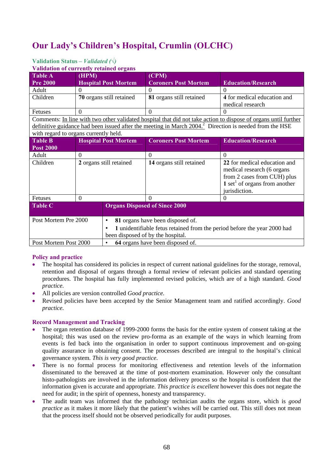# **Our Lady's Children's Hospital, Crumlin (OLCHC)**

# **Validation Status** *– Validated (√)*

**Validation of currently retained organs** 

| <b>Table A</b>                        | (HPM)                    |                                  | (CPM)                                                                                                              |                                                                                                                 |
|---------------------------------------|--------------------------|----------------------------------|--------------------------------------------------------------------------------------------------------------------|-----------------------------------------------------------------------------------------------------------------|
| <b>Pre 2000</b>                       |                          | <b>Hospital Post Mortem</b>      | <b>Coroners Post Mortem</b>                                                                                        | <b>Education/Research</b>                                                                                       |
| Adult                                 | 0                        |                                  | $\Omega$                                                                                                           | $\Omega$                                                                                                        |
| Children                              | 70 organs still retained |                                  | 81 organs still retained                                                                                           | 4 for medical education and<br>medical research                                                                 |
| Fetuses                               | $\Omega$                 |                                  | $\Omega$                                                                                                           | $\Omega$                                                                                                        |
|                                       |                          |                                  |                                                                                                                    | Comments: In line with two other validated hospital that did not take action to dispose of organs until further |
|                                       |                          |                                  | definitive guidance had been issued after the meeting in March 2004. <sup>2</sup> Direction is needed from the HSE |                                                                                                                 |
| with regard to organs currently held. |                          |                                  |                                                                                                                    |                                                                                                                 |
| <b>Table B</b>                        |                          | <b>Hospital Post Mortem</b>      | <b>Coroners Post Mortem</b>                                                                                        | <b>Education/Research</b>                                                                                       |
| <b>Post 2000</b>                      |                          |                                  |                                                                                                                    |                                                                                                                 |
| Adult                                 | $\theta$                 |                                  | $\theta$                                                                                                           | $\overline{0}$                                                                                                  |
| Children                              | 2 organs still retained  |                                  | 14 organs still retained                                                                                           | 22 for medical education and                                                                                    |
|                                       |                          |                                  |                                                                                                                    | medical research (6 organs                                                                                      |
|                                       |                          |                                  |                                                                                                                    | from 2 cases from CUH) plus                                                                                     |
|                                       |                          |                                  |                                                                                                                    | 1 set <sup>1</sup> of organs from another                                                                       |
|                                       |                          |                                  |                                                                                                                    | jurisdiction.                                                                                                   |
| Fetuses                               | $\theta$                 |                                  | $\Omega$                                                                                                           | 0                                                                                                               |
| <b>Table C</b>                        |                          |                                  | <b>Organs Disposed of Since 2000</b>                                                                               |                                                                                                                 |
| Post Mortem Pre 2000<br>٠             |                          | 81 organs have been disposed of. |                                                                                                                    |                                                                                                                 |
|                                       |                          |                                  | 1 unidentifiable fetus retained from the period before the year 2000 had                                           |                                                                                                                 |
|                                       |                          |                                  | been disposed of by the hospital.                                                                                  |                                                                                                                 |
| Post Mortem Post 2000<br>٠            |                          |                                  | 64 organs have been disposed of.                                                                                   |                                                                                                                 |

## **Policy and practice**

- The hospital has considered its policies in respect of current national guidelines for the storage, removal, retention and disposal of organs through a formal review of relevant policies and standard operating procedures. The hospital has fully implemented revised policies, which are of a high standard. *Good practice.*
- All policies are version controlled *Good practice.*
- Revised policies have been accepted by the Senior Management team and ratified accordingly. *Good practice.*

- The organ retention database of 1999-2000 forms the basis for the entire system of consent taking at the hospital; this was used on the review pro-forma as an example of the ways in which learning from events is fed back into the organisation in order to support continuous improvement and on-going quality assurance in obtaining consent. The processes described are integral to the hospital's clinical governance system. *This is very good practice*.
- There is no formal process for monitoring effectiveness and retention levels of the information disseminated to the bereaved at the time of post-mortem examination. However only the consultant histo-pathologists are involved in the information delivery process so the hospital is confident that the information given is accurate and appropriate. *This practice is excellent* however this does not negate the need for audit; in the spirit of openness, honesty and transparency.
- The audit team was informed that the pathology technician audits the organs store, which is *good practice* as it makes it more likely that the patient's wishes will be carried out. This still does not mean that the process itself should not be observed periodically for audit purposes.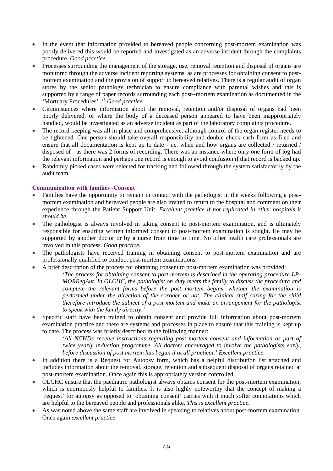- In the event that information provided to bereaved people concerning post-mortem examination was poorly delivered this would be reported and investigated as an adverse incident through the complaints procedure. *Good practice*.
- Processes surrounding the management of the storage, use, removal retention and disposal of organs are monitored through the adverse incident reporting systems, as are processes for obtaining consent to postmortem examination and the provision of support to bereaved relatives. There is a regular audit of organ stores by the senior pathology technician to ensure compliance with parental wishes and this is supported by a range of paper records surrounding each post--mortem examination as documented in the 'Mortuary Procedures' .<sup>21</sup> *Good practice*.
- Circumstances where information about the removal, retention and/or disposal of organs had been poorly delivered, or where the body of a deceased person appeared to have been inappropriately handled, would be investigated as an adverse incident as part of the laboratory complaints procedure.
- The record keeping was all in place and comprehensive, although control of the organ register needs to be tightened. One person should take overall responsibility and double check each form as filed and ensure that all documentation is kept up to date - i.e. when and how organs are collected / returned / disposed of - as there was 2 forms of recording. There was an instance where only one form of log had the relevant information and perhaps one record is enough to avoid confusion if that record is backed up.
- Randomly picked cases were selected for tracking and followed through the system satisfactorily by the audit team.

## **Communication with families -Consent**

- Families have the opportunity to remain in contact with the pathologist in the weeks following a postmortem examination and bereaved people are also invited to return to the hospital and comment on their experience through the Patient Support Unit. *Excellent practice if not replicated in other hospitals it should be.*
- The pathologist is always involved in taking consent to post-mortem examination, and is ultimately responsible for ensuring written informed consent to post-mortem examination is sought. He may be supported by another doctor or by a nurse from time to time. No other health care professionals are involved in this process. *Good practice.*
- The pathologists have received training in obtaining consent to post-mortem examination and are professionally qualified to conduct post-mortem examinations.
- A brief description of the process for obtaining consent to post-mortem examination was provided:
	- *'The process for obtaining consent to post mortem is described in the operating procedure LP-MORRegAut. In OLCHC, the pathologist on duty meets the family to discuss the procedure and complete the relevant forms before the post mortem begins, whether the examination is performed under the direction of the coroner or not. The clinical staff caring for the child therefore introduce the subject of a post mortem and make an arrangement for the pathologist to speak with the family directly.'*
- Specific staff have been trained to obtain consent and provide full information about post-mortem examination practice and there are systems and processes in place to ensure that this training is kept up to date. The process was briefly described in the following manner:
	- *'All NCHDs receive instructions regarding post mortem consent and information as part of twice yearly induction programme. All doctors encouraged to involve the pathologists early, before discussion of post mortem has begun if at all practical.' Excellent practice.*
- In addition there is a Request for Autopsy form, which has a helpful distribution list attached and includes information about the removal, storage, retention and subsequent disposal of organs retained at post-mortem examination. Once again this is appropriately version controlled.
- OLCHC ensure that the paediatric pathologist always obtains consent for the post-mortem examination, which is enormously helpful to families. It is also highly noteworthy that the concept of making a 'request' for autopsy as opposed to 'obtaining consent' carries with it much softer connotations which are helpful to the bereaved people and professionals alike. *This is excellent practice.*
- As was noted above the same staff are involved in speaking to relatives about post-mortem examination. Once again *excellent practice.*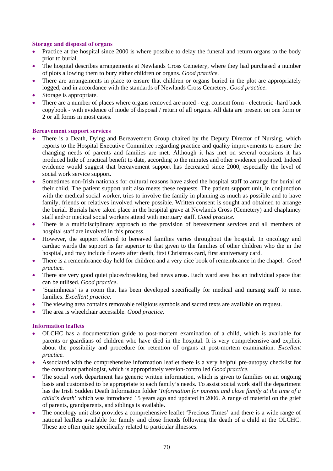### **Storage and disposal of organs**

- Practice at the hospital since 2000 is where possible to delay the funeral and return organs to the body prior to burial.
- The hospital describes arrangements at Newlands Cross Cemetery, where they had purchased a number of plots allowing them to bury either children or organs. *Good practice*.
- There are arrangements in place to ensure that children or organs buried in the plot are appropriately logged, and in accordance with the standards of Newlands Cross Cemetery. *Good practice*.
- Storage is appropriate.
- There are a number of places where organs removed are noted e.g. consent form electronic -hard back copybook - with evidence of mode of disposal / return of all organs. All data are present on one form or 2 or all forms in most cases.

#### **Bereavement support services**

- There is a Death, Dying and Bereavement Group chaired by the Deputy Director of Nursing, which reports to the Hospital Executive Committee regarding practice and quality improvements to ensure the changing needs of parents and families are met. Although it has met on several occasions it has produced little of practical benefit to date, according to the minutes and other evidence produced. Indeed evidence would suggest that bereavement support has decreased since 2000, especially the level of social work service support.
- Sometimes non-Irish nationals for cultural reasons have asked the hospital staff to arrange for burial of their child. The patient support unit also meets these requests. The patient support unit, in conjunction with the medical social worker, tries to involve the family in planning as much as possible and to have family, friends or relatives involved where possible. Written consent is sought and obtained to arrange the burial. Burials have taken place in the hospital grave at Newlands Cross (Cemetery) and chaplaincy staff and/or medical social workers attend with mortuary staff. *Good practice*.
- There is a multidisciplinary approach to the provision of bereavement services and all members of hospital staff are involved in this process.
- However, the support offered to bereaved families varies throughout the hospital. In oncology and cardiac wards the support is far superior to that given to the families of other children who die in the hospital, and may include flowers after death, first Christmas card, first anniversary card.
- There is a remembrance day held for children and a very nice book of remembrance in the chapel. *Good practice.*
- There are very good quiet places/breaking bad news areas. Each ward area has an individual space that can be utilised. *Good practice*.
- 'Suaimhneas' is a room that has been developed specifically for medical and nursing staff to meet families. *Excellent practice.*
- The viewing area contains removable religious symbols and sacred texts are available on request.
- The area is wheelchair accessible. *Good practice.*

#### **Information leaflets**

- OLCHC has a documentation guide to post-mortem examination of a child, which is available for parents or guardians of children who have died in the hospital. It is very comprehensive and explicit about the possibility and procedure for retention of organs at post-mortem examination. *Excellent practice.*
- Associated with the comprehensive information leaflet there is a very helpful pre-autopsy checklist for the consultant pathologist, which is appropriately version-controlled *Good practice.*
- The social work department has generic written information, which is given to families on an ongoing basis and customised to be appropriate to each family's needs. To assist social work staff the department has the Irish Sudden Death Information folder '*Information for parents and close family at the time of a child's death*' which was introduced 15 years ago and updated in 2006. A range of material on the grief of parents, grandparents, and siblings is available.
- The oncology unit also provides a comprehensive leaflet 'Precious Times' and there is a wide range of national leaflets available for family and close friends following the death of a child at the OLCHC. These are often quite specifically related to particular illnesses.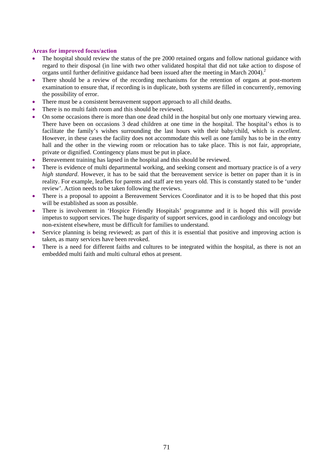- The hospital should review the status of the pre 2000 retained organs and follow national guidance with regard to their disposal (in line with two other validated hospital that did not take action to dispose of organs until further definitive guidance had been issued after the meeting in March  $2004$ ).<sup>2</sup>
- There should be a review of the recording mechanisms for the retention of organs at post-mortem examination to ensure that, if recording is in duplicate, both systems are filled in concurrently, removing the possibility of error.
- There must be a consistent bereavement support approach to all child deaths.
- There is no multi faith room and this should be reviewed.
- On some occasions there is more than one dead child in the hospital but only one mortuary viewing area. There have been on occasions 3 dead children at one time in the hospital. The hospital's ethos is to facilitate the family's wishes surrounding the last hours with their baby/child, which is *excellent*. However, in these cases the facility does not accommodate this well as one family has to be in the entry hall and the other in the viewing room or relocation has to take place. This is not fair, appropriate, private or dignified. Contingency plans must be put in place.
- Bereavement training has lapsed in the hospital and this should be reviewed.
- There is evidence of multi departmental working, and seeking consent and mortuary practice is of a *very high standard*. However, it has to be said that the bereavement service is better on paper than it is in reality. For example, leaflets for parents and staff are ten years old. This is constantly stated to be 'under review'. Action needs to be taken following the reviews.
- There is a proposal to appoint a Bereavement Services Coordinator and it is to be hoped that this post will be established as soon as possible.
- There is involvement in 'Hospice Friendly Hospitals' programme and it is hoped this will provide impetus to support services. The huge disparity of support services, good in cardiology and oncology but non-existent elsewhere, must be difficult for families to understand.
- Service planning is being reviewed; as part of this it is essential that positive and improving action is taken, as many services have been revoked.
- There is a need for different faiths and cultures to be integrated within the hospital, as there is not an embedded multi faith and multi cultural ethos at present.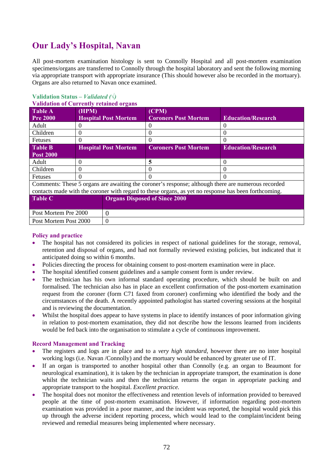# **Our Lady's Hospital, Navan**

All post-mortem examination histology is sent to Connolly Hospital and all post-mortem examination specimens/organs are transferred to Connolly through the hospital laboratory and sent the following morning via appropriate transport with appropriate insurance (This should however also be recorded in the mortuary). Organs are also returned to Navan once examined.

| <u>Vanuation of Currently retained of gans</u>                                                       |          |                             |                                      |                           |
|------------------------------------------------------------------------------------------------------|----------|-----------------------------|--------------------------------------|---------------------------|
| <b>Table A</b><br><b>Pre 2000</b>                                                                    | (HPM)    | <b>Hospital Post Mortem</b> | (CPM)<br><b>Coroners Post Mortem</b> | <b>Education/Research</b> |
| Adult                                                                                                |          |                             |                                      |                           |
| Children                                                                                             | $\theta$ |                             | $\theta$                             | $\theta$                  |
| Fetuses                                                                                              | $\Omega$ |                             | $\Omega$                             | 0                         |
| <b>Table B</b><br><b>Post 2000</b>                                                                   |          | <b>Hospital Post Mortem</b> | <b>Coroners Post Mortem</b>          | <b>Education/Research</b> |
| Adult                                                                                                | $\Omega$ |                             | 5                                    | 0                         |
| Children                                                                                             | $\Omega$ |                             |                                      |                           |
| Fetuses                                                                                              | $\Omega$ |                             |                                      |                           |
| Comments: These 5 organs are awaiting the coroner's response; although there are numerous recorded   |          |                             |                                      |                           |
| contacts made with the coroner with regard to these organs, as yet no response has been forthcoming. |          |                             |                                      |                           |
| <b>Table C</b>                                                                                       |          |                             | <b>Organs Disposed of Since 2000</b> |                           |
| Post Mortem Pre 2000                                                                                 |          | $\Omega$                    |                                      |                           |
| 0<br>Post Mortem Post 2000                                                                           |          |                             |                                      |                           |

## **Validation Status** *– Validated (√)*

## **Validation of Currently retained organs**

#### **Policy and practice**

- The hospital has not considered its policies in respect of national guidelines for the storage, removal, retention and disposal of organs, and had not formally reviewed existing policies, but indicated that it anticipated doing so within 6 months.
- Policies directing the process for obtaining consent to post-mortem examination were in place.
- The hospital identified consent guidelines and a sample consent form is under review.
- The technician has his own informal standard operating procedure, which should be built on and formalised. The technician also has in place an excellent confirmation of the post-mortem examination request from the coroner (form C71 faxed from coroner) confirming who identified the body and the circumstances of the death. A recently appointed pathologist has started covering sessions at the hospital and is reviewing the documentation.
- Whilst the hospital does appear to have systems in place to identify instances of poor information giving in relation to post-mortem examination, they did not describe how the lessons learned from incidents would be fed back into the organisation to stimulate a cycle of continuous improvement.

- The registers and logs are in place and to a *very high standard*, however there are no inter hospital working logs (i.e. Navan /Connolly) and the mortuary would be enhanced by greater use of IT.
- If an organ is transported to another hospital other than Connolly (e.g. an organ to Beaumont for neurological examination), it is taken by the technician in appropriate transport, the examination is done whilst the technician waits and then the technician returns the organ in appropriate packing and appropriate transport to the hospital. *Excellent practice.*
- The hospital does not monitor the effectiveness and retention levels of information provided to bereaved people at the time of post-mortem examination. However, if information regarding post-mortem examination was provided in a poor manner, and the incident was reported, the hospital would pick this up through the adverse incident reporting process, which would lead to the complaint/incident being reviewed and remedial measures being implemented where necessary.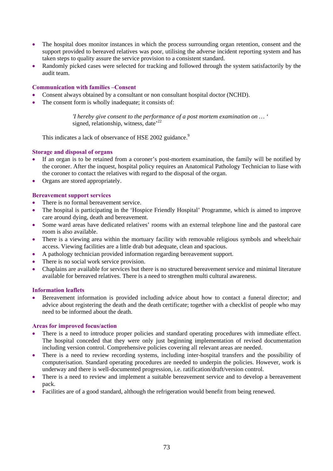- The hospital does monitor instances in which the process surrounding organ retention, consent and the support provided to bereaved relatives was poor, utilising the adverse incident reporting system and has taken steps to quality assure the service provision to a consistent standard.
- Randomly picked cases were selected for tracking and followed through the system satisfactorily by the audit team.

#### **Communication with families –Consent**

- Consent always obtained by a consultant or non consultant hospital doctor (NCHD).
- The consent form is wholly inadequate; it consists of:

*'I hereby give consent to the performance of a post mortem examination on … '*  signed, relationship, witness, date<sup> $22$ </sup>

This indicates a lack of observance of HSE 2002 guidance.<sup>9</sup>

#### **Storage and disposal of organs**

- If an organ is to be retained from a coroner's post-mortem examination, the family will be notified by the coroner. After the inquest, hospital policy requires an Anatomical Pathology Technician to liase with the coroner to contact the relatives with regard to the disposal of the organ.
- Organs are stored appropriately.

#### **Bereavement support services**

- There is no formal bereavement service.
- The hospital is participating in the 'Hospice Friendly Hospital' Programme, which is aimed to improve care around dying, death and bereavement.
- Some ward areas have dedicated relatives' rooms with an external telephone line and the pastoral care room is also available.
- There is a viewing area within the mortuary facility with removable religious symbols and wheelchair access. Viewing facilities are a little drab but adequate, clean and spacious.
- A pathology technician provided information regarding bereavement support.
- There is no social work service provision.
- Chaplains are available for services but there is no structured bereavement service and minimal literature available for bereaved relatives. There is a need to strengthen multi cultural awareness.

#### **Information leaflets**

• Bereavement information is provided including advice about how to contact a funeral director; and advice about registering the death and the death certificate; together with a checklist of people who may need to be informed about the death.

#### **Areas for improved focus/action**

- There is a need to introduce proper policies and standard operating procedures with immediate effect. The hospital conceded that they were only just beginning implementation of revised documentation including version control. Comprehensive policies covering all relevant areas are needed.
- There is a need to review recording systems, including inter-hospital transfers and the possibility of computerisation. Standard operating procedures are needed to underpin the policies. However, work is underway and there is well-documented progression, i.e. ratification/draft/version control.
- There is a need to review and implement a suitable bereavement service and to develop a bereavement pack.
- Facilities are of a good standard, although the refrigeration would benefit from being renewed.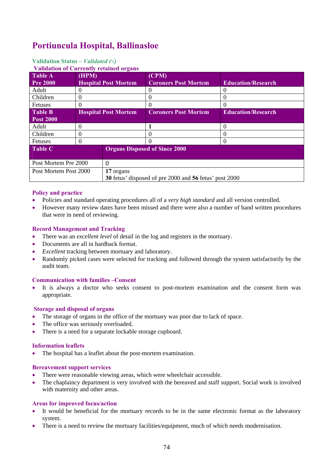### **Portiuncula Hospital, Ballinasloe**

#### **Validation Status** *– Validated (√)*

#### **Validation of Currently rate**

| <u>Vandation of Currently retained organs</u> |                             |                                                               |                             |                           |  |
|-----------------------------------------------|-----------------------------|---------------------------------------------------------------|-----------------------------|---------------------------|--|
| Table A                                       | (HPM)                       |                                                               | (CPM)                       |                           |  |
| <b>Pre 2000</b>                               |                             | <b>Hospital Post Mortem</b>                                   | <b>Coroners Post Mortem</b> | <b>Education/Research</b> |  |
| Adult                                         |                             |                                                               | $\Omega$                    | $\theta$                  |  |
| Children                                      |                             |                                                               |                             | $\theta$                  |  |
| Fetuses                                       |                             |                                                               | $\Omega$                    | 0                         |  |
| <b>Table B</b>                                | <b>Hospital Post Mortem</b> |                                                               | <b>Coroners Post Mortem</b> | <b>Education/Research</b> |  |
| <b>Post 2000</b>                              |                             |                                                               |                             |                           |  |
| Adult                                         | 0                           |                                                               |                             | 0                         |  |
| Children                                      |                             |                                                               | $\theta$                    | $\left( \right)$          |  |
| Fetuses                                       |                             |                                                               |                             | 0                         |  |
| Table C                                       |                             | <b>Organs Disposed of Since 2000</b>                          |                             |                           |  |
| Post Mortem Pre 2000                          |                             | $\Omega$                                                      |                             |                           |  |
| Post Mortem Post 2000                         |                             | 17 organs                                                     |                             |                           |  |
|                                               |                             | <b>30</b> fetus' disposed of pre 2000 and 56 fetus' post 2000 |                             |                           |  |

#### **Policy and practice**

- Policies and standard operating procedures all of a *very high standard* and all version controlled.
- However many review dates have been missed and there were also a number of hand written procedures that were in need of reviewing.

#### **Record Management and Tracking**

- There was an *excellent level* of detail in the log and registers in the mortuary.
- Documents are all in hardback format.
- *Excellent* tracking between mortuary and laboratory.
- Randomly picked cases were selected for tracking and followed through the system satisfactorily by the audit team.

#### **Communication with families –Consent**

It is always a doctor who seeks consent to post-mortem examination and the consent form was appropriate.

#### **Storage and disposal of organs**

- The storage of organs in the office of the mortuary was poor due to lack of space.
- The office was seriously overloaded.
- There is a need for a separate lockable storage cupboard.

#### **Information leaflets**

• The hospital has a leaflet about the post-mortem examination.

#### **Bereavement support services**

- There were reasonable viewing areas, which were wheelchair accessible.
- The chaplaincy department is very involved with the bereaved and staff support. Social work is involved with maternity and other areas.

#### **Areas for improved focus/action**

- It would be beneficial for the mortuary records to be in the same electronic format as the laboratory system.
- There is a need to review the mortuary facilities/equipment, much of which needs modernisation.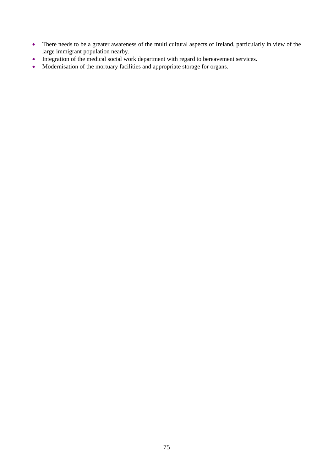- There needs to be a greater awareness of the multi cultural aspects of Ireland, particularly in view of the large immigrant population nearby.
- Integration of the medical social work department with regard to bereavement services.
- Modernisation of the mortuary facilities and appropriate storage for organs.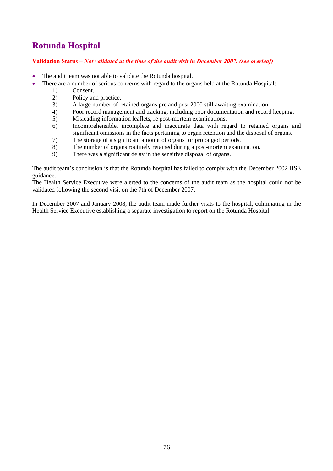## **Rotunda Hospital**

#### **Validation Status –** *Not validated at the time of the audit visit in December 2007. (see overleaf)*

- The audit team was not able to validate the Rotunda hospital.
- There are a number of serious concerns with regard to the organs held at the Rotunda Hospital: -
	- 1) Consent.
	- 2) Policy and practice.
	- 3) A large number of retained organs pre and post 2000 still awaiting examination.
	- 4) Poor record management and tracking, including poor documentation and record keeping.
	- 5) Misleading information leaflets, re post-mortem examinations.
	- 6) Incomprehensible, incomplete and inaccurate data with regard to retained organs and significant omissions in the facts pertaining to organ retention and the disposal of organs.
	- 7) The storage of a significant amount of organs for prolonged periods.
	- 8) The number of organs routinely retained during a post-mortem examination.
	- 9) There was a significant delay in the sensitive disposal of organs.

The audit team's conclusion is that the Rotunda hospital has failed to comply with the December 2002 HSE guidance.

The Health Service Executive were alerted to the concerns of the audit team as the hospital could not be validated following the second visit on the 7th of December 2007.

In December 2007 and January 2008, the audit team made further visits to the hospital, culminating in the Health Service Executive establishing a separate investigation to report on the Rotunda Hospital.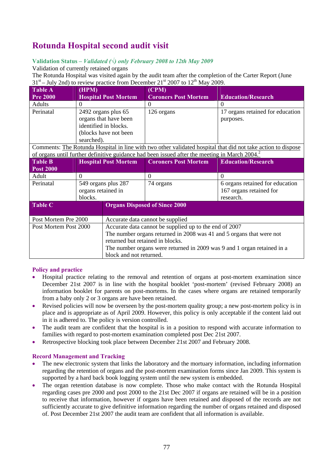## **Rotunda Hospital second audit visit**

#### **Validation Status** *– Validated (√) only February 2008 to 12th May 2009*

Validation of currently retained organs

The Rotunda Hospital was visited again by the audit team after the completion of the Carter Report (June  $31<sup>st</sup>$  – July 2nd) to review practice from December  $21<sup>st</sup>$  2007 to  $12<sup>th</sup>$  May 2009.

| <b>Table A</b>              | (HPM)                       |                                                                         | (CPM)                                                                                                     |                                                                                                              |  |
|-----------------------------|-----------------------------|-------------------------------------------------------------------------|-----------------------------------------------------------------------------------------------------------|--------------------------------------------------------------------------------------------------------------|--|
| <b>Pre 2000</b>             |                             | <b>Hospital Post Mortem</b>                                             | <b>Coroners Post Mortem</b>                                                                               | <b>Education/Research</b>                                                                                    |  |
| <b>Adults</b>               | $\theta$                    |                                                                         | $\mathbf{0}$                                                                                              | $\Omega$                                                                                                     |  |
| Perinatal                   |                             | 2492 organs plus 65                                                     | 126 organs                                                                                                | 17 organs retained for education                                                                             |  |
|                             |                             | organs that have been                                                   |                                                                                                           | purposes.                                                                                                    |  |
|                             |                             | identified in blocks.                                                   |                                                                                                           |                                                                                                              |  |
|                             |                             | (blocks have not been                                                   |                                                                                                           |                                                                                                              |  |
|                             | searched).                  |                                                                         |                                                                                                           |                                                                                                              |  |
|                             |                             |                                                                         |                                                                                                           | Comments: The Rotunda Hospital in line with two other validated hospital that did not take action to dispose |  |
|                             |                             |                                                                         | of organs until further definitive guidance had been issued after the meeting in March 2004. <sup>2</sup> |                                                                                                              |  |
| <b>Table B</b>              | <b>Hospital Post Mortem</b> |                                                                         | <b>Coroners Post Mortem</b>                                                                               | <b>Education/Research</b>                                                                                    |  |
| <b>Post 2000</b>            |                             |                                                                         |                                                                                                           |                                                                                                              |  |
| Adult                       | $\Omega$                    |                                                                         | $\theta$                                                                                                  | $\theta$                                                                                                     |  |
| Perinatal                   | 549 organs plus 287         |                                                                         | 74 organs                                                                                                 | 6 organs retained for education                                                                              |  |
|                             | organs retained in          |                                                                         |                                                                                                           | 167 organs retained for                                                                                      |  |
|                             | blocks.                     |                                                                         |                                                                                                           | research.                                                                                                    |  |
| $\overline{\text{Table C}}$ |                             |                                                                         | <b>Organs Disposed of Since 2000</b>                                                                      |                                                                                                              |  |
|                             |                             |                                                                         |                                                                                                           |                                                                                                              |  |
| Post Mortem Pre 2000        |                             | Accurate data cannot be supplied                                        |                                                                                                           |                                                                                                              |  |
| Post Mortem Post 2000       |                             | Accurate data cannot be supplied up to the end of 2007                  |                                                                                                           |                                                                                                              |  |
|                             |                             | The number organs returned in 2008 was 41 and 5 organs that were not    |                                                                                                           |                                                                                                              |  |
|                             |                             | returned but retained in blocks.                                        |                                                                                                           |                                                                                                              |  |
|                             |                             | The number organs were returned in 2009 was 9 and 1 organ retained in a |                                                                                                           |                                                                                                              |  |
|                             |                             | block and not returned.                                                 |                                                                                                           |                                                                                                              |  |

#### **Policy and practice**

- Hospital practice relating to the removal and retention of organs at post-mortem examination since December 21st 2007 is in line with the hospital booklet 'post-mortem' (revised February 2008) an information booklet for parents on post-mortems. In the cases where organs are retained temporarily from a baby only 2 or 3 organs are have been retained.
- Revised policies will now be overseen by the post-mortem quality group; a new post-mortem policy is in place and is appropriate as of April 2009. However, this policy is only acceptable if the content laid out in it is adhered to. The policy is version controlled.
- The audit team are confident that the hospital is in a position to respond with accurate information to families with regard to post-mortem examination completed post Dec 21st 2007.
- Retrospective blocking took place between December 21st 2007 and February 2008.

#### **Record Management and Tracking**

- The new electronic system that links the laboratory and the mortuary information, including information regarding the retention of organs and the post-mortem examination forms since Jan 2009. This system is supported by a hard back book logging system until the new system is embedded.
- The organ retention database is now complete. Those who make contact with the Rotunda Hospital regarding cases pre 2000 and post 2000 to the 21st Dec 2007 if organs are retained will be in a position to receive that information, however if organs have been retained and disposed of the records are not sufficiently accurate to give definitive information regarding the number of organs retained and disposed of. Post December 21st 2007 the audit team are confident that all information is available.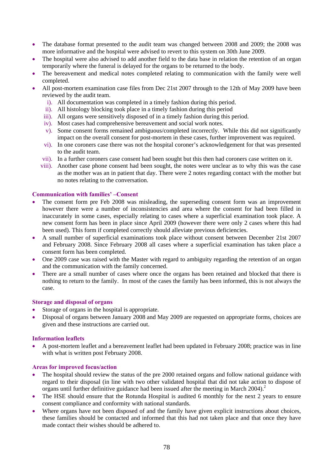- The database format presented to the audit team was changed between 2008 and 2009; the 2008 was more informative and the hospital were advised to revert to this system on 30th June 2009.
- The hospital were also advised to add another field to the data base in relation the retention of an organ temporarily where the funeral is delayed for the organs to be returned to the body.
- The bereavement and medical notes completed relating to communication with the family were well completed.
- All post-mortem examination case files from Dec 21st 2007 through to the 12th of May 2009 have been reviewed by the audit team.
	- i). All documentation was completed in a timely fashion during this period.
	- ii). All histology blocking took place in a timely fashion during this period
	- iii). All organs were sensitively disposed of in a timely fashion during this period.
	- iv). Most cases had comprehensive bereavement and social work notes.
	- v). Some consent forms remained ambiguous/completed incorrectly. While this did not significantly impact on the overall consent for post-mortem in these cases, further improvement was required.
	- vi). In one coroners case there was not the hospital coroner's acknowledgement for that was presented to the audit team.
	- vii). In a further coroners case consent had been sought but this then had coroners case written on it.
	- viii). Another case phone consent had been sought, the notes were unclear as to why this was the case as the mother was an in patient that day. There were 2 notes regarding contact with the mother but no notes relating to the conversation.

#### **Communication with families' –Consent**

- The consent form pre Feb 2008 was misleading, the superseding consent form was an improvement however there were a number of inconsistencies and area where the consent for had been filled in inaccurately in some cases, especially relating to cases where a superficial examination took place. A new consent form has been in place since April 2009 (however there were only 2 cases where this had been used). This form if completed correctly should alleviate previous deficiencies.
- A small number of superficial examinations took place without consent between December 21st 2007 and February 2008. Since February 2008 all cases where a superficial examination has taken place a consent form has been completed.
- One 2009 case was raised with the Master with regard to ambiguity regarding the retention of an organ and the communication with the family concerned.
- There are a small number of cases where once the organs has been retained and blocked that there is nothing to return to the family. In most of the cases the family has been informed, this is not always the case.

#### **Storage and disposal of organs**

- Storage of organs in the hospital is appropriate.
- Disposal of organs between January 2008 and May 2009 are requested on appropriate forms, choices are given and these instructions are carried out.

#### **Information leaflets**

• A post-mortem leaflet and a bereavement leaflet had been updated in February 2008; practice was in line with what is written post February 2008.

#### **Areas for improved focus/action**

- The hospital should review the status of the pre 2000 retained organs and follow national guidance with regard to their disposal (in line with two other validated hospital that did not take action to dispose of organs until further definitive guidance had been issued after the meeting in March 2004).<sup>2</sup>
- The HSE should ensure that the Rotunda Hospital is audited 6 monthly for the next 2 years to ensure consent compliance and conformity with national standards.
- Where organs have not been disposed of and the family have given explicit instructions about choices, these families should be contacted and informed that this had not taken place and that once they have made contact their wishes should be adhered to.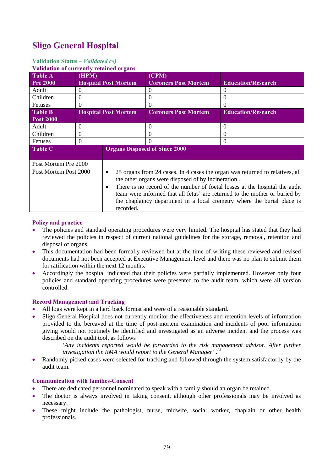## **Sligo General Hospital**

#### **Validation Status** *– Validated (√)*

**Validation of currently retained organs** 

| <u>Vanuation of currently retained of gails</u> |                             |                             |                                                    |                                                                                                                                                                                                                                                                                                                      |
|-------------------------------------------------|-----------------------------|-----------------------------|----------------------------------------------------|----------------------------------------------------------------------------------------------------------------------------------------------------------------------------------------------------------------------------------------------------------------------------------------------------------------------|
| <b>Table A</b>                                  | (HPM)                       |                             | (CPM)                                              |                                                                                                                                                                                                                                                                                                                      |
| <b>Pre 2000</b>                                 | <b>Hospital Post Mortem</b> |                             | <b>Coroners Post Mortem</b>                        | <b>Education/Research</b>                                                                                                                                                                                                                                                                                            |
| Adult                                           | $\Omega$                    |                             | $\Omega$                                           | $\Omega$                                                                                                                                                                                                                                                                                                             |
| Children                                        | $\Omega$                    |                             | $\Omega$                                           | $\Omega$                                                                                                                                                                                                                                                                                                             |
| <b>Fetuses</b>                                  | $\Omega$                    |                             | $\Omega$                                           | $\Omega$                                                                                                                                                                                                                                                                                                             |
| <b>Table B</b>                                  |                             | <b>Hospital Post Mortem</b> | <b>Coroners Post Mortem</b>                        | <b>Education/Research</b>                                                                                                                                                                                                                                                                                            |
| <b>Post 2000</b>                                |                             |                             |                                                    |                                                                                                                                                                                                                                                                                                                      |
| Adult                                           | $\Omega$                    |                             | $\Omega$                                           | $\Omega$                                                                                                                                                                                                                                                                                                             |
| Children                                        | $\theta$                    |                             | $\Omega$                                           | $\Omega$                                                                                                                                                                                                                                                                                                             |
| Fetuses                                         | $\Omega$                    |                             | $\Omega$                                           | $\Omega$                                                                                                                                                                                                                                                                                                             |
| <b>Table C</b>                                  |                             |                             | <b>Organs Disposed of Since 2000</b>               |                                                                                                                                                                                                                                                                                                                      |
| Post Mortem Pre 2000                            |                             |                             |                                                    |                                                                                                                                                                                                                                                                                                                      |
| Post Mortem Post 2000                           |                             | ٠<br>recorded.              | the other organs were disposed of by incineration. | 25 organs from 24 cases. In 4 cases the organ was returned to relatives, all<br>There is no record of the number of foetal losses at the hospital the audit<br>team were informed that all fetus' are returned to the mother or buried by<br>the chaplaincy department in a local cremetry where the burial place is |

#### **Policy and practice**

- The policies and standard operating procedures were very limited. The hospital has stated that they had reviewed the policies in respect of current national guidelines for the storage, removal, retention and disposal of organs.
- This documentation had been formally reviewed but at the time of writing these reviewed and revised documents had not been accepted at Executive Management level and there was no plan to submit them for ratification within the next 12 months.
- Accordingly the hospital indicated that their policies were partially implemented. However only four policies and standard operating procedures were presented to the audit team, which were all version controlled.

#### **Record Management and Tracking**

- All logs were kept in a hard back format and were of a reasonable standard.
- Sligo General Hospital does not currently monitor the effectiveness and retention levels of information provided to the bereaved at the time of post-mortem examination and incidents of poor information giving would not routinely be identified and investigated as an adverse incident and the process was described on the audit tool, as follows

*'Any incidents reported would be forwarded to the risk management advisor. After further investigation the RMA would report to the General Manager' .23*

• Randomly picked cases were selected for tracking and followed through the system satisfactorily by the audit team.

#### **Communication with families-Consent**

- There are dedicated personnel nominated to speak with a family should an organ be retained.
- The doctor is always involved in taking consent, although other professionals may be involved as necessary.
- These might include the pathologist, nurse, midwife, social worker, chaplain or other health professionals.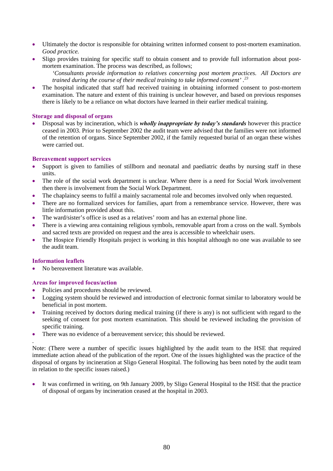- Ultimately the doctor is responsible for obtaining written informed consent to post-mortem examination. *Good practice.*
- Sligo provides training for specific staff to obtain consent and to provide full information about postmortem examination. The process was described, as follows;
	- *'Consultants provide information to relatives concerning post mortem practices. All Doctors are trained during the course of their medical training to take informed consent' .<sup>23</sup>*
- The hospital indicated that staff had received training in obtaining informed consent to post-mortem examination. The nature and extent of this training is unclear however, and based on previous responses there is likely to be a reliance on what doctors have learned in their earlier medical training.

#### **Storage and disposal of organs**

• Disposal was by incineration, which is *wholly inappropriate by today's standards* however this practice ceased in 2003. Prior to September 2002 the audit team were advised that the families were not informed of the retention of organs. Since September 2002, if the family requested burial of an organ these wishes were carried out.

#### **Bereavement support services**

- Support is given to families of stillborn and neonatal and paediatric deaths by nursing staff in these units.
- The role of the social work department is unclear. Where there is a need for Social Work involvement then there is involvement from the Social Work Department.
- The chaplaincy seems to fulfil a mainly sacramental role and becomes involved only when requested.
- There are no formalized services for families, apart from a remembrance service. However, there was little information provided about this.
- The ward/sister's office is used as a relatives' room and has an external phone line.
- There is a viewing area containing religious symbols, removable apart from a cross on the wall. Symbols and sacred texts are provided on request and the area is accessible to wheelchair users.
- The Hospice Friendly Hospitals project is working in this hospital although no one was available to see the audit team.

#### **Information leaflets**

.

• No bereavement literature was available.

#### **Areas for improved focus/action**

- Policies and procedures should be reviewed.
- Logging system should be reviewed and introduction of electronic format similar to laboratory would be beneficial in post mortem.
- Training received by doctors during medical training (if there is any) is not sufficient with regard to the seeking of consent for post mortem examination. This should be reviewed including the provision of specific training.
- There was no evidence of a bereavement service; this should be reviewed.

Note: (There were a number of specific issues highlighted by the audit team to the HSE that required immediate action ahead of the publication of the report. One of the issues highlighted was the practice of the disposal of organs by incineration at Sligo General Hospital. The following has been noted by the audit team in relation to the specific issues raised.)

• It was confirmed in writing, on 9th January 2009, by Sligo General Hospital to the HSE that the practice of disposal of organs by incineration ceased at the hospital in 2003.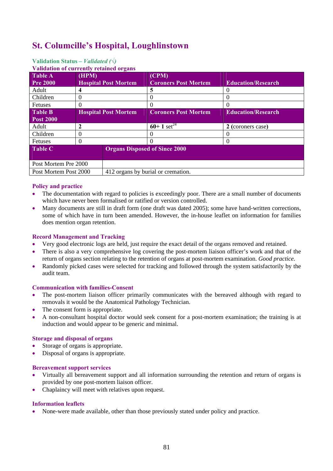### **St. Columcille's Hospital, Loughlinstown**

#### **Validation of currently retained organs Table A Pre 2000 (HPM) Hospital Post Mortem (CPM) Coroners Post Mortem Education/Research**  Adult 4 5 0 Children 0 0 0 Fetuses  $\begin{array}{c|c} 0 & 0 \\ \end{array}$ **Table B Post 2000 Hospital Post Mortem Coroners Post Mortem Education/Research**  Adult  $\begin{array}{|c|c|c|c|c|}\n\hline\n2 & 60+1 & \text{set}^{24} \\
\hline\n2 & 2 & \text{(coroners case)}\n\hline\n\end{array}$ Children 0 0 0 Fetuses  $\begin{array}{c|c} 0 & 0 \\ \end{array}$ **Table C Organs Disposed of Since 2000** Post Mortem Pre 2000 Post Mortem Post 2000 412 organs by burial or cremation.

#### **Validation Status** *– Validated (√)*

#### **Policy and practice**

- The documentation with regard to policies is exceedingly poor. There are a small number of documents which have never been formalised or ratified or version controlled.
- Many documents are still in draft form (one draft was dated 2005); some have hand-written corrections, some of which have in turn been amended. However, the in-house leaflet on information for families does mention organ retention.

#### **Record Management and Tracking**

- Very good electronic logs are held, just require the exact detail of the organs removed and retained.
- There is also a very comprehensive log covering the post-mortem liaison officer's work and that of the return of organs section relating to the retention of organs at post-mortem examination. *Good practice.*
- Randomly picked cases were selected for tracking and followed through the system satisfactorily by the audit team.

#### **Communication with families-Consent**

- The post-mortem liaison officer primarily communicates with the bereaved although with regard to removals it would be the Anatomical Pathology Technician.
- The consent form is appropriate.
- A non-consultant hospital doctor would seek consent for a post-mortem examination; the training is at induction and would appear to be generic and minimal.

#### **Storage and disposal of organs**

- Storage of organs is appropriate.
- Disposal of organs is appropriate.

#### **Bereavement support services**

- Virtually all bereavement support and all information surrounding the retention and return of organs is provided by one post-mortem liaison officer.
- Chaplaincy will meet with relatives upon request.

#### **Information leaflets**

• None-were made available, other than those previously stated under policy and practice.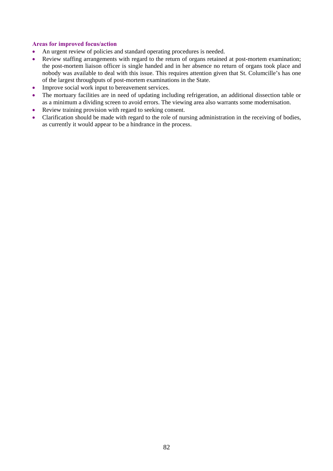#### **Areas for improved focus/action**

- An urgent review of policies and standard operating procedures is needed.
- Review staffing arrangements with regard to the return of organs retained at post-mortem examination; the post-mortem liaison officer is single handed and in her absence no return of organs took place and nobody was available to deal with this issue. This requires attention given that St. Columcille's has one of the largest throughputs of post-mortem examinations in the State.
- Improve social work input to bereavement services.
- The mortuary facilities are in need of updating including refrigeration, an additional dissection table or as a minimum a dividing screen to avoid errors. The viewing area also warrants some modernisation.
- Review training provision with regard to seeking consent.
- Clarification should be made with regard to the role of nursing administration in the receiving of bodies, as currently it would appear to be a hindrance in the process.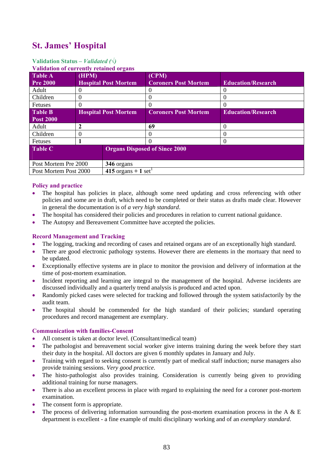## **St. James' Hospital**

#### **Validation Status** *– Validated (√)*

| <b>Validation of currently retained organs</b> |                             |                    |                                      |                           |
|------------------------------------------------|-----------------------------|--------------------|--------------------------------------|---------------------------|
| <b>Table A</b>                                 | (HPM)                       |                    | (CPM)                                |                           |
| <b>Pre 2000</b>                                | <b>Hospital Post Mortem</b> |                    | <b>Coroners Post Mortem</b>          | <b>Education/Research</b> |
| Adult                                          |                             |                    |                                      | $\mathbf{\Omega}$         |
| Children                                       | $\theta$                    |                    | $\Omega$                             | $\theta$                  |
| Fetuses                                        |                             |                    |                                      | $\mathbf{0}$              |
| <b>Table B</b>                                 | <b>Hospital Post Mortem</b> |                    | <b>Coroners Post Mortem</b>          | <b>Education/Research</b> |
| <b>Post 2000</b>                               |                             |                    |                                      |                           |
| Adult                                          | 2                           |                    | 69                                   | $\theta$                  |
| Children                                       |                             |                    |                                      | 0                         |
| Fetuses                                        |                             |                    | $\Omega$                             | $\theta$                  |
| <b>Table C</b>                                 |                             |                    | <b>Organs Disposed of Since 2000</b> |                           |
|                                                |                             |                    |                                      |                           |
| Post Mortem Pre 2000                           |                             | 346 organs         |                                      |                           |
| Post Mortem Post 2000                          |                             | 415 organs + 1 set |                                      |                           |

#### **Policy and practice**

- The hospital has policies in place, although some need updating and cross referencing with other policies and some are in draft, which need to be completed or their status as drafts made clear. However in general the documentation is of *a very high standard*.
- The hospital has considered their policies and procedures in relation to current national guidance.
- The Autopsy and Bereavement Committee have accepted the policies.

#### **Record Management and Tracking**

- The logging, tracking and recording of cases and retained organs are of an exceptionally high standard.
- There are good electronic pathology systems. However there are elements in the mortuary that need to be updated.
- Exceptionally effective systems are in place to monitor the provision and delivery of information at the time of post-mortem examination.
- Incident reporting and learning are integral to the management of the hospital. Adverse incidents are discussed individually and a quarterly trend analysis is produced and acted upon.
- Randomly picked cases were selected for tracking and followed through the system satisfactorily by the audit team.
- The hospital should be commended for the high standard of their policies; standard operating procedures and record management are exemplary.

#### **Communication with families-Consent**

- All consent is taken at doctor level. (Consultant/medical team)
- The pathologist and bereavement social worker give interns training during the week before they start their duty in the hospital. All doctors are given 6 monthly updates in January and July.
- Training with regard to seeking consent is currently part of medical staff induction; nurse managers also provide training sessions. *Very good practice*.
- The histo-pathologist also provides training. Consideration is currently being given to providing additional training for nurse managers.
- There is also an excellent process in place with regard to explaining the need for a coroner post-mortem examination.
- The consent form is appropriate.
- The process of delivering information surrounding the post-mortem examination process in the A & E department is excellent - a fine example of multi disciplinary working and of an *exemplary standard*.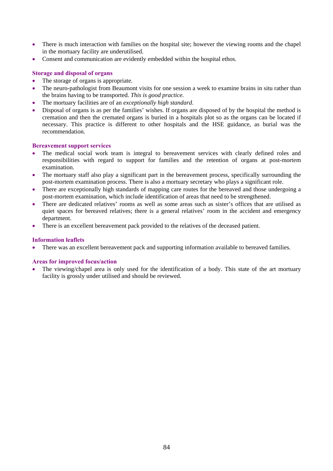- There is much interaction with families on the hospital site; however the viewing rooms and the chapel in the mortuary facility are underutilised.
- Consent and communication are evidently embedded within the hospital ethos.

#### **Storage and disposal of organs**

- The storage of organs is appropriate.
- The neuro-pathologist from Beaumont visits for one session a week to examine brains in situ rather than the brains having to be transported. *This is good practice.*
- The mortuary facilities are of an *exceptionally high standard*.
- Disposal of organs is as per the families' wishes. If organs are disposed of by the hospital the method is cremation and then the cremated organs is buried in a hospitals plot so as the organs can be located if necessary. This practice is different to other hospitals and the HSE guidance, as burial was the recommendation.

#### **Bereavement support services**

- The medical social work team is integral to bereavement services with clearly defined roles and responsibilities with regard to support for families and the retention of organs at post-mortem examination.
- The mortuary staff also play a significant part in the bereavement process, specifically surrounding the post-mortem examination process. There is also a mortuary secretary who plays a significant role.
- There are exceptionally high standards of mapping care routes for the bereaved and those undergoing a post-mortem examination, which include identification of areas that need to be strengthened.
- There are dedicated relatives' rooms as well as some areas such as sister's offices that are utilised as quiet spaces for bereaved relatives; there is a general relatives' room in the accident and emergency department.
- There is an excellent bereavement pack provided to the relatives of the deceased patient.

#### **Information leaflets**

• There was an excellent bereavement pack and supporting information available to bereaved families.

#### **Areas for improved focus/action**

The viewing/chapel area is only used for the identification of a body. This state of the art mortuary facility is grossly under utilised and should be reviewed.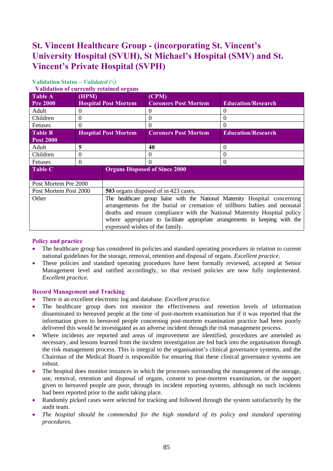## **St. Vincent Healthcare Group - (incorporating St. Vincent's University Hospital (SVUH), St Michael's Hospital (SMV) and St. Vincent's Private Hospital (SVPH)**

| $\cdots$              |                             |                                      |                                                                              |                           |  |
|-----------------------|-----------------------------|--------------------------------------|------------------------------------------------------------------------------|---------------------------|--|
| <b>Table A</b>        | (HPM)                       |                                      | (CPM)                                                                        |                           |  |
| <b>Pre 2000</b>       | <b>Hospital Post Mortem</b> |                                      | <b>Coroners Post Mortem</b>                                                  | <b>Education/Research</b> |  |
| Adult                 | $\Omega$                    |                                      | $\Omega$                                                                     | $\Omega$                  |  |
| Children              | $\Omega$                    |                                      | $\Omega$                                                                     | 0                         |  |
| <b>Fetuses</b>        | $\Omega$                    |                                      | $\Omega$                                                                     | $\Omega$                  |  |
| <b>Table B</b>        |                             | <b>Hospital Post Mortem</b>          | <b>Coroners Post Mortem</b>                                                  | <b>Education/Research</b> |  |
| <b>Post 2000</b>      |                             |                                      |                                                                              |                           |  |
| Adult                 | 5                           |                                      | 40                                                                           | $\Omega$                  |  |
| Children              | $\Omega$                    |                                      | $\Omega$                                                                     | $\Omega$                  |  |
| <b>Fetuses</b>        | $\Omega$                    |                                      | $\Omega$                                                                     | $\Omega$                  |  |
| <b>Table C</b>        |                             |                                      | <b>Organs Disposed of Since 2000</b>                                         |                           |  |
| Post Mortem Pre 2000  |                             |                                      |                                                                              |                           |  |
| Post Mortem Post 2000 |                             | 503 organs disposed of in 423 cases. |                                                                              |                           |  |
| Other                 |                             |                                      | The healthcare group liaise with the National Maternity Hospital concerning  |                           |  |
|                       |                             |                                      | arrangements for the burial or cremation of stillborn babies and neonatal    |                           |  |
|                       |                             |                                      | deaths and ensure compliance with the National Maternity Hospital policy     |                           |  |
|                       |                             |                                      | where appropriate to facilitate appropriate arrangements in keeping with the |                           |  |
|                       |                             | expressed wishes of the family.      |                                                                              |                           |  |

### **Validation Status** *– Validated (√)*

#### **Validation of currently retained organs**

#### **Policy and practice**

- The healthcare group has considered its policies and standard operating procedures in relation to current national guidelines for the storage, removal, retention and disposal of organs. *Excellent practice.*
- These policies and standard operating procedures have been formally reviewed, accepted at Senior Management level and ratified accordingly, so that revised policies are now fully implemented. *Excellent practice.*

#### **Record Management and Tracking**

- There is an excellent electronic log and database. *Excellent practice.*
- The healthcare group does not monitor the effectiveness and retention levels of information disseminated to bereaved people at the time of post-mortem examination but if it was reported that the information given to bereaved people concerning post-mortem examination practice had been poorly delivered this would be investigated as an adverse incident through the risk management process.
- Where incidents are reported and areas of improvement are identified, procedures are amended as necessary, and lessons learned from the incident investigation are fed back into the organisation through the risk management process. This is integral to the organisation's clinical governance systems, and the Chairman of the Medical Board is responsible for ensuring that these clinical governance systems are robust.
- The hospital does monitor instances in which the processes surrounding the management of the storage, use, removal, retention and disposal of organs, consent to post-mortem examination, or the support given to bereaved people are poor, through its incident reporting systems, although no such incidents had been reported prior to the audit taking place.
- Randomly picked cases were selected for tracking and followed through the system satisfactorily by the audit team.
- *The hospital should be commended for the high standard of its policy and standard operating procedures.*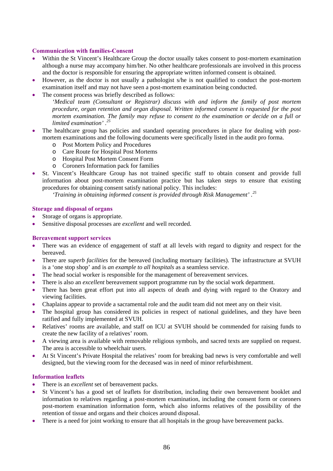#### **Communication with families-Consent**

- Within the St Vincent's Healthcare Group the doctor usually takes consent to post-mortem examination although a nurse may accompany him/her. No other healthcare professionals are involved in this process and the doctor is responsible for ensuring the appropriate written informed consent is obtained.
- However, as the doctor is not usually a pathologist s/he is not qualified to conduct the post-mortem examination itself and may not have seen a post-mortem examination being conducted.
- The consent process was briefly described as follows:

*'Medical team (Consultant or Registrar) discuss with and inform the family of post mortem procedure, organ retention and organ disposal. Written informed consent is requested for the post mortem examination. The family may refuse to consent to the examination or decide on a full or limited examination' .25*

- The healthcare group has policies and standard operating procedures in place for dealing with postmortem examinations and the following documents were specifically listed in the audit pro forma.
	- o Post Mortem Policy and Procedures
	- o Care Route for Hospital Post Mortems
	- o Hospital Post Mortem Consent Form
	- o Coroners Information pack for families
- St. Vincent's Healthcare Group has not trained specific staff to obtain consent and provide full information about post-mortem examination practice but has taken steps to ensure that existing procedures for obtaining consent satisfy national policy. This includes:

*'Training in obtaining informed consent is provided through Risk Management' .25*

#### **Storage and disposal of organs**

- Storage of organs is appropriate.
- Sensitive disposal processes are *excellent* and well recorded.

#### **Bereavement support services**

- There was an evidence of engagement of staff at all levels with regard to dignity and respect for the bereaved.
- There are *superb facilities* for the bereaved (including mortuary facilities). The infrastructure at SVUH is a 'one stop shop' and is *an example to all hospitals* as a seamless service.
- The head social worker is responsible for the management of bereavement services.
- There is also an *excellent* bereavement support programme run by the social work department.
- There has been great effort put into all aspects of death and dying with regard to the Oratory and viewing facilities.
- Chaplains appear to provide a sacramental role and the audit team did not meet any on their visit.
- The hospital group has considered its policies in respect of national guidelines, and they have been ratified and fully implemented at SVUH.
- Relatives' rooms are available, and staff on ICU at SVUH should be commended for raising funds to create the new facility of a relatives' room.
- A viewing area is available with removable religious symbols, and sacred texts are supplied on request. The area is accessible to wheelchair users.
- At St Vincent's Private Hospital the relatives' room for breaking bad news is very comfortable and well designed, but the viewing room for the deceased was in need of minor refurbishment.

#### **Information leaflets**

- There is an *excellent* set of bereavement packs.
- St Vincent's has a good set of leaflets for distribution, including their own bereavement booklet and information to relatives regarding a post-mortem examination, including the consent form or coroners post-mortem examination information form, which also informs relatives of the possibility of the retention of tissue and organs and their choices around disposal.
- There is a need for joint working to ensure that all hospitals in the group have bereavement packs.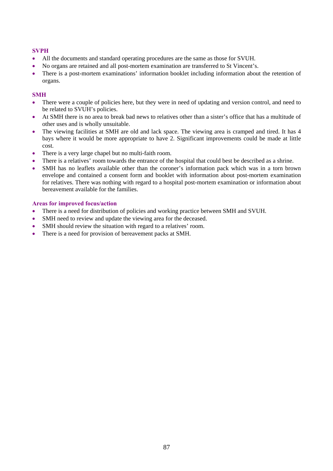#### **SVPH**

- All the documents and standard operating procedures are the same as those for SVUH.
- No organs are retained and all post-mortem examination are transferred to St Vincent's.
- There is a post-mortem examinations' information booklet including information about the retention of organs.

#### **SMH**

- There were a couple of policies here, but they were in need of updating and version control, and need to be related to SVUH's policies.
- At SMH there is no area to break bad news to relatives other than a sister's office that has a multitude of other uses and is wholly unsuitable.
- The viewing facilities at SMH are old and lack space. The viewing area is cramped and tired. It has 4 bays where it would be more appropriate to have 2. Significant improvements could be made at little cost.
- There is a very large chapel but no multi-faith room.
- There is a relatives' room towards the entrance of the hospital that could best be described as a shrine.
- SMH has no leaflets available other than the coroner's information pack which was in a torn brown envelope and contained a consent form and booklet with information about post-mortem examination for relatives. There was nothing with regard to a hospital post-mortem examination or information about bereavement available for the families.

#### **Areas for improved focus/action**

- There is a need for distribution of policies and working practice between SMH and SVUH.
- SMH need to review and update the viewing area for the deceased.
- SMH should review the situation with regard to a relatives' room.
- There is a need for provision of bereavement packs at SMH.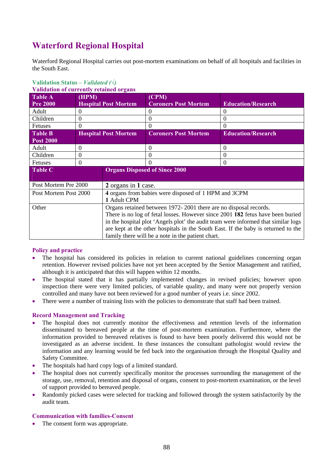## **Waterford Regional Hospital**

Waterford Regional Hospital carries out post-mortem examinations on behalf of all hospitals and facilities in the South East.

| <u>v anuation of currently retained of gans</u> |                             |                                                                                   |                             |                           |  |
|-------------------------------------------------|-----------------------------|-----------------------------------------------------------------------------------|-----------------------------|---------------------------|--|
| <b>Table A</b>                                  | (HPM)                       |                                                                                   | (CPM)                       |                           |  |
| <b>Pre 2000</b>                                 | <b>Hospital Post Mortem</b> |                                                                                   | <b>Coroners Post Mortem</b> | <b>Education/Research</b> |  |
| Adult                                           | $\theta$                    |                                                                                   | $\theta$                    | $\theta$                  |  |
| Children                                        | $\theta$                    |                                                                                   | $\Omega$                    | $\theta$                  |  |
| Fetuses                                         | $\Omega$                    |                                                                                   | $\theta$                    | $\Omega$                  |  |
| <b>Table B</b>                                  |                             | <b>Hospital Post Mortem</b>                                                       | <b>Coroners Post Mortem</b> | <b>Education/Research</b> |  |
| <b>Post 2000</b>                                |                             |                                                                                   |                             |                           |  |
| Adult                                           | 0                           |                                                                                   | $\Omega$                    | $\Omega$                  |  |
| Children                                        | $\theta$                    |                                                                                   | $\theta$                    | $\Omega$                  |  |
| Fetuses                                         | $\Omega$                    |                                                                                   | $\Omega$                    | $\overline{0}$            |  |
| <b>Table C</b>                                  |                             | <b>Organs Disposed of Since 2000</b>                                              |                             |                           |  |
|                                                 |                             |                                                                                   |                             |                           |  |
| Post Mortem Pre 2000                            |                             | 2 organs in 1 case.                                                               |                             |                           |  |
| Post Mortem Post 2000                           |                             | 4 organs from babies were disposed of 1 HPM and 3CPM                              |                             |                           |  |
|                                                 |                             | 1 Adult CPM                                                                       |                             |                           |  |
| Other                                           |                             | Organs retained between 1972-2001 there are no disposal records.                  |                             |                           |  |
|                                                 |                             | There is no log of fetal losses. However since 2001 182 fetus have been buried    |                             |                           |  |
|                                                 |                             | in the hospital plot 'Angels plot' the audit team were informed that similar logs |                             |                           |  |
|                                                 |                             | are kept at the other hospitals in the South East. If the baby is returned to the |                             |                           |  |
|                                                 |                             | family there will be a note in the patient chart.                                 |                             |                           |  |

#### **Validation Status** *– Validated (√)*  **Validation of currently retained organs**

#### **Policy and practice**

- The hospital has considered its policies in relation to current national guidelines concerning organ retention. However revised policies have not yet been accepted by the Senior Management and ratified, although it is anticipated that this will happen within 12 months.
- The hospital stated that it has partially implemented changes in revised policies; however upon inspection there were very limited policies, of variable quality, and many were not properly version controlled and many have not been reviewed for a good number of years i.e. since 2002.
- There were a number of training lists with the policies to demonstrate that staff had been trained.

#### **Record Management and Tracking**

- The hospital does not currently monitor the effectiveness and retention levels of the information disseminated to bereaved people at the time of post-mortem examination. Furthermore, where the information provided to bereaved relatives is found to have been poorly delivered this would not be investigated as an adverse incident. In these instances the consultant pathologist would review the information and any learning would be fed back into the organisation through the Hospital Quality and Safety Committee.
- The hospitals had hard copy logs of a limited standard.
- The hospital does not currently specifically monitor the processes surrounding the management of the storage, use, removal, retention and disposal of organs, consent to post-mortem examination, or the level of support provided to bereaved people.
- Randomly picked cases were selected for tracking and followed through the system satisfactorily by the audit team.

#### **Communication with families-Consent**

The consent form was appropriate.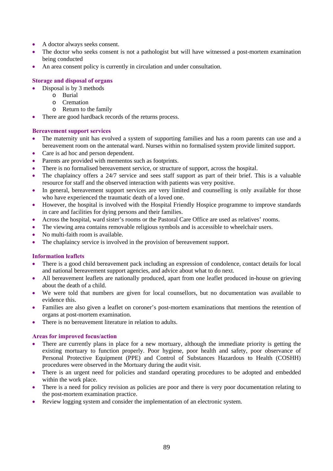- A doctor always seeks consent.
- The doctor who seeks consent is not a pathologist but will have witnessed a post-mortem examination being conducted
- An area consent policy is currently in circulation and under consultation.

#### **Storage and disposal of organs**

- Disposal is by 3 methods
	- o Burial
	- o Cremation
	- o Return to the family
- There are good hardback records of the returns process.

#### **Bereavement support services**

- The maternity unit has evolved a system of supporting families and has a room parents can use and a bereavement room on the antenatal ward. Nurses within no formalised system provide limited support.
- Care is ad hoc and person dependent.
- Parents are provided with mementos such as footprints.
- There is no formalised bereavement service, or structure of support, across the hospital.
- The chaplaincy offers a 24/7 service and sees staff support as part of their brief. This is a valuable resource for staff and the observed interaction with patients was very positive.
- In general, bereavement support services are very limited and counselling is only available for those who have experienced the traumatic death of a loved one.
- However, the hospital is involved with the Hospital Friendly Hospice programme to improve standards in care and facilities for dying persons and their families.
- Across the hospital, ward sister's rooms or the Pastoral Care Office are used as relatives' rooms.
- The viewing area contains removable religious symbols and is accessible to wheelchair users.
- No multi-faith room is available.
- The chaplaincy service is involved in the provision of bereavement support.

#### **Information leaflets**

- There is a good child bereavement pack including an expression of condolence, contact details for local and national bereavement support agencies, and advice about what to do next.
- All bereavement leaflets are nationally produced, apart from one leaflet produced in-house on grieving about the death of a child.
- We were told that numbers are given for local counsellors, but no documentation was available to evidence this.
- Families are also given a leaflet on coroner's post-mortem examinations that mentions the retention of organs at post-mortem examination.
- There is no bereavement literature in relation to adults.

#### **Areas for improved focus/action**

- There are currently plans in place for a new mortuary, although the immediate priority is getting the existing mortuary to function properly. Poor hygiene, poor health and safety, poor observance of Personal Protective Equipment (PPE) and Control of Substances Hazardous to Health (COSHH) procedures were observed in the Mortuary during the audit visit.
- There is an urgent need for policies and standard operating procedures to be adopted and embedded within the work place.
- There is a need for policy revision as policies are poor and there is very poor documentation relating to the post-mortem examination practice.
- Review logging system and consider the implementation of an electronic system.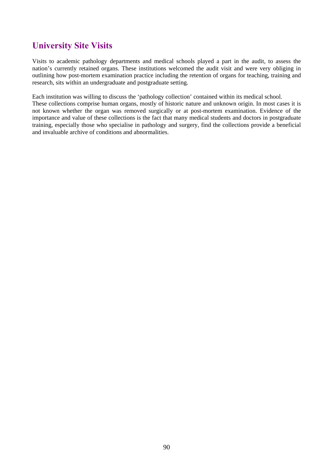### **University Site Visits**

Visits to academic pathology departments and medical schools played a part in the audit, to assess the nation's currently retained organs. These institutions welcomed the audit visit and were very obliging in outlining how post-mortem examination practice including the retention of organs for teaching, training and research, sits within an undergraduate and postgraduate setting.

Each institution was willing to discuss the 'pathology collection' contained within its medical school.

These collections comprise human organs, mostly of historic nature and unknown origin. In most cases it is not known whether the organ was removed surgically or at post-mortem examination. Evidence of the importance and value of these collections is the fact that many medical students and doctors in postgraduate training, especially those who specialise in pathology and surgery, find the collections provide a beneficial and invaluable archive of conditions and abnormalities.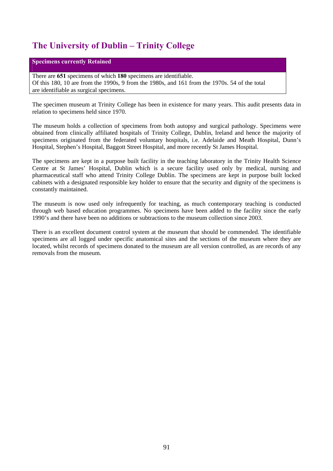## **The University of Dublin – Trinity College**

#### **Specimens currently Retained**

There are **651** specimens of which **180** specimens are identifiable. Of this 180, 10 are from the 1990s, 9 from the 1980s, and 161 from the 1970s. 54 of the total are identifiable as surgical specimens.

The specimen museum at Trinity College has been in existence for many years. This audit presents data in relation to specimens held since 1970.

The museum holds a collection of specimens from both autopsy and surgical pathology. Specimens were obtained from clinically affiliated hospitals of Trinity College, Dublin, Ireland and hence the majority of specimens originated from the federated voluntary hospitals, i.e. Adelaide and Meath Hospital, Dunn's Hospital, Stephen's Hospital, Baggott Street Hospital, and more recently St James Hospital.

The specimens are kept in a purpose built facility in the teaching laboratory in the Trinity Health Science Centre at St James' Hospital, Dublin which is a secure facility used only by medical, nursing and pharmaceutical staff who attend Trinity College Dublin. The specimens are kept in purpose built locked cabinets with a designated responsible key holder to ensure that the security and dignity of the specimens is constantly maintained.

The museum is now used only infrequently for teaching, as much contemporary teaching is conducted through web based education programmes. No specimens have been added to the facility since the early 1990's and there have been no additions or subtractions to the museum collection since 2003.

There is an excellent document control system at the museum that should be commended. The identifiable specimens are all logged under specific anatomical sites and the sections of the museum where they are located, whilst records of specimens donated to the museum are all version controlled, as are records of any removals from the museum.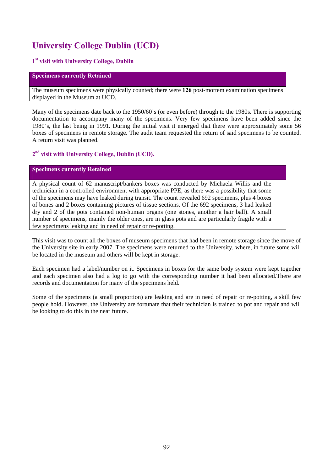## **University College Dublin (UCD)**

#### **1st visit with University College, Dublin**

#### **Specimens currently Retained**

The museum specimens were physically counted; there were **126** post-mortem examination specimens displayed in the Museum at UCD.

Many of the specimens date back to the 1950/60's (or even before) through to the 1980s. There is supporting documentation to accompany many of the specimens. Very few specimens have been added since the 1980's, the last being in 1991. During the initial visit it emerged that there were approximately some 56 boxes of specimens in remote storage. The audit team requested the return of said specimens to be counted. A return visit was planned.

#### **2nd visit with University College, Dublin (UCD).**

#### **Specimens currently Retained**

A physical count of 62 manuscript/bankers boxes was conducted by Michaela Willis and the technician in a controlled environment with appropriate PPE, as there was a possibility that some of the specimens may have leaked during transit. The count revealed 692 specimens, plus 4 boxes of bones and 2 boxes containing pictures of tissue sections. Of the 692 specimens, 3 had leaked dry and 2 of the pots contained non-human organs (one stones, another a hair ball). A small number of specimens, mainly the older ones, are in glass pots and are particularly fragile with a few specimens leaking and in need of repair or re-potting.

This visit was to count all the boxes of museum specimens that had been in remote storage since the move of the University site in early 2007. The specimens were returned to the University, where, in future some will be located in the museum and others will be kept in storage.

Each specimen had a label/number on it. Specimens in boxes for the same body system were kept together and each specimen also had a log to go with the corresponding number it had been allocated.There are records and documentation for many of the specimens held.

Some of the specimens (a small proportion) are leaking and are in need of repair or re-potting, a skill few people hold. However, the University are fortunate that their technician is trained to pot and repair and will be looking to do this in the near future.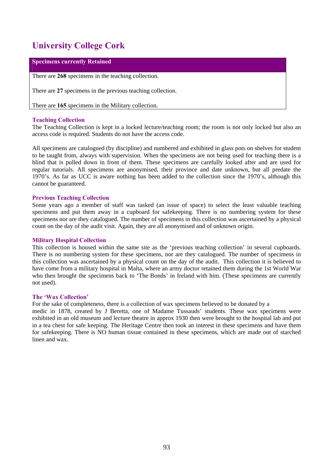## **University College Cork**

#### **Specimens currently Retained**

There are **268** specimens in the teaching collection.

There are **27** specimens in the previous teaching collection.

There are **165** specimens in the Military collection.

#### **Teaching Collection**

The Teaching Collection is kept in a locked lecture/teaching room; the room is not only locked but also an access code is required. Students do not have the access code.

All specimens are catalogued (by discipline) and numbered and exhibited in glass pots on shelves for student to be taught from, always with supervision. When the specimens are not being used for teaching there is a blind that is pulled down in front of them. These specimens are carefully looked after and are used for regular tutorials. All specimens are anonymised, their province and date unknown, but all predate the 1970's. As far as UCC is aware nothing has been added to the collection since the 1970's, although this cannot be guaranteed.

#### **Previous Teaching Collection**

Some years ago a member of staff was tasked (an issue of space) to select the least valuable teaching specimens and put them away in a cupboard for safekeeping. There is no numbering system for these specimens nor are they catalogued. The number of specimens in this collection was ascertained by a physical count on the day of the audit visit. Again, they are all anonymised and of unknown origin.

#### **Military Hospital Collection**

This collection is housed within the same site as the 'previous teaching collection' in several cupboards. There is no numbering system for these specimens, nor are they catalogued. The number of specimens in this collection was ascertained by a physical count on the day of the audit. This collection it is believed to have come from a military hospital in Malta, where an army doctor retained them during the 1st World War who then brought the specimens back to 'The Bonds' in Ireland with him. (These specimens are currently not used).

#### **The 'Wax Collection'**

For the sake of completeness, there is a collection of wax specimens believed to be donated by a

medic in 1878, created by J Beretta, one of Madame Tussauds' students. These wax specimens were exhibited in an old museum and lecture theatre in approx 1930 then were brought to the hospital lab and put in a tea chest for safe keeping. The Heritage Centre then took an interest in these specimens and have them for safekeeping. There is NO human tissue contained in these specimens, which are made out of starched linen and wax.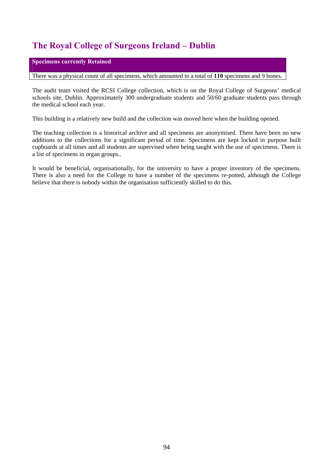## **The Royal College of Surgeons Ireland – Dublin**

#### **Specimens currently Retained**

There was a physical count of all specimens, which amounted to a total of **110** specimens and 9 bones.

The audit team visited the RCSI College collection, which is on the Royal College of Surgeons' medical schools site, Dublin. Approximately 300 undergraduate students and 50/60 graduate students pass through the medical school each year.

This building is a relatively new build and the collection was moved here when the building opened.

The teaching collection is a historical archive and all specimens are anonymised. There have been no new additions to the collections for a significant period of time. Specimens are kept locked in purpose built cupboards at all times and all students are supervised when being taught with the use of specimens. There is a list of specimens in organ groups..

It would be beneficial, organisationally, for the university to have a proper inventory of the specimens. There is also a need for the College to have a number of the specimens re-potted, although the College believe that there is nobody within the organisation sufficiently skilled to do this.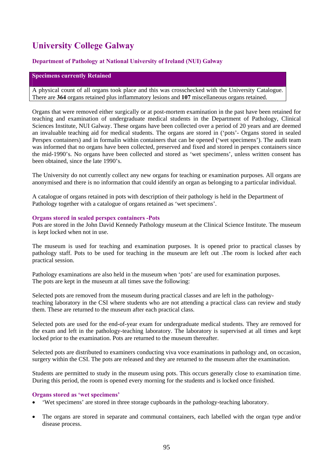## **University College Galway**

#### **Department of Pathology at National University of Ireland (NUI) Galway**

#### **Specimens currently Retained**

A physical count of all organs took place and this was crosschecked with the University Catalogue. There are **364** organs retained plus inflammatory lesions and **107** miscellaneous organs retained.

Organs that were removed either surgically or at post-mortem examination in the past have been retained for teaching and examination of undergraduate medical students in the Department of Pathology, Clinical Sciences Institute, NUI Galway. These organs have been collected over a period of 20 years and are deemed an invaluable teaching aid for medical students. The organs are stored in ('pots'- Organs stored in sealed Perspex containers) and in formalin within containers that can be opened ('wet specimens'). The audit team was informed that no organs have been collected, preserved and fixed and stored in perspex containers since the mid-1990's. No organs have been collected and stored as 'wet specimens', unless written consent has been obtained, since the late 1990's.

The University do not currently collect any new organs for teaching or examination purposes. All organs are anonymised and there is no information that could identify an organ as belonging to a particular individual.

A catalogue of organs retained in pots with description of their pathology is held in the Department of Pathology together with a catalogue of organs retained as 'wet specimens'.

#### **Organs stored in sealed perspex containers -Pots**

Pots are stored in the John David Kennedy Pathology museum at the Clinical Science Institute. The museum is kept locked when not in use.

The museum is used for teaching and examination purposes. It is opened prior to practical classes by pathology staff. Pots to be used for teaching in the museum are left out .The room is locked after each practical session.

Pathology examinations are also held in the museum when 'pots' are used for examination purposes. The pots are kept in the museum at all times save the following:

Selected pots are removed from the museum during practical classes and are left in the pathologyteaching laboratory in the CSI where students who are not attending a practical class can review and study them. These are returned to the museum after each practical class.

Selected pots are used for the end-of-year exam for undergraduate medical students. They are removed for the exam and left in the pathology-teaching laboratory. The laboratory is supervised at all times and kept locked prior to the examination. Pots are returned to the museum thereafter.

Selected pots are distributed to examiners conducting viva voce examinations in pathology and, on occasion, surgery within the CSI. The pots are released and they are returned to the museum after the examination.

Students are permitted to study in the museum using pots. This occurs generally close to examination time. During this period, the room is opened every morning for the students and is locked once finished.

#### **Organs stored as 'wet specimens'**

- 'Wet specimens' are stored in three storage cupboards in the pathology-teaching laboratory.
- The organs are stored in separate and communal containers, each labelled with the organ type and/or disease process.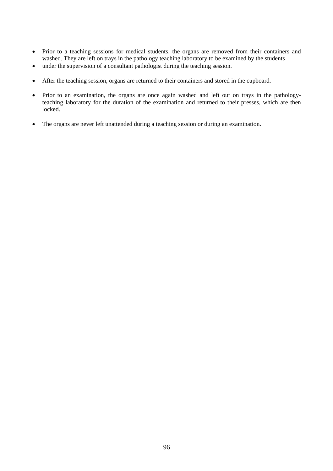- Prior to a teaching sessions for medical students, the organs are removed from their containers and washed. They are left on trays in the pathology teaching laboratory to be examined by the students
- under the supervision of a consultant pathologist during the teaching session.
- After the teaching session, organs are returned to their containers and stored in the cupboard.
- Prior to an examination, the organs are once again washed and left out on trays in the pathologyteaching laboratory for the duration of the examination and returned to their presses, which are then locked.
- The organs are never left unattended during a teaching session or during an examination.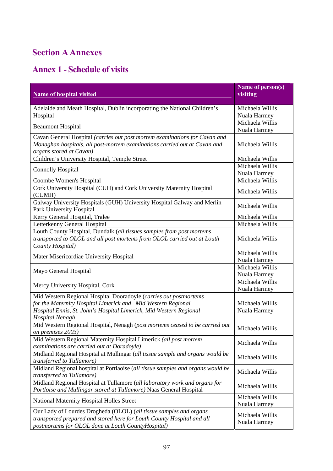## **Section A Annexes**

# **Annex 1 - Schedule of visits**

| Name of hospital visited                                                                                                                                                                                                          | Name of person(s)<br>visiting   |
|-----------------------------------------------------------------------------------------------------------------------------------------------------------------------------------------------------------------------------------|---------------------------------|
| Adelaide and Meath Hospital, Dublin incorporating the National Children's                                                                                                                                                         | Michaela Willis                 |
| Hospital                                                                                                                                                                                                                          | Nuala Harmey                    |
| <b>Beaumont Hospital</b>                                                                                                                                                                                                          | Michaela Willis                 |
|                                                                                                                                                                                                                                   | Nuala Harmey                    |
| Cavan General Hospital (carries out post mortem examinations for Cavan and<br>Monaghan hospitals, all post-mortem examinations carried out at Cavan and<br>organs stored at Cavan)                                                | Michaela Willis                 |
| Children's University Hospital, Temple Street                                                                                                                                                                                     | Michaela Willis                 |
| <b>Connolly Hospital</b>                                                                                                                                                                                                          | Michaela Willis                 |
|                                                                                                                                                                                                                                   | Nuala Harmey                    |
| Coombe Women's Hospital                                                                                                                                                                                                           | Michaela Willis                 |
| Cork University Hospital (CUH) and Cork University Maternity Hospital<br>(CUMH)                                                                                                                                                   | Michaela Willis                 |
| Galway University Hospitals (GUH) University Hospital Galway and Merlin<br>Park University Hospital                                                                                                                               | Michaela Willis                 |
| Kerry General Hospital, Tralee                                                                                                                                                                                                    | Michaela Willis                 |
| Letterkenny General Hospital                                                                                                                                                                                                      | Michaela Willis                 |
| Louth County Hospital, Dundalk (all tissues samples from post mortems<br>transported to OLOL and all post mortems from OLOL carried out at Louth<br>County Hospital)                                                              | Michaela Willis                 |
| Mater Misericordiae University Hospital                                                                                                                                                                                           | Michaela Willis<br>Nuala Harmey |
|                                                                                                                                                                                                                                   | Michaela Willis                 |
| Mayo General Hospital                                                                                                                                                                                                             | Nuala Harmey                    |
|                                                                                                                                                                                                                                   | Michaela Willis                 |
| Mercy University Hospital, Cork                                                                                                                                                                                                   | Nuala Harmey                    |
| Mid Western Regional Hospital Dooradoyle (carries out postmortems<br>for the Maternity Hospital Limerick and Mid Western Regional<br>Hospital Ennis, St. John's Hospital Limerick, Mid Western Regional<br><b>Hospital Nenagh</b> | Michaela Willis<br>Nuala Harmey |
| Mid Western Regional Hospital, Nenagh (post mortems ceased to be carried out<br>on premises 2003)                                                                                                                                 | Michaela Willis                 |
| Mid Western Regional Maternity Hospital Limerick (all post mortem<br>examinations are carried out at Doradoyle)                                                                                                                   | Michaela Willis                 |
| Midland Regional Hospital at Mullingar (all tissue sample and organs would be<br>transferred to Tullamore)                                                                                                                        | Michaela Willis                 |
| Midland Regional hospital at Portlaoise (all tissue samples and organs would be<br><i>transferred to Tullamore</i> )                                                                                                              | Michaela Willis                 |
| Midland Regional Hospital at Tullamore (all laboratory work and organs for<br>Portloise and Mullingar stored at Tullamore) Naas General Hospital                                                                                  | Michaela Willis                 |
| National Maternity Hospital Holles Street                                                                                                                                                                                         | Michaela Willis<br>Nuala Harmey |
| Our Lady of Lourdes Drogheda (OLOL) (all tissue samples and organs<br>transported prepared and stored here for Louth County Hospital and all<br>postmortems for OLOL done at Louth CountyHospital)                                | Michaela Willis<br>Nuala Harmey |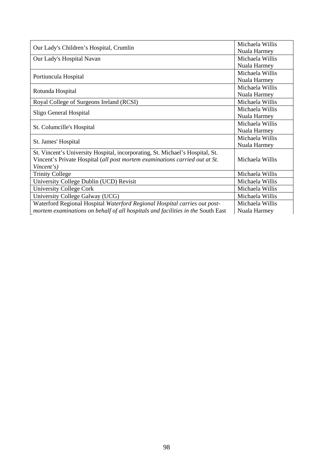|                                                                                 | Michaela Willis |
|---------------------------------------------------------------------------------|-----------------|
| Our Lady's Children's Hospital, Crumlin                                         | Nuala Harmey    |
| Our Lady's Hospital Navan                                                       | Michaela Willis |
|                                                                                 | Nuala Harmey    |
|                                                                                 | Michaela Willis |
| Portiuncula Hospital                                                            | Nuala Harmey    |
|                                                                                 | Michaela Willis |
| Rotunda Hospital                                                                | Nuala Harmey    |
| Royal College of Surgeons Ireland (RCSI)                                        | Michaela Willis |
| Sligo General Hospital                                                          | Michaela Willis |
|                                                                                 | Nuala Harmey    |
| St. Columcille's Hospital                                                       | Michaela Willis |
|                                                                                 | Nuala Harmey    |
| St. James' Hospital                                                             | Michaela Willis |
|                                                                                 | Nuala Harmey    |
| St. Vincent's University Hospital, incorporating, St. Michael's Hospital, St.   |                 |
| Vincent's Private Hospital (all post mortem examinations carried out at St.     | Michaela Willis |
| Vincent's)                                                                      |                 |
| <b>Trinity College</b>                                                          | Michaela Willis |
| University College Dublin (UCD) Revisit                                         | Michaela Willis |
| University College Cork                                                         | Michaela Willis |
| University College Galway (UCG)                                                 | Michaela Willis |
| Waterford Regional Hospital Waterford Regional Hospital carries out post-       | Michaela Willis |
| mortem examinations on behalf of all hospitals and facilities in the South East | Nuala Harmey    |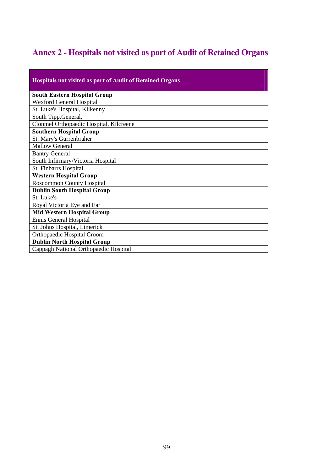# **Annex 2 - Hospitals not visited as part of Audit of Retained Organs**

| <b>Hospitals not visited as part of Audit of Retained Organs</b> |
|------------------------------------------------------------------|
| <b>South Eastern Hospital Group</b>                              |
| <b>Wexford General Hospital</b>                                  |
| St. Luke's Hospital, Kilkenny                                    |
| South Tipp.General,                                              |
| Clonmel Orthopaedic Hospital, Kilcreene                          |
| <b>Southern Hospital Group</b>                                   |
| St. Mary's Gurrenbraher                                          |
| <b>Mallow General</b>                                            |
| <b>Bantry General</b>                                            |
| South Infirmary/Victoria Hospital                                |
| <b>St. Finbarrs Hospital</b>                                     |
| <b>Western Hospital Group</b>                                    |
| <b>Roscommon County Hospital</b>                                 |
| <b>Dublin South Hospital Group</b>                               |
| St. Luke's                                                       |
| Royal Victoria Eye and Ear                                       |
| <b>Mid Western Hospital Group</b>                                |
| Ennis General Hospital                                           |
| St. Johns Hospital, Limerick                                     |
| Orthopaedic Hospital Croom                                       |
| <b>Dublin North Hospital Group</b>                               |
| Cappagh National Orthopaedic Hospital                            |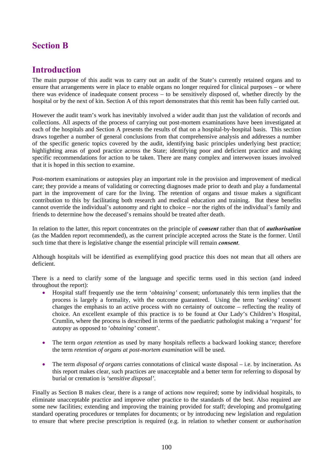### **Section B**

### **Introduction**

The main purpose of this audit was to carry out an audit of the State's currently retained organs and to ensure that arrangements were in place to enable organs no longer required for clinical purposes – or where there was evidence of inadequate consent process – to be sensitively disposed of, whether directly by the hospital or by the next of kin. Section A of this report demonstrates that this remit has been fully carried out.

However the audit team's work has inevitably involved a wider audit than just the validation of records and collections. All aspects of the process of carrying out post-mortem examinations have been investigated at each of the hospitals and Section A presents the results of that on a hospital-by-hospital basis. This section draws together a number of general conclusions from that comprehensive analysis and addresses a number of the specific generic topics covered by the audit, identifying basic principles underlying best practice; highlighting areas of good practice across the State; identifying poor and deficient practice and making specific recommendations for action to be taken. There are many complex and interwoven issues involved that it is hoped in this section to examine.

Post-mortem examinations or autopsies play an important role in the provision and improvement of medical care; they provide a means of validating or correcting diagnoses made prior to death and play a fundamental part in the improvement of care for the living. The retention of organs and tissue makes a significant contribution to this by facilitating both research and medical education and training. But these benefits cannot override the individual's autonomy and right to choice – nor the rights of the individual's family and friends to determine how the deceased's remains should be treated after death.

In relation to the latter, this report concentrates on the principle of *consent* rather than that of *authorisation* (as the Madden report recommended), as the current principle accepted across the State is the former. Until such time that there is legislative change the essential principle will remain *consent*.

Although hospitals will be identified as exemplifying good practice this does not mean that all others are deficient.

There is a need to clarify some of the language and specific terms used in this section (and indeed throughout the report):

- Hospital staff frequently use the term '*obtaining'* consent; unfortunately this term implies that the process is largely a formality, with the outcome guaranteed. Using the term '*seeking'* consent changes the emphasis to an active process with no certainty of outcome – reflecting the reality of choice. An excellent example of this practice is to be found at Our Lady's Children's Hospital, Crumlin, where the process is described in terms of the paediatric pathologist making a '*request'* for autopsy as opposed to '*obtaining'* consent'.
- The term *organ retention* as used by many hospitals reflects a backward looking stance; therefore the term *retention of organs at post-mortem examination* will be used.
- The term *disposal of organs* carries connotations of clinical waste disposal i.e. by incineration. As this report makes clear, such practices are unacceptable and a better term for referring to disposal by burial or cremation is *'sensitive disposal'*.

Finally as Section B makes clear, there is a range of actions now required; some by individual hospitals, to eliminate unacceptable practice and improve other practice to the standards of the best. Also required are some new facilities; extending and improving the training provided for staff; developing and promulgating standard operating procedures or templates for documents; or by introducing new legislation and regulation to ensure that where precise prescription is required (e.g. in relation to whether consent or *authorisation*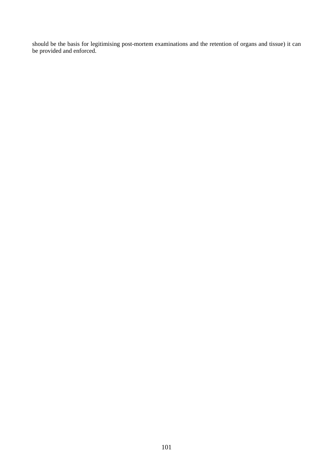should be the basis for legitimising post-mortem examinations and the retention of organs and tissue) it can be provided and enforced.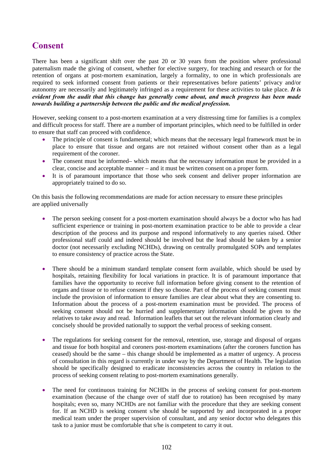### **Consent**

There has been a significant shift over the past 20 or 30 years from the position where professional paternalism made the giving of consent, whether for elective surgery, for teaching and research or for the retention of organs at post-mortem examination, largely a formality, to one in which professionals are required to seek informed consent from patients or their representatives before patients' privacy and/or autonomy are necessarily and legitimately infringed as a requirement for these activities to take place. *It is evident from the audit that this change has generally come about, and much progress has been made towards building a partnership between the public and the medical profession.* 

However, seeking consent to a post-mortem examination at a very distressing time for families is a complex and difficult process for staff. There are a number of important principles, which need to be fulfilled in order to ensure that staff can proceed with confidence.

- The principle of consent is fundamental; which means that the necessary legal framework must be in place to ensure that tissue and organs are not retained without consent other than as a legal requirement of the coroner.
- The consent must be informed– which means that the necessary information must be provided in a clear, concise and acceptable manner – and it must be written consent on a proper form.
- It is of paramount importance that those who seek consent and deliver proper information are appropriately trained to do so.

On this basis the following recommendations are made for action necessary to ensure these principles are applied universally

- The person seeking consent for a post-mortem examination should always be a doctor who has had sufficient experience or training in post-mortem examination practice to be able to provide a clear description of the process and its purpose and respond informatively to any queries raised. Other professional staff could and indeed should be involved but the lead should be taken by a senior doctor (not necessarily excluding NCHDs), drawing on centrally promulgated SOPs and templates to ensure consistency of practice across the State.
- There should be a minimum standard template consent form available, which should be used by hospitals, retaining flexibility for local variations in practice. It is of paramount importance that families have the opportunity to receive full information before giving consent to the retention of organs and tissue or to refuse consent if they so choose. Part of the process of seeking consent must include the provision of information to ensure families are clear about what they are consenting to. Information about the process of a post-mortem examination must be provided. The process of seeking consent should not be hurried and supplementary information should be given to the relatives to take away and read. Information leaflets that set out the relevant information clearly and concisely should be provided nationally to support the verbal process of seeking consent.
- The regulations for seeking consent for the removal, retention, use, storage and disposal of organs and tissue for both hospital and coroners post-mortem examinations (after the coroners function has ceased) should be the same – this change should be implemented as a matter of urgency. A process of consultation in this regard is currently in under way by the Department of Health. The legislation should be specifically designed to eradicate inconsistencies across the country in relation to the process of seeking consent relating to post-mortem examinations generally.
- The need for continuous training for NCHDs in the process of seeking consent for post-mortem examination (because of the change over of staff due to rotation) has been recognised by many hospitals; even so, many NCHDs are not familiar with the procedure that they are seeking consent for. If an NCHD is seeking consent s/he should be supported by and incorporated in a proper medical team under the proper supervision of consultant, and any senior doctor who delegates this task to a junior must be comfortable that s/he is competent to carry it out.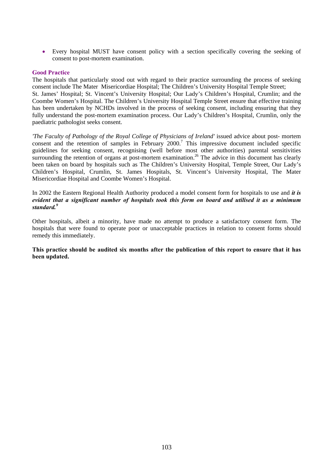• Every hospital MUST have consent policy with a section specifically covering the seeking of consent to post-mortem examination.

#### **Good Practice**

The hospitals that particularly stood out with regard to their practice surrounding the process of seeking consent include The Mater Misericordiae Hospital; The Children's University Hospital Temple Street; St. James' Hospital; St. Vincent's University Hospital; Our Lady's Children's Hospital, Crumlin; and the Coombe Women's Hospital. The Children's University Hospital Temple Street ensure that effective training has been undertaken by NCHDs involved in the process of seeking consent, including ensuring that they fully understand the post-mortem examination process. Our Lady's Children's Hospital, Crumlin, only the paediatric pathologist seeks consent.

*'The Faculty of Pathology of the Royal College of Physicians of Ireland'* issued advice about post- mortem consent and the retention of samples in February  $2000$ .<sup>7</sup> This impressive document included specific guidelines for seeking consent, recognising (well before most other authorities) parental sensitivities surrounding the retention of organs at post-mortem examination.<sup>26</sup> The advice in this document has clearly been taken on board by hospitals such as The Children's University Hospital, Temple Street, Our Lady's Children's Hospital, Crumlin, St. James Hospitals, St. Vincent's University Hospital, The Mater Misericordiae Hospital and Coombe Women's Hospital.

In 2002 the Eastern Regional Health Authority produced a model consent form for hospitals to use and *it is evident that a significant number of hospitals took this form on board and utilised it as a minimum standard.9*

Other hospitals, albeit a minority, have made no attempt to produce a satisfactory consent form. The hospitals that were found to operate poor or unacceptable practices in relation to consent forms should remedy this immediately.

**This practice should be audited six months after the publication of this report to ensure that it has been updated.**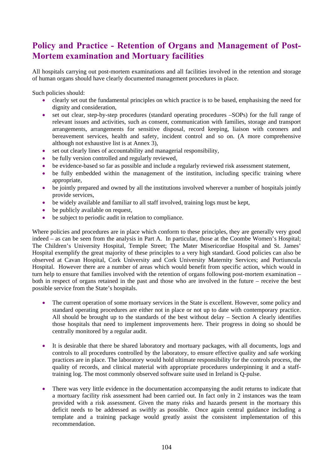### **Policy and Practice - Retention of Organs and Management of Post-Mortem examination and Mortuary facilities**

All hospitals carrying out post-mortem examinations and all facilities involved in the retention and storage of human organs should have clearly documented management procedures in place.

Such policies should:

- clearly set out the fundamental principles on which practice is to be based, emphasising the need for dignity and consideration,
- set out clear, step-by-step procedures (standard operating procedures –SOPs) for the full range of relevant issues and activities, such as consent, communication with families, storage and transport arrangements, arrangements for sensitive disposal, record keeping, liaison with coroners and bereavement services, health and safety, incident control and so on. (A more comprehensive although not exhaustive list is at Annex 3),
- set out clearly lines of accountability and managerial responsibility,
- be fully version controlled and regularly reviewed,
- be evidence-based so far as possible and include a regularly reviewed risk assessment statement,
- be fully embedded within the management of the institution, including specific training where appropriate,
- be jointly prepared and owned by all the institutions involved wherever a number of hospitals jointly provide services,
- be widely available and familiar to all staff involved, training logs must be kept,
- be publicly available on request,
- be subject to periodic audit in relation to compliance.

Where policies and procedures are in place which conform to these principles, they are generally very good indeed – as can be seen from the analysis in Part A. In particular, those at the Coombe Women's Hospital; The Children's University Hospital, Temple Street; The Mater Misericordiae Hospital and St. James' Hospital exemplify the great majority of these principles to a very high standard. Good policies can also be observed at Cavan Hospital, Cork University and Cork University Maternity Services; and Portiuncula Hospital. However there are a number of areas which would benefit from specific action, which would in turn help to ensure that families involved with the retention of organs following post-mortem examination – both in respect of organs retained in the past and those who are involved in the future – receive the best possible service from the State's hospitals.

- The current operation of some mortuary services in the State is excellent. However, some policy and standard operating procedures are either not in place or not up to date with contemporary practice. All should be brought up to the standards of the best without delay – Section A clearly identifies those hospitals that need to implement improvements here. Their progress in doing so should be centrally monitored by a regular audit.
- It is desirable that there be shared laboratory and mortuary packages, with all documents, logs and controls to all procedures controlled by the laboratory, to ensure effective quality and safe working practices are in place. The laboratory would hold ultimate responsibility for the controls process, the quality of records, and clinical material with appropriate procedures underpinning it and a stafftraining log. The most commonly observed software suite used in Ireland is Q-pulse.
- There was very little evidence in the documentation accompanying the audit returns to indicate that a mortuary facility risk assessment had been carried out. In fact only in 2 instances was the team provided with a risk assessment. Given the many risks and hazards present in the mortuary this deficit needs to be addressed as swiftly as possible. Once again central guidance including a template and a training package would greatly assist the consistent implementation of this recommendation.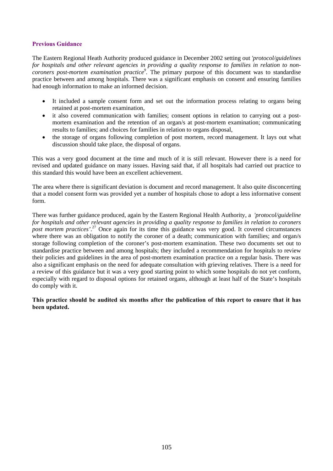#### **Previous Guidance**

The Eastern Regional Heath Authority produced guidance in December 2002 setting out *'protocol/guidelines for hospitals and other relevant agencies in providing a quality response to families in relation to noncoroners post-mortem examination practice9 .* The primary purpose of this document was to standardise practice between and among hospitals. There was a significant emphasis on consent and ensuring families had enough information to make an informed decision.

- It included a sample consent form and set out the information process relating to organs being retained at post-mortem examination,
- it also covered communication with families; consent options in relation to carrying out a postmortem examination and the retention of an organ/s at post-mortem examination; communicating results to families; and choices for families in relation to organs disposal,
- the storage of organs following completion of post mortem, record management. It lays out what discussion should take place, the disposal of organs.

This was a very good document at the time and much of it is still relevant. However there is a need for revised and updated guidance on many issues. Having said that, if all hospitals had carried out practice to this standard this would have been an excellent achievement.

The area where there is significant deviation is document and record management. It also quite disconcerting that a model consent form was provided yet a number of hospitals chose to adopt a less informative consent form.

There was further guidance produced, again by the Eastern Regional Health Authority, a *'protocol/guideline for hospitals and other relevant agencies in providing a quality response to families in relation to coroners post mortem practices'*. 27 Once again for its time this guidance was very good. It covered circumstances where there was an obligation to notify the coroner of a death; communication with families; and organ/s storage following completion of the coroner's post-mortem examination. These two documents set out to standardise practice between and among hospitals; they included a recommendation for hospitals to review their policies and guidelines in the area of post-mortem examination practice on a regular basis. There was also a significant emphasis on the need for adequate consultation with grieving relatives. There is a need for a review of this guidance but it was a very good starting point to which some hospitals do not yet conform, especially with regard to disposal options for retained organs, although at least half of the State's hospitals do comply with it.

**This practice should be audited six months after the publication of this report to ensure that it has been updated.**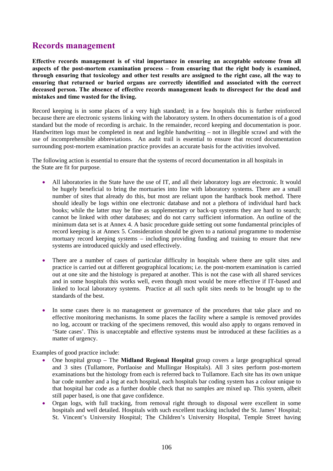### **Records management**

**Effective records management is of vital importance in ensuring an acceptable outcome from all aspects of the post-mortem examination process – from ensuring that the right body is examined, through ensuring that toxicology and other test results are assigned to the right case, all the way to ensuring that returned or buried organs are correctly identified and associated with the correct deceased person. The absence of effective records management leads to disrespect for the dead and mistakes and time wasted for the living.** 

Record keeping is in some places of a very high standard; in a few hospitals this is further reinforced because there are electronic systems linking with the laboratory system. In others documentation is of a good standard but the mode of recording is archaic. In the remainder, record keeping and documentation is poor. Handwritten logs must be completed in neat and legible handwriting – not in illegible scrawl and with the use of incomprehensible abbreviations. An audit trail is essential to ensure that record documentation surrounding post-mortem examination practice provides an accurate basis for the activities involved.

The following action is essential to ensure that the systems of record documentation in all hospitals in the State are fit for purpose.

- All laboratories in the State have the use of IT, and all their laboratory logs are electronic. It would be hugely beneficial to bring the mortuaries into line with laboratory systems. There are a small number of sites that already do this, but most are reliant upon the hardback book method. There should ideally be logs within one electronic database and not a plethora of individual hard back books; while the latter may be fine as supplementary or back-up systems they are hard to search; cannot be linked with other databases; and do not carry sufficient information. An outline of the minimum data set is at Annex 4. A basic procedure guide setting out some fundamental principles of record keeping is at Annex 5. Consideration should be given to a national programme to modernise mortuary record keeping systems – including providing funding and training to ensure that new systems are introduced quickly and used effectively.
- There are a number of cases of particular difficulty in hospitals where there are split sites and practice is carried out at different geographical locations; i.e. the post-mortem examination is carried out at one site and the histology is prepared at another. This is not the case with all shared services and in some hospitals this works well, even though most would be more effective if IT-based and linked to local laboratory systems. Practice at all such split sites needs to be brought up to the standards of the best.
- In some cases there is no management or governance of the procedures that take place and no effective monitoring mechanisms. In some places the facility where a sample is removed provides no log, account or tracking of the specimens removed, this would also apply to organs removed in 'State cases'. This is unacceptable and effective systems must be introduced at these facilities as a matter of urgency.

Examples of good practice include:

- One hospital group The **Midland Regional Hospital** group covers a large geographical spread and 3 sites (Tullamore, Portlaoise and Mullingar Hospitals). All 3 sites perform post-mortem examinations but the histology from each is referred back to Tullamore. Each site has its own unique bar code number and a log at each hospital, each hospitals bar coding system has a colour unique to that hospital bar code as a further double check that no samples are mixed up. This system, albeit still paper based, is one that gave confidence.
- Organ logs, with full tracking, from removal right through to disposal were excellent in some hospitals and well detailed. Hospitals with such excellent tracking included the St. James' Hospital; St. Vincent's University Hospital; The Children's University Hospital, Temple Street having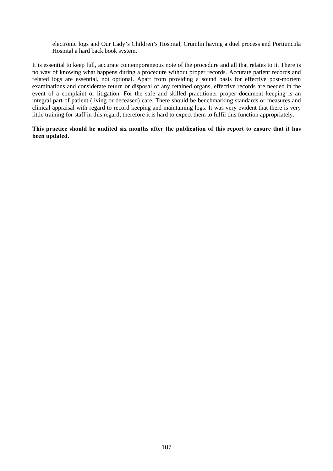electronic logs and Our Lady's Children's Hospital, Crumlin having a duel process and Portiuncula Hospital a hard back book system.

It is essential to keep full, accurate contemporaneous note of the procedure and all that relates to it. There is no way of knowing what happens during a procedure without proper records. Accurate patient records and related logs are essential, not optional. Apart from providing a sound basis for effective post-mortem examinations and considerate return or disposal of any retained organs, effective records are needed in the event of a complaint or litigation. For the safe and skilled practitioner proper document keeping is an integral part of patient (living or deceased) care. There should be benchmarking standards or measures and clinical appraisal with regard to record keeping and maintaining logs. It was very evident that there is very little training for staff in this regard; therefore it is hard to expect them to fulfil this function appropriately.

**This practice should be audited six months after the publication of this report to ensure that it has been updated.**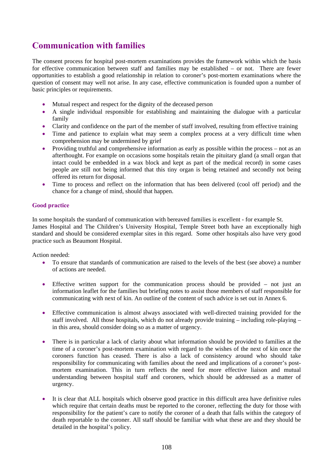### **Communication with families**

The consent process for hospital post-mortem examinations provides the framework within which the basis for effective communication between staff and families may be established – or not. There are fewer opportunities to establish a good relationship in relation to coroner's post-mortem examinations where the question of consent may well not arise. In any case, effective communication is founded upon a number of basic principles or requirements.

- Mutual respect and respect for the dignity of the deceased person
- A single individual responsible for establishing and maintaining the dialogue with a particular family
- Clarity and confidence on the part of the member of staff involved, resulting from effective training
- Time and patience to explain what may seem a complex process at a very difficult time when comprehension may be undermined by grief
- Providing truthful and comprehensive information as early as possible within the process not as an afterthought. For example on occasions some hospitals retain the pituitary gland (a small organ that intact could be embedded in a wax block and kept as part of the medical record) in some cases people are still not being informed that this tiny organ is being retained and secondly not being offered its return for disposal.
- Time to process and reflect on the information that has been delivered (cool off period) and the chance for a change of mind, should that happen.

#### **Good practice**

In some hospitals the standard of communication with bereaved families is excellent - for example St. James Hospital and The Children's University Hospital, Temple Street both have an exceptionally high standard and should be considered exemplar sites in this regard. Some other hospitals also have very good practice such as Beaumont Hospital.

Action needed:

- To ensure that standards of communication are raised to the levels of the best (see above) a number of actions are needed.
- Effective written support for the communication process should be provided not just an information leaflet for the families but briefing notes to assist those members of staff responsible for communicating with next of kin. An outline of the content of such advice is set out in Annex 6.
- Effective communication is almost always associated with well-directed training provided for the staff involved. All those hospitals, which do not already provide training – including role-playing – in this area, should consider doing so as a matter of urgency.
- There is in particular a lack of clarity about what information should be provided to families at the time of a coroner's post-mortem examination with regard to the wishes of the next of kin once the coroners function has ceased. There is also a lack of consistency around who should take responsibility for communicating with families about the need and implications of a coroner's postmortem examination. This in turn reflects the need for more effective liaison and mutual understanding between hospital staff and coroners, which should be addressed as a matter of urgency.
- It is clear that ALL hospitals which observe good practice in this difficult area have definitive rules which require that certain deaths must be reported to the coroner, reflecting the duty for those with responsibility for the patient's care to notify the coroner of a death that falls within the category of death reportable to the coroner. All staff should be familiar with what these are and they should be detailed in the hospital's policy.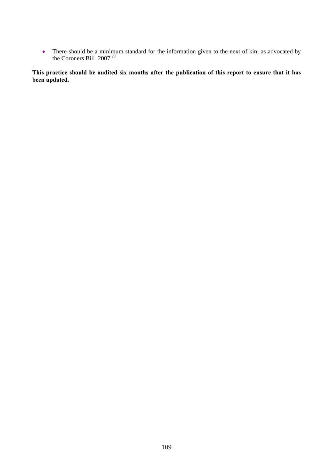• There should be a minimum standard for the information given to the next of kin; as advocated by the Coroners Bill  $2007.^{28}$ 

**This practice should be audited six months after the publication of this report to ensure that it has been updated.** 

.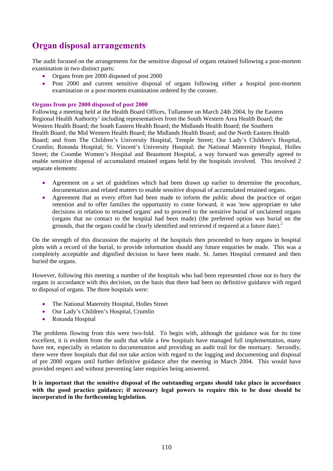# **Organ disposal arrangements**

The audit focused on the arrangements for the sensitive disposal of organs retained following a post-mortem examination in two distinct parts:

- Organs from pre 2000 disposed of post 2000
- Post 2000 and current sensitive disposal of organs following either a hospital post-mortem examination or a post-mortem examination ordered by the coroner.

### **Organs from pre 2000 disposed of post 2000**

Following a meeting held at the Health Board Offices, Tullamore on March 24th 2004, by the Eastern Regional Health Authority' including representatives from the South Western Area Health Board; the Western Health Board; the South Eastern Health Board; the Midlands Health Board; the Southern Health Board; the Mid Western Health Board; the Midlands Health Board; and the North Eastern Health Board; and from The Children's University Hospital, Temple Street; Our Lady's Children's Hospital, Crumlin; Rotunda Hospital; St. Vincent's University Hospital; the National Maternity Hospital, Holles Street; the Coombe Women's Hospital and Beaumont Hospital, a way forward was generally agreed to enable sensitive disposal of accumulated retained organs held by the hospitals involved. This involved 2 separate elements:

- Agreement on a set of guidelines which had been drawn up earlier to determine the procedure, documentation and related matters to enable sensitive disposal of accumulated retained organs.
- Agreement that as every effort had been made to inform the public about the practice of organ retention and to offer families the opportunity to come forward, it was 'now appropriate to take decisions in relation to retained organs' and to proceed to the sensitive burial of unclaimed organs (organs that no contact to the hospital had been made) (the preferred option was burial on the grounds, that the organs could be clearly identified and retrieved if required at a future date). $^{2}$

On the strength of this discussion the majority of the hospitals then proceeded to bury organs in hospital plots with a record of the burial, to provide information should any future enquiries be made. This was a completely acceptable and dignified decision to have been made. St. James Hospital cremated and then buried the organs.

However, following this meeting a number of the hospitals who had been represented chose not to bury the organs in accordance with this decision, on the basis that there had been no definitive guidance with regard to disposal of organs. The three hospitals were:

- The National Maternity Hospital, Holles Street
- Our Lady's Children's Hospital, Crumlin
- Rotunda Hospital

The problems flowing from this were two-fold. To begin with, although the guidance was for its time excellent, it is evident from the audit that while a few hospitals have managed full implementation, many have not, especially in relation to documentation and providing an audit trail for the mortuary. Secondly, there were three hospitals that did not take action with regard to the logging and documenting and disposal of pre 2000 organs until further definitive guidance after the meeting in March 2004. This would have provided respect and without preventing later enquiries being answered.

**It is important that the sensitive disposal of the outstanding organs should take place in accordance with the good practice guidance; if necessary legal powers to require this to be done should be incorporated in the forthcoming legislation.**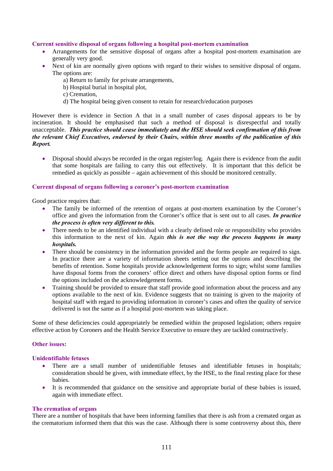#### **Current sensitive disposal of organs following a hospital post-mortem examination**

- Arrangements for the sensitive disposal of organs after a hospital post-mortem examination are generally very good.
- Next of kin are normally given options with regard to their wishes to sensitive disposal of organs. The options are:
	- a) Return to family for private arrangements,
	- b) Hospital burial in hospital plot,
	- c) Cremation,
	- d) The hospital being given consent to retain for research/education purposes

However there is evidence in Section A that in a small number of cases disposal appears to be by incineration. It should be emphasised that such a method of disposal is disrespectful and totally unacceptable. *This practice should cease immediately and the HSE should seek confirmation of this from the relevant Chief Executives, endorsed by their Chairs, within three months of the publication of this Report.* 

• Disposal should always be recorded in the organ register/log. Again there is evidence from the audit that some hospitals are failing to carry this out effectively. It is important that this deficit be remedied as quickly as possible – again achievement of this should be monitored centrally.

#### **Current disposal of organs following a coroner's post-mortem examination**

Good practice requires that:

- The family be informed of the retention of organs at post-mortem examination by the Coroner's office and given the information from the Coroner's office that is sent out to all cases. *In practice the process is often very different to this.*
- There needs to be an identified individual with a clearly defined role or responsibility who provides this information to the next of kin. Again *this is not the way the process happens in many hospitals.*
- There should be consistency in the information provided and the forms people are required to sign. In practice there are a variety of information sheets setting out the options and describing the benefits of retention. Some hospitals provide acknowledgement forms to sign; whilst some families have disposal forms from the coroners' office direct and others have disposal option forms or find the options included on the acknowledgement forms.
- Training should be provided to ensure that staff provide good information about the process and any options available to the next of kin. Evidence suggests that no training is given to the majority of hospital staff with regard to providing information in coroner's cases and often the quality of service delivered is not the same as if a hospital post-mortem was taking place.

Some of these deficiencies could appropriately be remedied within the proposed legislation; others require effective action by Coroners and the Health Service Executive to ensure they are tackled constructively.

#### **Other issues:**

#### **Unidentifiable fetuses**

- There are a small number of unidentifiable fetuses and identifiable fetuses in hospitals; consideration should be given, with immediate effect, by the HSE, to the final resting place for these babies.
- It is recommended that guidance on the sensitive and appropriate burial of these babies is issued, again with immediate effect.

#### **The cremation of organs**

There are a number of hospitals that have been informing families that there is ash from a cremated organ as the crematorium informed them that this was the case. Although there is some controversy about this, there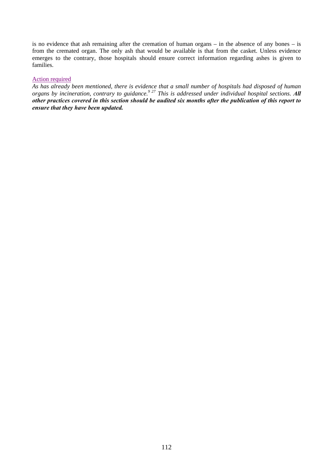is no evidence that ash remaining after the cremation of human organs – in the absence of any bones – is from the cremated organ. The only ash that would be available is that from the casket. Unless evidence emerges to the contrary, those hospitals should ensure correct information regarding ashes is given to families.

#### Action required

*As has already been mentioned, there is evidence that a small number of hospitals had disposed of human organs by incineration, contrary to guidance.9 27 This is addressed under individual hospital sections. All other practices covered in this section should be audited six months after the publication of this report to ensure that they have been updated.*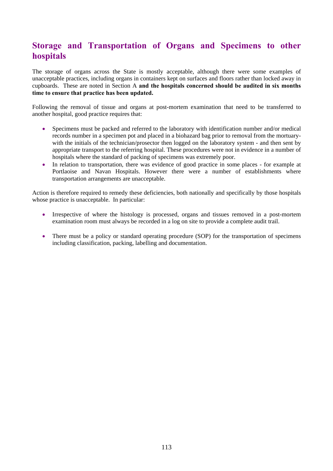## **Storage and Transportation of Organs and Specimens to other hospitals**

The storage of organs across the State is mostly acceptable, although there were some examples of unacceptable practices, including organs in containers kept on surfaces and floors rather than locked away in cupboards. These are noted in Section A **and the hospitals concerned should be audited in six months time to ensure that practice has been updated.** 

Following the removal of tissue and organs at post-mortem examination that need to be transferred to another hospital, good practice requires that:

- Specimens must be packed and referred to the laboratory with identification number and/or medical records number in a specimen pot and placed in a biohazard bag prior to removal from the mortuarywith the initials of the technician/prosector then logged on the laboratory system - and then sent by appropriate transport to the referring hospital. These procedures were not in evidence in a number of hospitals where the standard of packing of specimens was extremely poor.
- In relation to transportation, there was evidence of good practice in some places for example at Portlaoise and Navan Hospitals. However there were a number of establishments where transportation arrangements are unacceptable.

Action is therefore required to remedy these deficiencies, both nationally and specifically by those hospitals whose practice is unacceptable. In particular:

- Irrespective of where the histology is processed, organs and tissues removed in a post-mortem examination room must always be recorded in a log on site to provide a complete audit trail.
- There must be a policy or standard operating procedure (SOP) for the transportation of specimens including classification, packing, labelling and documentation.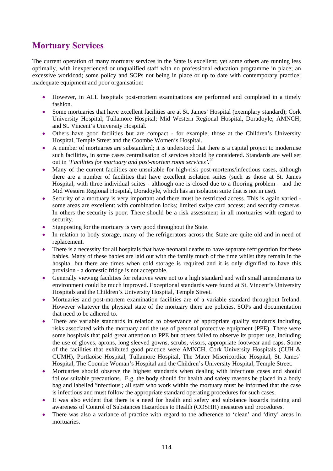## **Mortuary Services**

The current operation of many mortuary services in the State is excellent; yet some others are running less optimally, with inexperienced or unqualified staff with no professional education programme in place; an excessive workload; some policy and SOPs not being in place or up to date with contemporary practice; inadequate equipment and poor organisation:

- However, in ALL hospitals post-mortem examinations are performed and completed in a timely fashion.
- Some mortuaries that have excellent facilities are at St. James' Hospital (exemplary standard); Cork University Hospital; Tullamore Hospital; Mid Western Regional Hospital, Doradoyle; AMNCH; and St. Vincent's University Hospital.
- Others have good facilities but are compact for example, those at the Children's University Hospital, Temple Street and the Coombe Women's Hospital.
- A number of mortuaries are substandard; it is understood that there is a capital project to modernise such facilities, in some cases centralisation of services should be considered. Standards are well set out in *'Facilities for mortuary and post-mortem room services'.29*
- Many of the current facilities are unsuitable for high-risk post-mortems/infectious cases, although there are a number of facilities that have excellent isolation suites (such as those at St. James Hospital, with three individual suites - although one is closed due to a flooring problem – and the Mid Western Regional Hospital, Doradoyle, which has an isolation suite that is not in use).
- Security of a mortuary is very important and there must be restricted access. This is again varied some areas are excellent: with combination locks; limited swipe card access; and security cameras. In others the security is poor. There should be a risk assessment in all mortuaries with regard to security.
- Signposting for the mortuary is very good throughout the State.
- In relation to body storage, many of the refrigerators across the State are quite old and in need of replacement.
- There is a necessity for all hospitals that have neonatal deaths to have separate refrigeration for these babies. Many of these babies are laid out with the family much of the time whilst they remain in the hospital but there are times when cold storage is required and it is only dignified to have this provision - a domestic fridge is not acceptable.
- Generally viewing facilities for relatives were not to a high standard and with small amendments to environment could be much improved. Exceptional standards were found at St. Vincent's University Hospitals and the Children's University Hospital, Temple Street.
- Mortuaries and post-mortem examination facilities are of a variable standard throughout Ireland. However whatever the physical state of the mortuary there are policies, SOPs and documentation that need to be adhered to.
- There are variable standards in relation to observance of appropriate quality standards including risks associated with the mortuary and the use of personal protective equipment (PPE). There were some hospitals that paid great attention to PPE but others failed to observe its proper use, including the use of gloves, aprons, long sleeved gowns, scrubs, visors, appropriate footwear and caps. Some of the facilities that exhibited good practice were AMNCH, Cork University Hospitals (CUH & CUMH), Portlaoise Hospital, Tullamore Hospital, The Mater Misericordiae Hospital, St. James' Hospital, The Coombe Woman's Hospital and the Children's University Hospital, Temple Street.
- Mortuaries should observe the highest standards when dealing with infectious cases and should follow suitable precautions. E.g. the body should for health and safety reasons be placed in a body bag and labelled 'infectious'; all staff who work within the mortuary must be informed that the case is infectious and must follow the appropriate standard operating procedures for such cases.
- It was also evident that there is a need for health and safety and substance hazards training and awareness of Control of Substances Hazardous to Health (COSHH) measures and procedures.
- There was also a variance of practice with regard to the adherence to 'clean' and 'dirty' areas in mortuaries.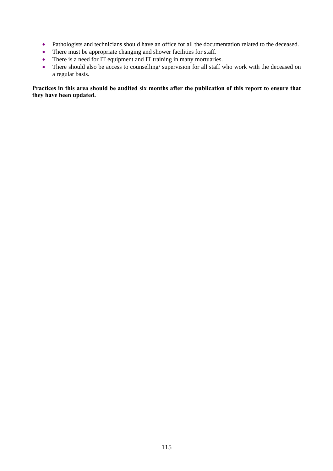- Pathologists and technicians should have an office for all the documentation related to the deceased.
- There must be appropriate changing and shower facilities for staff.
- There is a need for IT equipment and IT training in many mortuaries.
- There should also be access to counselling/ supervision for all staff who work with the deceased on a regular basis.

### **Practices in this area should be audited six months after the publication of this report to ensure that they have been updated.**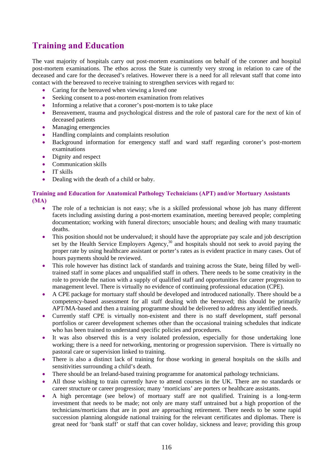# **Training and Education**

The vast majority of hospitals carry out post-mortem examinations on behalf of the coroner and hospital post-mortem examinations. The ethos across the State is currently very strong in relation to care of the deceased and care for the deceased's relatives. However there is a need for all relevant staff that come into contact with the bereaved to receive training to strengthen services with regard to:

- Caring for the bereaved when viewing a loved one
- Seeking consent to a post-mortem examination from relatives
- Informing a relative that a coroner's post-mortem is to take place
- Bereavement, trauma and psychological distress and the role of pastoral care for the next of kin of deceased patients
- Managing emergencies
- Handling complaints and complaints resolution
- Background information for emergency staff and ward staff regarding coroner's post-mortem examinations
- Dignity and respect
- Communication skills
- IT skills
- Dealing with the death of a child or baby.

### **Training and Education for Anatomical Pathology Technicians (APT) and/or Mortuary Assistants (MA)**

- The role of a technician is not easy; s/he is a skilled professional whose job has many different facets including assisting during a post-mortem examination, meeting bereaved people; completing documentation; working with funeral directors; unsociable hours; and dealing with many traumatic deaths.
- This position should not be undervalued; it should have the appropriate pay scale and job description set by the Health Service Employers Agency,<sup>30</sup> and hospitals should not seek to avoid paying the proper rate by using healthcare assistant or porter's rates as is evident practice in many cases. Out of hours payments should be reviewed.
- This role however has distinct lack of standards and training across the State, being filled by welltrained staff in some places and unqualified staff in others. There needs to be some creativity in the role to provide the nation with a supply of qualified staff and opportunities for career progression to management level. There is virtually no evidence of continuing professional education (CPE).
- A CPE package for mortuary staff should be developed and introduced nationally. There should be a competency-based assessment for all staff dealing with the bereaved; this should be primarily APT/MA-based and then a training programme should be delivered to address any identified needs.
- Currently staff CPE is virtually non-existent and there is no staff development, staff personal portfolios or career development schemes other than the occasional training schedules that indicate who has been trained to understand specific policies and procedures.
- It was also observed this is a very isolated profession, especially for those undertaking lone working; there is a need for networking, mentoring or progression supervision. There is virtually no pastoral care or supervision linked to training.
- There is also a distinct lack of training for those working in general hospitals on the skills and sensitivities surrounding a child's death.
- There should be an Ireland-based training programme for anatomical pathology technicians.
- All those wishing to train currently have to attend courses in the UK. There are no standards or career structure or career progression; many 'morticians' are porters or healthcare assistants.
- A high percentage (see below) of mortuary staff are not qualified. Training is a long-term investment that needs to be made; not only are many staff untrained but a high proportion of the technicians/morticians that are in post are approaching retirement. There needs to be some rapid succession planning alongside national training for the relevant certificates and diplomas. There is great need for 'bank staff' or staff that can cover holiday, sickness and leave; providing this group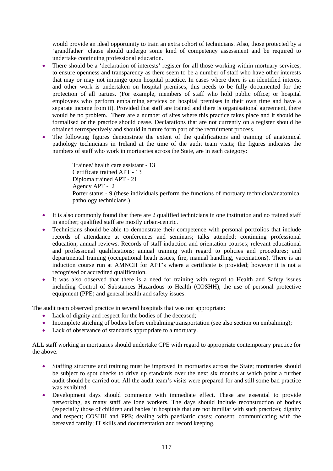would provide an ideal opportunity to train an extra cohort of technicians. Also, those protected by a 'grandfather' clause should undergo some kind of competency assessment and be required to undertake continuing professional education.

- There should be a 'declaration of interests' register for all those working within mortuary services, to ensure openness and transparency as there seem to be a number of staff who have other interests that may or may not impinge upon hospital practice. In cases where there is an identified interest and other work is undertaken on hospital premises, this needs to be fully documented for the protection of all parties. (For example, members of staff who hold public office; or hospital employees who perform embalming services on hospital premises in their own time and have a separate income from it). Provided that staff are trained and there is organisational agreement, there would be no problem. There are a number of sites where this practice takes place and it should be formalised or the practice should cease. Declarations that are not currently on a register should be obtained retrospectively and should in future form part of the recruitment process.
- The following figures demonstrate the extent of the qualifications and training of anatomical pathology technicians in Ireland at the time of the audit team visits; the figures indicates the numbers of staff who work in mortuaries across the State, are in each category:

Trainee/ health care assistant - 13 Certificate trained APT - 13 Diploma trained APT - 21 Agency APT - 2 Porter status - 9 (these individuals perform the functions of mortuary technician/anatomical pathology technicians.)

- It is also commonly found that there are 2 qualified technicians in one institution and no trained staff in another; qualified staff are mostly urban-centric.
- Technicians should be able to demonstrate their competence with personal portfolios that include records of attendance at conferences and seminars; talks attended; continuing professional education, annual reviews. Records of staff induction and orientation courses; relevant educational and professional qualifications; annual training with regard to policies and procedures; and departmental training (occupational heath issues, fire, manual handling, vaccinations). There is an induction course run at AMNCH for APT's where a certificate is provided; however it is not a recognised or accredited qualification.
- It was also observed that there is a need for training with regard to Health and Safety issues including Control of Substances Hazardous to Health (COSHH), the use of personal protective equipment (PPE) and general health and safety issues.

The audit team observed practice in several hospitals that was not appropriate:

- Lack of dignity and respect for the bodies of the deceased;
- Incomplete stitching of bodies before embalming/transportation (see also section on embalming);
- Lack of observance of standards appropriate to a mortuary.

ALL staff working in mortuaries should undertake CPE with regard to appropriate contemporary practice for the above.

- Staffing structure and training must be improved in mortuaries across the State; mortuaries should be subject to spot checks to drive up standards over the next six months at which point a further audit should be carried out. All the audit team's visits were prepared for and still some bad practice was exhibited.
- Development days should commence with immediate effect. These are essential to provide networking, as many staff are lone workers. The days should include reconstruction of bodies (especially those of children and babies in hospitals that are not familiar with such practice); dignity and respect; COSHH and PPE; dealing with paediatric cases; consent; communicating with the bereaved family; IT skills and documentation and record keeping.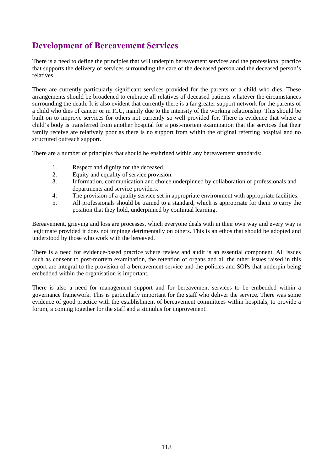# **Development of Bereavement Services**

There is a need to define the principles that will underpin bereavement services and the professional practice that supports the delivery of services surrounding the care of the deceased person and the deceased person's relatives.

There are currently particularly significant services provided for the parents of a child who dies. These arrangements should be broadened to embrace all relatives of deceased patients whatever the circumstances surrounding the death. It is also evident that currently there is a far greater support network for the parents of a child who dies of cancer or in ICU, mainly due to the intensity of the working relationship. This should be built on to improve services for others not currently so well provided for. There is evidence that where a child's body is transferred from another hospital for a post-mortem examination that the services that their family receive are relatively poor as there is no support from within the original referring hospital and no structured outreach support.

There are a number of principles that should be enshrined within any bereavement standards:

- 1. Respect and dignity for the deceased.
- 2. Equity and equality of service provision.
- 3. Information, communication and choice underpinned by collaboration of professionals and departments and service providers.
- 4. The provision of a quality service set in appropriate environment with appropriate facilities.
- 5. All professionals should be trained to a standard, which is appropriate for them to carry the position that they hold, underpinned by continual learning.

Bereavement, grieving and loss are processes, which everyone deals with in their own way and every way is legitimate provided it does not impinge detrimentally on others. This is an ethos that should be adopted and understood by those who work with the bereaved.

There is a need for evidence-based practice where review and audit is an essential component. All issues such as consent to post-mortem examination, the retention of organs and all the other issues raised in this report are integral to the provision of a bereavement service and the policies and SOPs that underpin being embedded within the organisation is important.

There is also a need for management support and for bereavement services to be embedded within a governance framework. This is particularly important for the staff who deliver the service. There was some evidence of good practice with the establishment of bereavement committees within hospitals, to provide a forum, a coming together for the staff and a stimulus for improvement.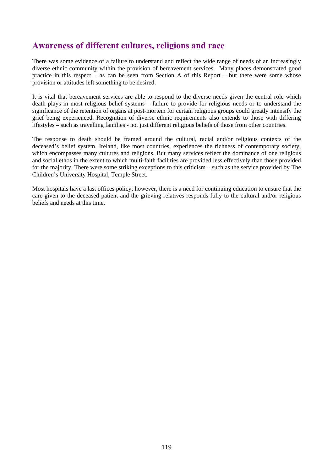### **Awareness of different cultures, religions and race**

There was some evidence of a failure to understand and reflect the wide range of needs of an increasingly diverse ethnic community within the provision of bereavement services. Many places demonstrated good practice in this respect – as can be seen from Section A of this Report – but there were some whose provision or attitudes left something to be desired.

It is vital that bereavement services are able to respond to the diverse needs given the central role which death plays in most religious belief systems – failure to provide for religious needs or to understand the significance of the retention of organs at post-mortem for certain religious groups could greatly intensify the grief being experienced. Recognition of diverse ethnic requirements also extends to those with differing lifestyles – such as travelling families - not just different religious beliefs of those from other countries.

The response to death should be framed around the cultural, racial and/or religious contexts of the deceased's belief system. Ireland, like most countries, experiences the richness of contemporary society, which encompasses many cultures and religions. But many services reflect the dominance of one religious and social ethos in the extent to which multi-faith facilities are provided less effectively than those provided for the majority. There were some striking exceptions to this criticism – such as the service provided by The Children's University Hospital, Temple Street.

Most hospitals have a last offices policy; however, there is a need for continuing education to ensure that the care given to the deceased patient and the grieving relatives responds fully to the cultural and/or religious beliefs and needs at this time.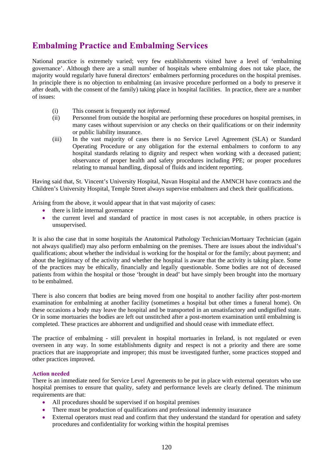## **Embalming Practice and Embalming Services**

National practice is extremely varied; very few establishments visited have a level of 'embalming governance'. Although there are a small number of hospitals where embalming does not take place, the majority would regularly have funeral directors' embalmers performing procedures on the hospital premises. In principle there is no objection to embalming (an invasive procedure performed on a body to preserve it after death, with the consent of the family) taking place in hospital facilities. In practice, there are a number of issues:

- (i) This consent is frequently not *informed*.
- (ii) Personnel from outside the hospital are performing these procedures on hospital premises, in many cases without supervision or any checks on their qualifications or on their indemnity or public liability insurance.
- (iii) In the vast majority of cases there is no Service Level Agreement (SLA) or Standard Operating Procedure or any obligation for the external embalmers to conform to any hospital standards relating to dignity and respect when working with a deceased patient; observance of proper health and safety procedures including PPE; or proper procedures relating to manual handling, disposal of fluids and incident reporting.

Having said that, St. Vincent's University Hospital, Navan Hospital and the AMNCH have contracts and the Children's University Hospital, Temple Street always supervise embalmers and check their qualifications.

Arising from the above, it would appear that in that vast majority of cases:

- there is little internal governance
- the current level and standard of practice in most cases is not acceptable, in others practice is unsupervised.

It is also the case that in some hospitals the Anatomical Pathology Technician/Mortuary Technician (again not always qualified) may also perform embalming on the premises. There are issues about the individual's qualifications; about whether the individual is working for the hospital or for the family; about payment; and about the legitimacy of the activity and whether the hospital is aware that the activity is taking place. Some of the practices may be ethically, financially and legally questionable. Some bodies are not of deceased patients from within the hospital or those 'brought in dead' but have simply been brought into the mortuary to be embalmed.

There is also concern that bodies are being moved from one hospital to another facility after post-mortem examination for embalming at another facility (sometimes a hospital but other times a funeral home). On these occasions a body may leave the hospital and be transported in an unsatisfactory and undignified state. Or in some mortuaries the bodies are left out unstitched after a post-mortem examination until embalming is completed. These practices are abhorrent and undignified and should cease with immediate effect.

The practice of embalming - still prevalent in hospital mortuaries in Ireland, is not regulated or even overseen in any way. In some establishments dignity and respect is not a priority and there are some practices that are inappropriate and improper; this must be investigated further, some practices stopped and other practices improved.

#### **Action needed**

There is an immediate need for Service Level Agreements to be put in place with external operators who use hospital premises to ensure that quality, safety and performance levels are clearly defined. The minimum requirements are that:

- All procedures should be supervised if on hospital premises
- There must be production of qualifications and professional indemnity insurance
- External operators must read and confirm that they understand the standard for operation and safety procedures and confidentiality for working within the hospital premises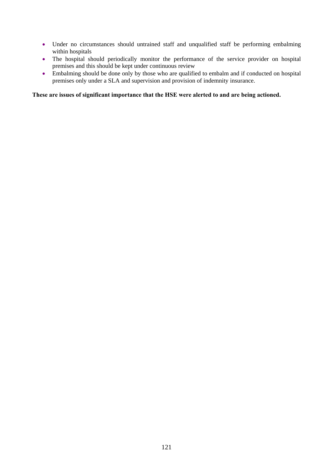- Under no circumstances should untrained staff and unqualified staff be performing embalming within hospitals
- The hospital should periodically monitor the performance of the service provider on hospital premises and this should be kept under continuous review
- Embalming should be done only by those who are qualified to embalm and if conducted on hospital premises only under a SLA and supervision and provision of indemnity insurance.

### **These are issues of significant importance that the HSE were alerted to and are being actioned.**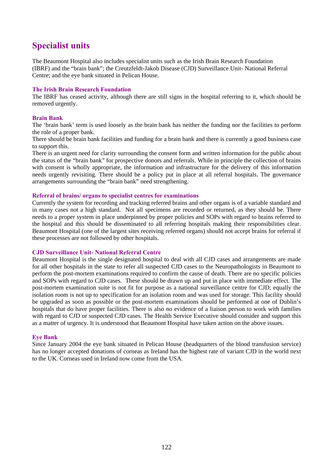## **Specialist units**

The Beaumont Hospital also includes specialist units such as the Irish Brain Research Foundation (IBRF) and the "brain bank"; the Creutzfeldt-Jakob Disease (CJD) Surveillance Unit- National Referral Centre; and the eye bank situated in Pelican House.

#### **The Irish Brain Research Foundation**

The IBRF has ceased activity, although there are still signs in the hospital referring to it, which should be removed urgently.

#### **Brain Bank**

The 'brain bank' term is used loosely as the brain bank has neither the funding nor the facilities to perform the role of a proper bank.

There should be brain bank facilities and funding for a brain bank and there is currently a good business case to support this.

There is an urgent need for clarity surrounding the consent form and written information for the public about the status of the "brain bank" for prospective donors and referrals. While in principle the collection of brains with consent is wholly appropriate, the information and infrastructure for the delivery of this information needs urgently revisiting. There should be a policy put in place at all referral hospitals. The governance arrangements surrounding the "brain bank" need strengthening.

#### **Referral of brains/ organs to specialist centres for examinations**

Currently the system for recording and tracking referred brains and other organs is of a variable standard and in many cases not a high standard. Not all specimens are recorded or returned, as they should be. There needs to a proper system in place underpinned by proper policies and SOPs with regard to brains referred to the hospital and this should be disseminated to all referring hospitals making their responsibilities clear. Beaumont Hospital (one of the largest sites receiving referred organs) should not accept brains for referral if these processes are not followed by other hospitals.

#### **CJD Surveillance Unit- National Referral Centre**

Beaumont Hospital is the single designated hospital to deal with all CJD cases and arrangements are made for all other hospitals in the state to refer all suspected CJD cases to the Neuropathologists in Beaumont to perform the post-mortem examinations required to confirm the cause of death. There are no specific policies and SOPs with regard to CJD cases. These should be drawn up and put in place with immediate effect. The post-mortem examination suite is not fit for purpose as a national surveillance centre for CJD; equally the isolation room is not up to specification for an isolation room and was used for storage. This facility should be upgraded as soon as possible or the post-mortem examinations should be performed at one of Dublin's hospitals that do have proper facilities. There is also no evidence of a liaison person to work with families with regard to CJD or suspected CJD cases. The Health Service Executive should consider and support this as a matter of urgency. It is understood that Beaumont Hospital have taken action on the above issues.

#### **Eye Bank**

Since January 2004 the eye bank situated in Pelican House (headquarters of the blood transfusion service) has no longer accepted donations of corneas as Ireland has the highest rate of variant CJD in the world next to the UK. Corneas used in Ireland now come from the USA.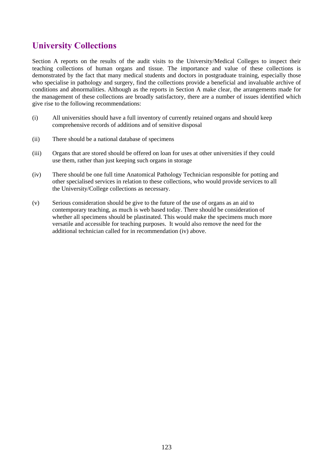# **University Collections**

Section A reports on the results of the audit visits to the University/Medical Colleges to inspect their teaching collections of human organs and tissue. The importance and value of these collections is demonstrated by the fact that many medical students and doctors in postgraduate training, especially those who specialise in pathology and surgery, find the collections provide a beneficial and invaluable archive of conditions and abnormalities. Although as the reports in Section A make clear, the arrangements made for the management of these collections are broadly satisfactory, there are a number of issues identified which give rise to the following recommendations:

- (i) All universities should have a full inventory of currently retained organs and should keep comprehensive records of additions and of sensitive disposal
- (ii) There should be a national database of specimens
- (iii) Organs that are stored should be offered on loan for uses at other universities if they could use them, rather than just keeping such organs in storage
- (iv) There should be one full time Anatomical Pathology Technician responsible for potting and other specialised services in relation to these collections, who would provide services to all the University/College collections as necessary.
- (v) Serious consideration should be give to the future of the use of organs as an aid to contemporary teaching, as much is web based today. There should be consideration of whether all specimens should be plastinated. This would make the specimens much more versatile and accessible for teaching purposes. It would also remove the need for the additional technician called for in recommendation (iv) above.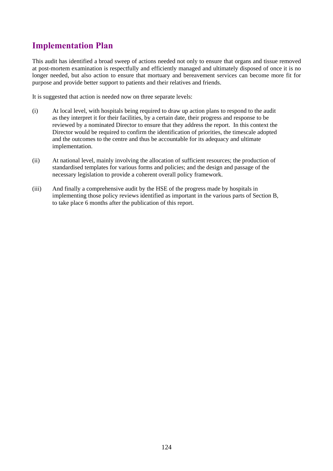# **Implementation Plan**

This audit has identified a broad sweep of actions needed not only to ensure that organs and tissue removed at post-mortem examination is respectfully and efficiently managed and ultimately disposed of once it is no longer needed, but also action to ensure that mortuary and bereavement services can become more fit for purpose and provide better support to patients and their relatives and friends.

It is suggested that action is needed now on three separate levels:

- (i) At local level, with hospitals being required to draw up action plans to respond to the audit as they interpret it for their facilities, by a certain date, their progress and response to be reviewed by a nominated Director to ensure that they address the report. In this context the Director would be required to confirm the identification of priorities, the timescale adopted and the outcomes to the centre and thus be accountable for its adequacy and ultimate implementation.
- (ii) At national level, mainly involving the allocation of sufficient resources; the production of standardised templates for various forms and policies; and the design and passage of the necessary legislation to provide a coherent overall policy framework.
- (iii) And finally a comprehensive audit by the HSE of the progress made by hospitals in implementing those policy reviews identified as important in the various parts of Section B, to take place 6 months after the publication of this report.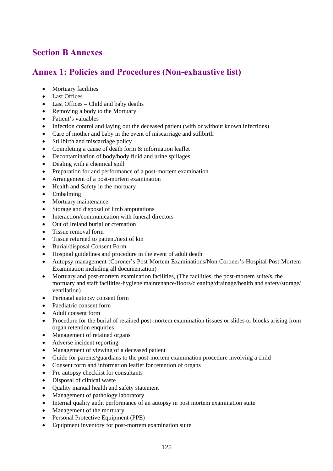## **Section B Annexes**

## **Annex 1: Policies and Procedures (Non-exhaustive list)**

- Mortuary facilities
- Last Offices
- Last Offices Child and baby deaths
- Removing a body to the Mortuary
- Patient's valuables
- Infection control and laying out the deceased patient (with or without known infections)
- Care of mother and baby in the event of miscarriage and stillbirth
- Stillbirth and miscarriage policy
- Completing a cause of death form  $\&$  information leaflet
- Decontamination of body/body fluid and urine spillages
- Dealing with a chemical spill
- Preparation for and performance of a post-mortem examination
- Arrangement of a post-mortem examination
- Health and Safety in the mortuary
- Embalming
- Mortuary maintenance
- Storage and disposal of limb amputations
- Interaction/communication with funeral directors
- Out of Ireland burial or cremation
- Tissue removal form
- Tissue returned to patient/next of kin
- Burial/disposal Consent Form
- Hospital guidelines and procedure in the event of adult death
- Autopsy management (Coroner's Post Mortem Examinations/Non Coroner's-Hospital Post Mortem Examination including all documentation)
- Mortuary and post-mortem examination facilities, (The facilities, the post-mortem suite/s, the mortuary and staff facilities-hygiene maintenance/floors/cleaning/drainage/health and safety/storage/ ventilation)
- Perinatal autopsy consent form
- Paediatric consent form
- Adult consent form
- Procedure for the burial of retained post-mortem examination tissues or slides or blocks arising from organ retention enquiries
- Management of retained organs
- Adverse incident reporting
- Management of viewing of a deceased patient
- Guide for parents/guardians to the post-mortem examination procedure involving a child
- Consent form and information leaflet for retention of organs
- Pre autopsy checklist for consultants
- Disposal of clinical waste
- Quality manual health and safety statement
- Management of pathology laboratory
- Internal quality audit performance of an autopsy in post mortem examination suite
- Management of the mortuary
- Personal Protective Equipment (PPE)
- Equipment inventory for post-mortem examination suite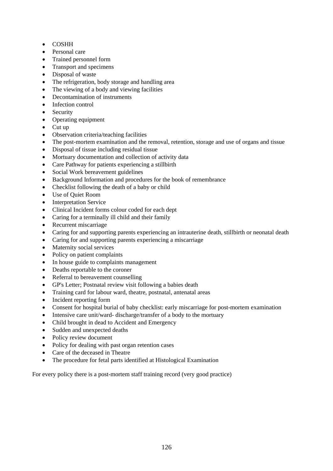- COSHH
- Personal care
- Trained personnel form
- Transport and specimens
- Disposal of waste
- The refrigeration, body storage and handling area
- The viewing of a body and viewing facilities
- Decontamination of instruments
- Infection control
- Security
- Operating equipment
- Cut up
- Observation criteria/teaching facilities
- The post-mortem examination and the removal, retention, storage and use of organs and tissue
- Disposal of tissue including residual tissue
- Mortuary documentation and collection of activity data
- Care Pathway for patients experiencing a stillbirth
- Social Work bereavement guidelines
- Background Information and procedures for the book of remembrance
- Checklist following the death of a baby or child
- Use of Quiet Room
- Interpretation Service
- Clinical Incident forms colour coded for each dept
- Caring for a terminally ill child and their family
- Recurrent miscarriage
- Caring for and supporting parents experiencing an intrauterine death, stillbirth or neonatal death
- Caring for and supporting parents experiencing a miscarriage
- Maternity social services
- Policy on patient complaints
- In house guide to complaints management
- Deaths reportable to the coroner
- Referral to bereavement counselling
- GP's Letter; Postnatal review visit following a babies death
- Training card for labour ward, theatre, postnatal, antenatal areas
- Incident reporting form
- Consent for hospital burial of baby checklist: early miscarriage for post-mortem examination
- Intensive care unit/ward-discharge/transfer of a body to the mortuary
- Child brought in dead to Accident and Emergency
- Sudden and unexpected deaths
- Policy review document
- Policy for dealing with past organ retention cases
- Care of the deceased in Theatre
- The procedure for fetal parts identified at Histological Examination

For every policy there is a post-mortem staff training record (very good practice)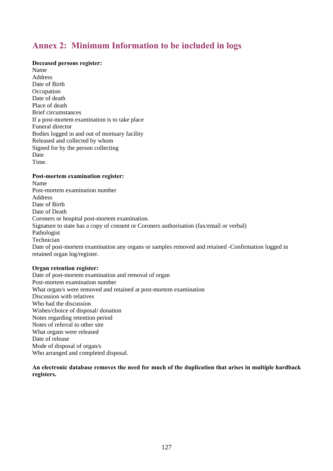## **Annex 2: Minimum Information to be included in logs**

### **Deceased persons register:**

Name Address Date of Birth **Occupation** Date of death Place of death Brief circumstances If a post-mortem examination is to take place Funeral director Bodies logged in and out of mortuary facility Released and collected by whom Signed for by the person collecting Date Time.

#### **Post-mortem examination register:**

Name Post-mortem examination number Address Date of Birth Date of Death Coroners or hospital post-mortem examination. Signature to state has a copy of consent or Coroners authorisation (fax/email or verbal) Pathologist Technician Date of post-mortem examination any organs or samples removed and retained -Confirmation logged in retained organ log/register.

#### **Organ retention register:**

Date of post-mortem examination and removal of organ Post-mortem examination number What organ/s were removed and retained at post-mortem examination Discussion with relatives Who had the discussion Wishes/choice of disposal/ donation Notes regarding retention period Notes of referral to other site What organs were released Date of release Mode of disposal of organ/s Who arranged and completed disposal.

**An electronic database removes the need for much of the duplication that arises in multiple hardback registers.**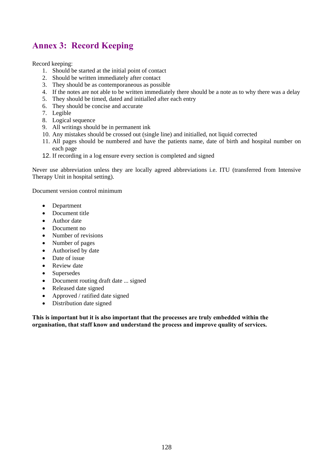# **Annex 3: Record Keeping**

Record keeping:

- 1. Should be started at the initial point of contact
- 2. Should be written immediately after contact
- 3. They should be as contemporaneous as possible
- 4. If the notes are not able to be written immediately there should be a note as to why there was a delay
- 5. They should be timed, dated and initialled after each entry
- 6. They should be concise and accurate
- 7. Legible
- 8. Logical sequence
- 9. All writings should be in permanent ink
- 10. Any mistakes should be crossed out (single line) and initialled, not liquid corrected
- 11. All pages should be numbered and have the patients name, date of birth and hospital number on each page
- 12. If recording in a log ensure every section is completed and signed

Never use abbreviation unless they are locally agreed abbreviations i.e. ITU (transferred from Intensive Therapy Unit in hospital setting).

Document version control minimum

- Department
- Document title
- Author date
- Document no
- Number of revisions
- Number of pages
- Authorised by date
- Date of issue
- Review date
- Supersedes
- Document routing draft date ... signed
- Released date signed
- Approved / ratified date signed
- Distribution date signed

**This is important but it is also important that the processes are truly embedded within the organisation, that staff know and understand the process and improve quality of services.**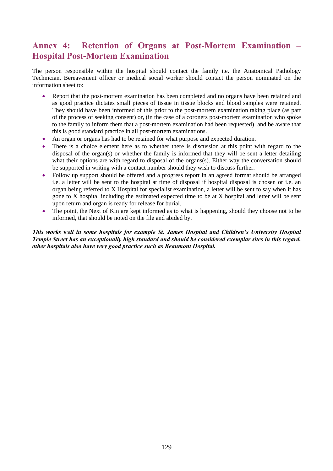### **Annex 4: Retention of Organs at Post-Mortem Examination – Hospital Post-Mortem Examination**

The person responsible within the hospital should contact the family i.e. the Anatomical Pathology Technician, Bereavement officer or medical social worker should contact the person nominated on the information sheet to:

- Report that the post-mortem examination has been completed and no organs have been retained and as good practice dictates small pieces of tissue in tissue blocks and blood samples were retained. They should have been informed of this prior to the post-mortem examination taking place (as part of the process of seeking consent) or, (in the case of a coroners post-mortem examination who spoke to the family to inform them that a post-mortem examination had been requested) and be aware that this is good standard practice in all post-mortem examinations.
- An organ or organs has had to be retained for what purpose and expected duration.
- There is a choice element here as to whether there is discussion at this point with regard to the disposal of the organ(s) or whether the family is informed that they will be sent a letter detailing what their options are with regard to disposal of the organs(s). Either way the conversation should be supported in writing with a contact number should they wish to discuss further.
- Follow up support should be offered and a progress report in an agreed format should be arranged i.e. a letter will be sent to the hospital at time of disposal if hospital disposal is chosen or i.e. an organ being referred to X Hospital for specialist examination, a letter will be sent to say when it has gone to X hospital including the estimated expected time to be at X hospital and letter will be sent upon return and organ is ready for release for burial.
- The point, the Next of Kin are kept informed as to what is happening, should they choose not to be informed, that should be noted on the file and abided by.

*This works well in some hospitals for example St. James Hospital and Children's University Hospital Temple Street has an exceptionally high standard and should be considered exemplar sites in this regard, other hospitals also have very good practice such as Beaumont Hospital.*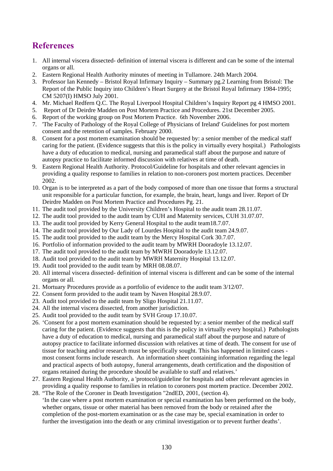# **References**

- 1. All internal viscera dissected- definition of internal viscera is different and can be some of the internal organs or all.
- 2. Eastern Regional Health Authority minutes of meeting in Tullamore. 24th March 2004.
- 3. Professor Ian Kennedy Bristol Royal Infirmary Inquiry Summary pg.2 Learning from Bristol: The Report of the Public Inquiry into Children's Heart Surgery at the Bristol Royal Infirmary 1984-1995; CM 5207(I) HMSO July 2001.
- 4. Mr. Michael Redfern Q.C. The Royal Liverpool Hospital Children's Inquiry Report pg 4 HMSO 2001.
- 5. Report of Dr Deirdre Madden on Post Mortem Practice and Procedures. 21st December 2005.
- 6. Report of the working group on Post Mortem Practice. 6th November 2006.
- 7. 'The Faculty of Pathology of the Royal College of Physicians of Ireland' Guidelines for post mortem consent and the retention of samples. February 2000.
- 8. Consent for a post mortem examination should be requested by: a senior member of the medical staff caring for the patient. (Evidence suggests that this is the policy in virtually every hospital.) Pathologists have a duty of education to medical, nursing and paramedical staff about the purpose and nature of autopsy practice to facilitate informed discussion with relatives at time of death.
- 9. Eastern Regional Health Authority. Protocol/Guideline for hospitals and other relevant agencies in providing a quality response to families in relation to non-coroners post mortem practices. December 2002.
- 10. Organ is to be interpreted as a part of the body composed of more than one tissue that forms a structural unit responsible for a particular function, for example, the brain, heart, lungs and liver. Report of Dr Deirdre Madden on Post Mortem Practice and Procedures Pg. 21.
- 11. The audit tool provided by the University Children's Hospital to the audit team 28.11.07.
- 12. The audit tool provided to the audit team by CUH and Maternity services, CUH 31.07.07.
- 13. The audit tool provided by Kerry General Hospital to the audit team18.7.07.
- 14. The audit tool provided by Our Lady of Lourdes Hospital to the audit team 24.9.07.
- 15. The audit tool provided to the audit team by the Mercy Hospital Cork 30.7.07.
- 16. Portfolio of information provided to the audit team by MWRH Dooradoyle 13.12.07.
- 17. The audit tool provided to the audit team by MWRH Dooradoyle 13.12.07.
- 18. Audit tool provided to the audit team by MWRH Maternity Hospital 13.12.07.
- 19. Audit tool provided to the audit team by MRH 08.08.07.
- 20. All internal viscera dissected- definition of internal viscera is different and can be some of the internal organs or all.
- 21. Mortuary Procedures provide as a portfolio of evidence to the audit team 3/12/07.
- 22. Consent form provided to the audit team by Naven Hospital 28.9.07.
- 23. Audit tool provided to the audit team by Sligo Hospital 21.11.07.
- 24. All the internal viscera dissected, from another jurisdiction.
- 25. Audit tool provided to the audit team by SVH Group 17.10.07.
- 26. 'Consent for a post mortem examination should be requested by: a senior member of the medical staff caring for the patient. (Evidence suggests that this is the policy in virtually every hospital.) Pathologists have a duty of education to medical, nursing and paramedical staff about the purpose and nature of autopsy practice to facilitate informed discussion with relatives at time of death. The consent for use of tissue for teaching and/or research must be specifically sought. This has happened in limited cases most consent forms include research. An information sheet containing information regarding the legal and practical aspects of both autopsy, funeral arrangements, death certification and the disposition of organs retained during the procedure should be available to staff and relatives.'
- 27. Eastern Regional Health Authority, a 'protocol/guideline for hospitals and other relevant agencies in providing a quality response to families in relation to coroners post mortem practice. December 2002.
- 28. "The Role of the Coroner in Death Investigation "2ndED, 2001, (section 4). 'In the case where a post mortem examination or special examination has been performed on the body, whether organs, tissue or other material has been removed from the body or retained after the completion of the post-mortem examination or as the case may be, special examination in order to further the investigation into the death or any criminal investigation or to prevent further deaths'.